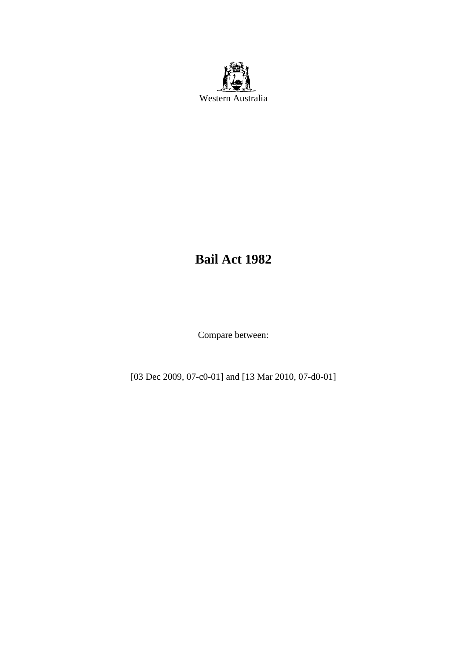

# **Bail Act 1982**

Compare between:

[03 Dec 2009, 07-c0-01] and [13 Mar 2010, 07-d0-01]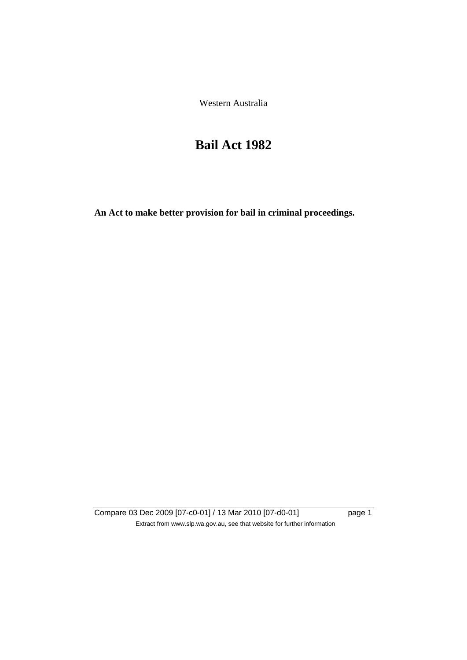Western Australia

# **Bail Act 1982**

**An Act to make better provision for bail in criminal proceedings.** 

Compare 03 Dec 2009 [07-c0-01] / 13 Mar 2010 [07-d0-01] page 1 Extract from www.slp.wa.gov.au, see that website for further information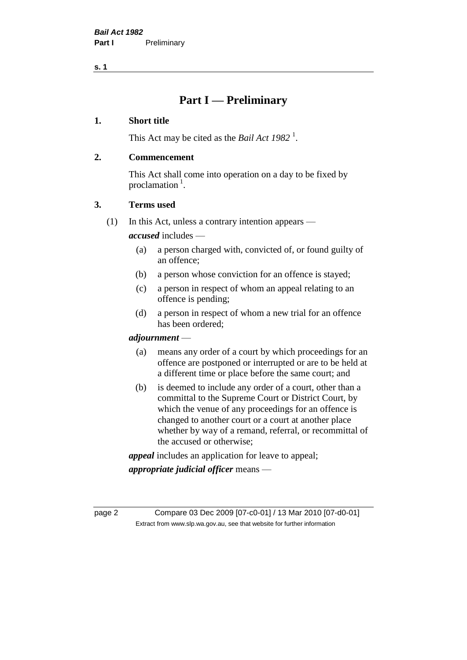# **Part I — Preliminary**

# **1. Short title**

This Act may be cited as the *Bail Act* 1982<sup>1</sup>.

# **2. Commencement**

This Act shall come into operation on a day to be fixed by proclamation  $<sup>1</sup>$ .</sup>

# **3. Terms used**

(1) In this Act, unless a contrary intention appears —

*accused* includes —

- (a) a person charged with, convicted of, or found guilty of an offence;
- (b) a person whose conviction for an offence is stayed;
- (c) a person in respect of whom an appeal relating to an offence is pending;
- (d) a person in respect of whom a new trial for an offence has been ordered;

#### *adjournment* —

- (a) means any order of a court by which proceedings for an offence are postponed or interrupted or are to be held at a different time or place before the same court; and
- (b) is deemed to include any order of a court, other than a committal to the Supreme Court or District Court, by which the venue of any proceedings for an offence is changed to another court or a court at another place whether by way of a remand, referral, or recommittal of the accused or otherwise;

*appeal* includes an application for leave to appeal;

*appropriate judicial officer* means —

page 2 Compare 03 Dec 2009 [07-c0-01] / 13 Mar 2010 [07-d0-01] Extract from www.slp.wa.gov.au, see that website for further information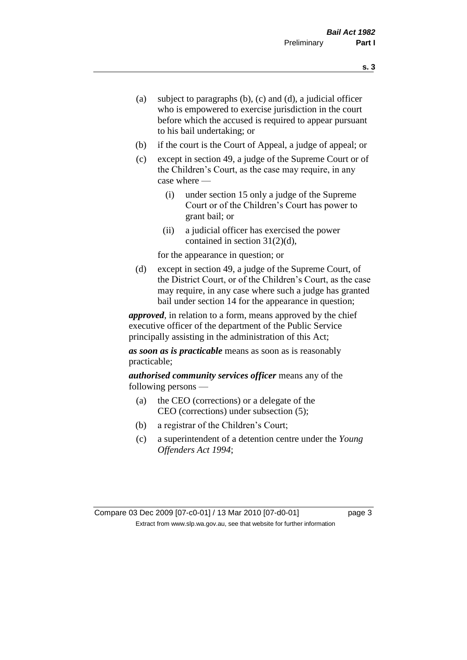- (a) subject to paragraphs (b), (c) and (d), a judicial officer who is empowered to exercise jurisdiction in the court before which the accused is required to appear pursuant to his bail undertaking; or
- (b) if the court is the Court of Appeal, a judge of appeal; or
- (c) except in section 49, a judge of the Supreme Court or of the Children's Court, as the case may require, in any case where —
	- (i) under section 15 only a judge of the Supreme Court or of the Children's Court has power to grant bail; or
	- (ii) a judicial officer has exercised the power contained in section 31(2)(d),

for the appearance in question; or

(d) except in section 49, a judge of the Supreme Court, of the District Court, or of the Children's Court, as the case may require, in any case where such a judge has granted bail under section 14 for the appearance in question;

*approved*, in relation to a form, means approved by the chief executive officer of the department of the Public Service principally assisting in the administration of this Act;

*as soon as is practicable* means as soon as is reasonably practicable;

*authorised community services officer* means any of the following persons —

- (a) the CEO (corrections) or a delegate of the CEO (corrections) under subsection (5);
- (b) a registrar of the Children's Court;
- (c) a superintendent of a detention centre under the *Young Offenders Act 1994*;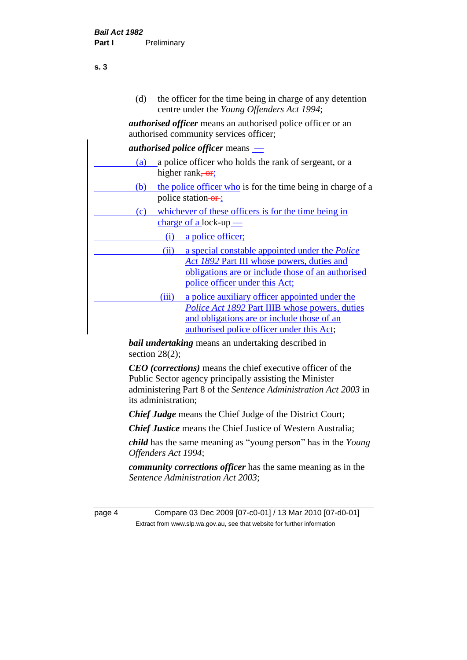| (d) |                                                                                         | the officer for the time being in charge of any detention<br>centre under the Young Offenders Act 1994;                                                                                                              |
|-----|-----------------------------------------------------------------------------------------|----------------------------------------------------------------------------------------------------------------------------------------------------------------------------------------------------------------------|
|     |                                                                                         | <i>authorised officer</i> means an authorised police officer or an<br>authorised community services officer;                                                                                                         |
|     |                                                                                         | <i>authorised police officer</i> means-                                                                                                                                                                              |
| (a) | a police officer who holds the rank of sergeant, or a<br>higher rank, $\overline{or}$ ; |                                                                                                                                                                                                                      |
| (b) |                                                                                         | the police officer who is for the time being in charge of a<br>police station-or-;                                                                                                                                   |
| (c) | whichever of these officers is for the time being in<br>$charge of a lock-up$           |                                                                                                                                                                                                                      |
|     | (i)                                                                                     | a police officer;                                                                                                                                                                                                    |
|     | (ii)                                                                                    | a special constable appointed under the <i>Police</i><br>Act 1892 Part III whose powers, duties and<br>obligations are or include those of an authorised<br>police officer under this Act;                           |
|     | (iii)                                                                                   | a police auxiliary officer appointed under the                                                                                                                                                                       |
|     |                                                                                         | <i>Police Act 1892 Part IIIB whose powers, duties</i><br>and obligations are or include those of an<br>authorised police officer under this Act;<br><b><i>bail undertaking</i></b> means an undertaking described in |
|     | section $28(2)$ ;                                                                       |                                                                                                                                                                                                                      |

*CEO (corrections)* means the chief executive officer of the Public Sector agency principally assisting the Minister administering Part 8 of the *Sentence Administration Act 2003* in its administration;

*Chief Judge* means the Chief Judge of the District Court;

*Chief Justice* means the Chief Justice of Western Australia;

*child* has the same meaning as "young person" has in the *Young Offenders Act 1994*;

*community corrections officer* has the same meaning as in the *Sentence Administration Act 2003*;

page 4 Compare 03 Dec 2009 [07-c0-01] / 13 Mar 2010 [07-d0-01] Extract from www.slp.wa.gov.au, see that website for further information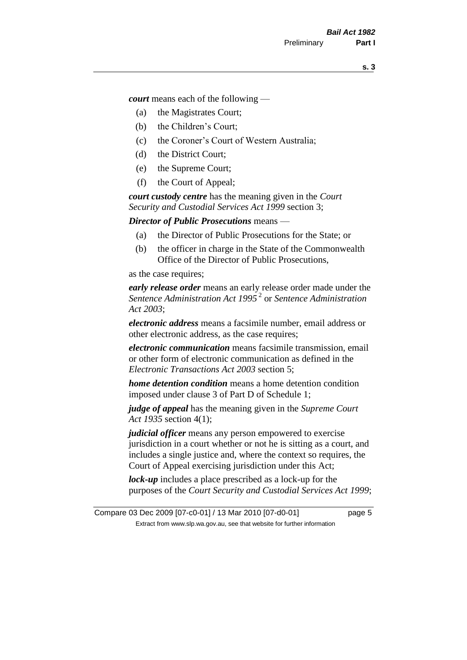*court* means each of the following —

- (a) the Magistrates Court;
- (b) the Children's Court;
- (c) the Coroner's Court of Western Australia;
- (d) the District Court;
- (e) the Supreme Court;
- (f) the Court of Appeal;

*court custody centre* has the meaning given in the *Court Security and Custodial Services Act 1999* section 3;

*Director of Public Prosecutions* means —

- (a) the Director of Public Prosecutions for the State; or
- (b) the officer in charge in the State of the Commonwealth Office of the Director of Public Prosecutions,

as the case requires;

*early release order* means an early release order made under the *Sentence Administration Act 1995* <sup>2</sup> or *Sentence Administration Act 2003*;

*electronic address* means a facsimile number, email address or other electronic address, as the case requires;

*electronic communication* means facsimile transmission, email or other form of electronic communication as defined in the *Electronic Transactions Act 2003* section 5;

*home detention condition* means a home detention condition imposed under clause 3 of Part D of Schedule 1;

*judge of appeal* has the meaning given in the *Supreme Court Act 1935* section 4(1);

*judicial officer* means any person empowered to exercise jurisdiction in a court whether or not he is sitting as a court, and includes a single justice and, where the context so requires, the Court of Appeal exercising jurisdiction under this Act;

*lock-up* includes a place prescribed as a lock-up for the purposes of the *Court Security and Custodial Services Act 1999*;

Compare 03 Dec 2009 [07-c0-01] / 13 Mar 2010 [07-d0-01] page 5 Extract from www.slp.wa.gov.au, see that website for further information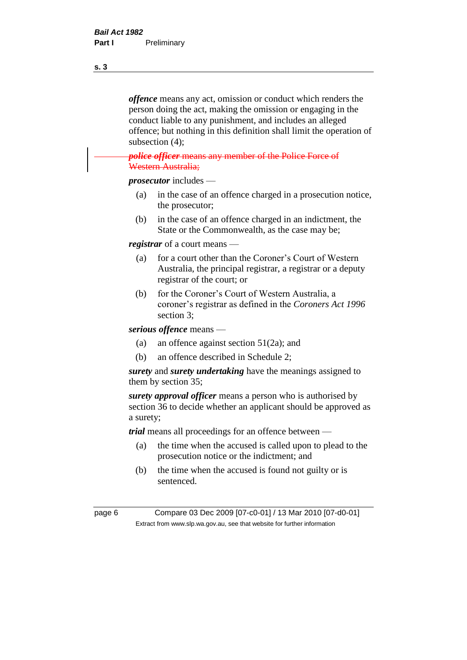*offence* means any act, omission or conduct which renders the person doing the act, making the omission or engaging in the conduct liable to any punishment, and includes an alleged offence; but nothing in this definition shall limit the operation of subsection (4);

#### *police officer* means any member of the Police Force of Western Australia;

*prosecutor* includes —

- (a) in the case of an offence charged in a prosecution notice, the prosecutor;
- (b) in the case of an offence charged in an indictment, the State or the Commonwealth, as the case may be;

*registrar* of a court means —

- (a) for a court other than the Coroner's Court of Western Australia, the principal registrar, a registrar or a deputy registrar of the court; or
- (b) for the Coroner's Court of Western Australia, a coroner's registrar as defined in the *Coroners Act 1996* section 3;

*serious offence* means —

- (a) an offence against section 51(2a); and
- (b) an offence described in Schedule 2;

*surety* and *surety undertaking* have the meanings assigned to them by section 35;

*surety approval officer* means a person who is authorised by section 36 to decide whether an applicant should be approved as a surety;

*trial* means all proceedings for an offence between —

- (a) the time when the accused is called upon to plead to the prosecution notice or the indictment; and
- (b) the time when the accused is found not guilty or is sentenced.

page 6 Compare 03 Dec 2009 [07-c0-01] / 13 Mar 2010 [07-d0-01] Extract from www.slp.wa.gov.au, see that website for further information

**s. 3**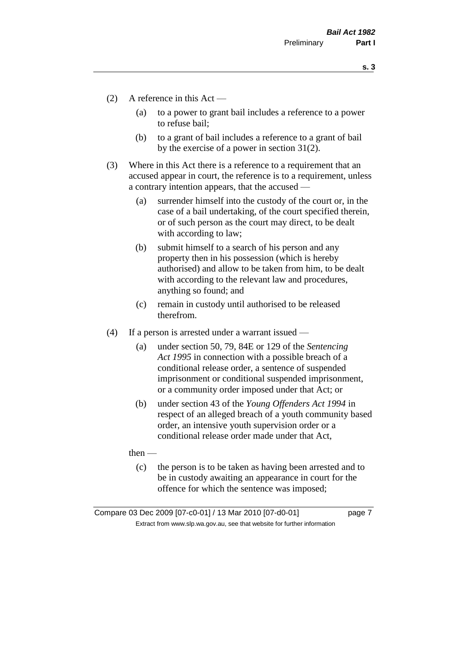- (2) A reference in this Act
	- (a) to a power to grant bail includes a reference to a power to refuse bail;
	- (b) to a grant of bail includes a reference to a grant of bail by the exercise of a power in section 31(2).
- (3) Where in this Act there is a reference to a requirement that an accused appear in court, the reference is to a requirement, unless a contrary intention appears, that the accused —
	- (a) surrender himself into the custody of the court or, in the case of a bail undertaking, of the court specified therein, or of such person as the court may direct, to be dealt with according to law;
	- (b) submit himself to a search of his person and any property then in his possession (which is hereby authorised) and allow to be taken from him, to be dealt with according to the relevant law and procedures, anything so found; and
	- (c) remain in custody until authorised to be released therefrom.
- (4) If a person is arrested under a warrant issued
	- (a) under section 50, 79, 84E or 129 of the *Sentencing Act 1995* in connection with a possible breach of a conditional release order, a sentence of suspended imprisonment or conditional suspended imprisonment, or a community order imposed under that Act; or
	- (b) under section 43 of the *Young Offenders Act 1994* in respect of an alleged breach of a youth community based order, an intensive youth supervision order or a conditional release order made under that Act,
	- then
		- (c) the person is to be taken as having been arrested and to be in custody awaiting an appearance in court for the offence for which the sentence was imposed;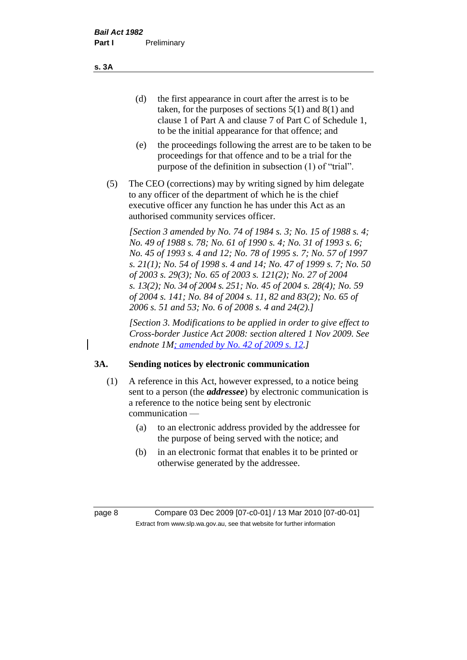(d) the first appearance in court after the arrest is to be taken, for the purposes of sections 5(1) and 8(1) and clause 1 of Part A and clause 7 of Part C of Schedule 1, to be the initial appearance for that offence; and

- (e) the proceedings following the arrest are to be taken to be proceedings for that offence and to be a trial for the purpose of the definition in subsection (1) of "trial".
- (5) The CEO (corrections) may by writing signed by him delegate to any officer of the department of which he is the chief executive officer any function he has under this Act as an authorised community services officer.

*[Section 3 amended by No. 74 of 1984 s. 3; No. 15 of 1988 s. 4; No. 49 of 1988 s. 78; No. 61 of 1990 s. 4; No. 31 of 1993 s. 6; No. 45 of 1993 s. 4 and 12; No. 78 of 1995 s. 7; No. 57 of 1997 s. 21(1); No. 54 of 1998 s. 4 and 14; No. 47 of 1999 s. 7; No. 50 of 2003 s. 29(3); No. 65 of 2003 s. 121(2); No. 27 of 2004 s. 13(2); No. 34 of 2004 s. 251; No. 45 of 2004 s. 28(4); No. 59 of 2004 s. 141; No. 84 of 2004 s. 11, 82 and 83(2); No. 65 of 2006 s. 51 and 53; No. 6 of 2008 s. 4 and 24(2).]* 

*[Section 3. Modifications to be applied in order to give effect to Cross-border Justice Act 2008: section altered 1 Nov 2009. See endnote 1M; amended by No. 42 of 2009 s. 12.]*

#### **3A. Sending notices by electronic communication**

- (1) A reference in this Act, however expressed, to a notice being sent to a person (the *addressee*) by electronic communication is a reference to the notice being sent by electronic communication —
	- (a) to an electronic address provided by the addressee for the purpose of being served with the notice; and
	- (b) in an electronic format that enables it to be printed or otherwise generated by the addressee.

page 8 Compare 03 Dec 2009 [07-c0-01] / 13 Mar 2010 [07-d0-01] Extract from www.slp.wa.gov.au, see that website for further information

**s. 3A**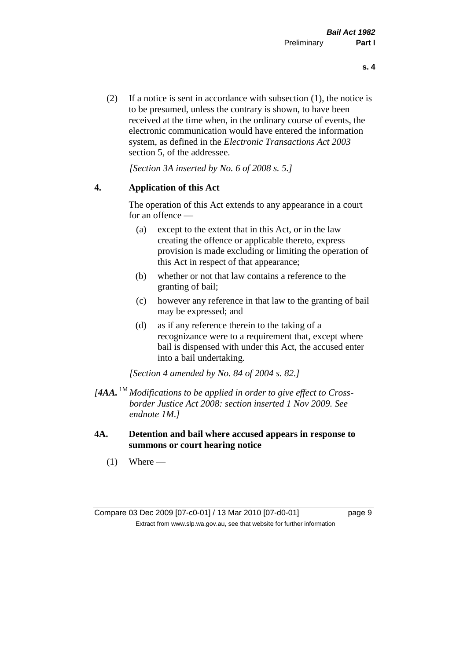(2) If a notice is sent in accordance with subsection (1), the notice is to be presumed, unless the contrary is shown, to have been received at the time when, in the ordinary course of events, the electronic communication would have entered the information system, as defined in the *Electronic Transactions Act 2003* section 5, of the addressee.

*[Section 3A inserted by No. 6 of 2008 s. 5.]*

#### **4. Application of this Act**

The operation of this Act extends to any appearance in a court for an offence —

- (a) except to the extent that in this Act, or in the law creating the offence or applicable thereto, express provision is made excluding or limiting the operation of this Act in respect of that appearance;
- (b) whether or not that law contains a reference to the granting of bail;
- (c) however any reference in that law to the granting of bail may be expressed; and
- (d) as if any reference therein to the taking of a recognizance were to a requirement that, except where bail is dispensed with under this Act, the accused enter into a bail undertaking.

*[Section 4 amended by No. 84 of 2004 s. 82.]*

- *[4AA.* 1M *Modifications to be applied in order to give effect to Crossborder Justice Act 2008: section inserted 1 Nov 2009. See endnote 1M.]*
- **4A. Detention and bail where accused appears in response to summons or court hearing notice**
	- $(1)$  Where —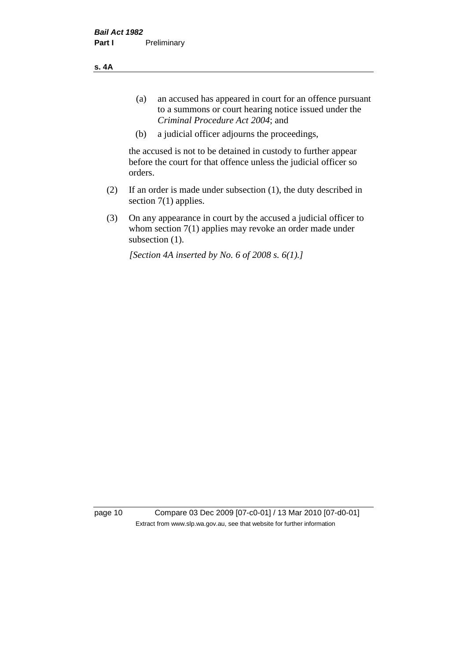**s. 4A**

- (a) an accused has appeared in court for an offence pursuant to a summons or court hearing notice issued under the *Criminal Procedure Act 2004*; and
- (b) a judicial officer adjourns the proceedings,

the accused is not to be detained in custody to further appear before the court for that offence unless the judicial officer so orders.

- (2) If an order is made under subsection (1), the duty described in section 7(1) applies.
- (3) On any appearance in court by the accused a judicial officer to whom section 7(1) applies may revoke an order made under subsection  $(1)$ .

*[Section 4A inserted by No. 6 of 2008 s. 6(1).]*

page 10 Compare 03 Dec 2009 [07-c0-01] / 13 Mar 2010 [07-d0-01] Extract from www.slp.wa.gov.au, see that website for further information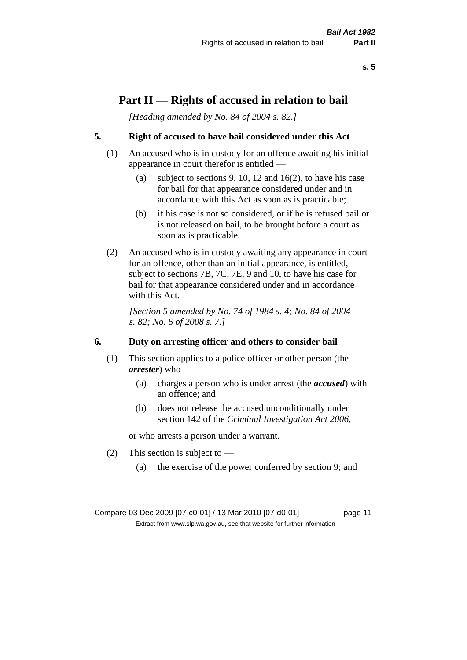# **Part II — Rights of accused in relation to bail**

*[Heading amended by No. 84 of 2004 s. 82.]* 

# **5. Right of accused to have bail considered under this Act**

- (1) An accused who is in custody for an offence awaiting his initial appearance in court therefor is entitled —
	- (a) subject to sections 9, 10, 12 and 16(2), to have his case for bail for that appearance considered under and in accordance with this Act as soon as is practicable;
	- (b) if his case is not so considered, or if he is refused bail or is not released on bail, to be brought before a court as soon as is practicable.
- (2) An accused who is in custody awaiting any appearance in court for an offence, other than an initial appearance, is entitled, subject to sections 7B, 7C, 7E, 9 and 10, to have his case for bail for that appearance considered under and in accordance with this Act.

*[Section 5 amended by No. 74 of 1984 s. 4; No. 84 of 2004 s. 82; No. 6 of 2008 s. 7.]* 

#### **6. Duty on arresting officer and others to consider bail**

- (1) This section applies to a police officer or other person (the *arrester*) who —
	- (a) charges a person who is under arrest (the *accused*) with an offence; and
	- (b) does not release the accused unconditionally under section 142 of the *Criminal Investigation Act 2006*,

or who arrests a person under a warrant.

- (2) This section is subject to  $-$ 
	- (a) the exercise of the power conferred by section 9; and

Compare 03 Dec 2009 [07-c0-01] / 13 Mar 2010 [07-d0-01] page 11 Extract from www.slp.wa.gov.au, see that website for further information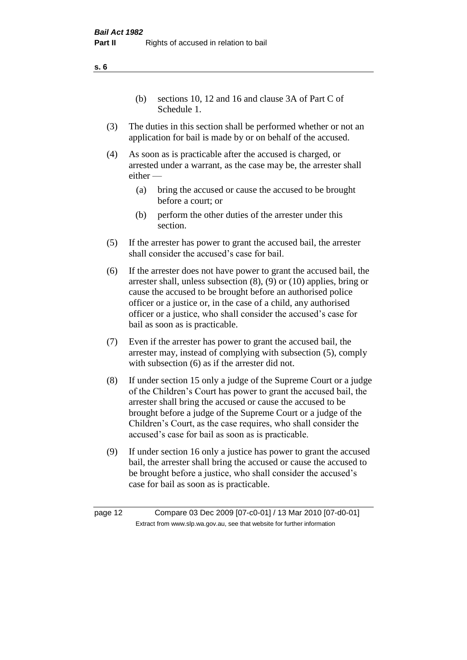(b) sections 10, 12 and 16 and clause 3A of Part C of Schedule 1.

- (3) The duties in this section shall be performed whether or not an application for bail is made by or on behalf of the accused.
- (4) As soon as is practicable after the accused is charged, or arrested under a warrant, as the case may be, the arrester shall either —
	- (a) bring the accused or cause the accused to be brought before a court; or
	- (b) perform the other duties of the arrester under this section.
- (5) If the arrester has power to grant the accused bail, the arrester shall consider the accused's case for bail.
- (6) If the arrester does not have power to grant the accused bail, the arrester shall, unless subsection (8), (9) or (10) applies, bring or cause the accused to be brought before an authorised police officer or a justice or, in the case of a child, any authorised officer or a justice, who shall consider the accused's case for bail as soon as is practicable.
- (7) Even if the arrester has power to grant the accused bail, the arrester may, instead of complying with subsection (5), comply with subsection  $(6)$  as if the arrester did not.
- (8) If under section 15 only a judge of the Supreme Court or a judge of the Children's Court has power to grant the accused bail, the arrester shall bring the accused or cause the accused to be brought before a judge of the Supreme Court or a judge of the Children's Court, as the case requires, who shall consider the accused's case for bail as soon as is practicable.
- (9) If under section 16 only a justice has power to grant the accused bail, the arrester shall bring the accused or cause the accused to be brought before a justice, who shall consider the accused's case for bail as soon as is practicable.

page 12 Compare 03 Dec 2009 [07-c0-01] / 13 Mar 2010 [07-d0-01] Extract from www.slp.wa.gov.au, see that website for further information

**s. 6**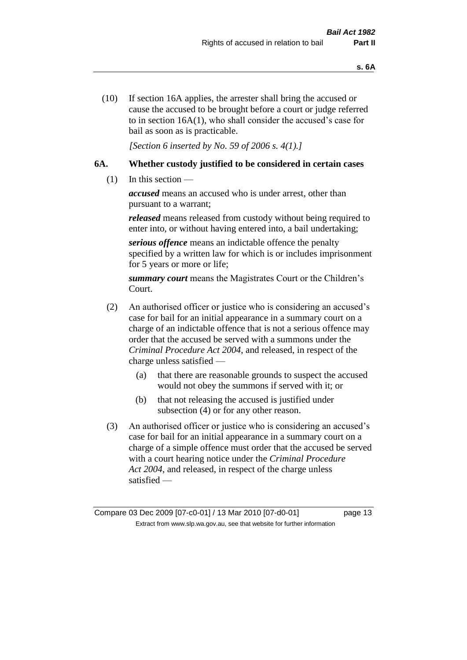(10) If section 16A applies, the arrester shall bring the accused or cause the accused to be brought before a court or judge referred to in section 16A(1), who shall consider the accused's case for bail as soon as is practicable.

*[Section 6 inserted by No. 59 of 2006 s. 4(1).]* 

# **6A. Whether custody justified to be considered in certain cases**

(1) In this section —

*accused* means an accused who is under arrest, other than pursuant to a warrant;

*released* means released from custody without being required to enter into, or without having entered into, a bail undertaking;

*serious offence* means an indictable offence the penalty specified by a written law for which is or includes imprisonment for 5 years or more or life;

*summary court* means the Magistrates Court or the Children's Court.

- (2) An authorised officer or justice who is considering an accused's case for bail for an initial appearance in a summary court on a charge of an indictable offence that is not a serious offence may order that the accused be served with a summons under the *Criminal Procedure Act 2004*, and released, in respect of the charge unless satisfied —
	- (a) that there are reasonable grounds to suspect the accused would not obey the summons if served with it; or
	- (b) that not releasing the accused is justified under subsection (4) or for any other reason.
- (3) An authorised officer or justice who is considering an accused's case for bail for an initial appearance in a summary court on a charge of a simple offence must order that the accused be served with a court hearing notice under the *Criminal Procedure Act 2004*, and released, in respect of the charge unless satisfied —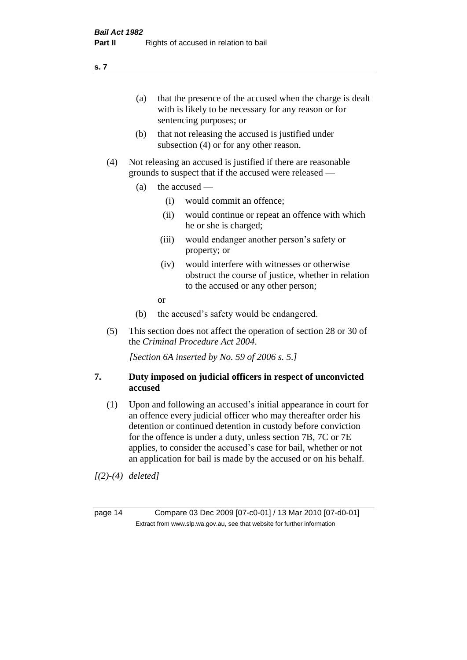(a) that the presence of the accused when the charge is dealt with is likely to be necessary for any reason or for sentencing purposes; or

- (b) that not releasing the accused is justified under subsection (4) or for any other reason.
- (4) Not releasing an accused is justified if there are reasonable grounds to suspect that if the accused were released —
	- (a) the accused
		- (i) would commit an offence;
		- (ii) would continue or repeat an offence with which he or she is charged;
		- (iii) would endanger another person's safety or property; or
		- (iv) would interfere with witnesses or otherwise obstruct the course of justice, whether in relation to the accused or any other person;
		- or
	- (b) the accused's safety would be endangered.
- (5) This section does not affect the operation of section 28 or 30 of the *Criminal Procedure Act 2004*.

*[Section 6A inserted by No. 59 of 2006 s. 5.]* 

#### **7. Duty imposed on judicial officers in respect of unconvicted accused**

(1) Upon and following an accused's initial appearance in court for an offence every judicial officer who may thereafter order his detention or continued detention in custody before conviction for the offence is under a duty, unless section 7B, 7C or 7E applies, to consider the accused's case for bail, whether or not an application for bail is made by the accused or on his behalf.

*[(2)-(4) deleted]*

page 14 Compare 03 Dec 2009 [07-c0-01] / 13 Mar 2010 [07-d0-01] Extract from www.slp.wa.gov.au, see that website for further information

**s. 7**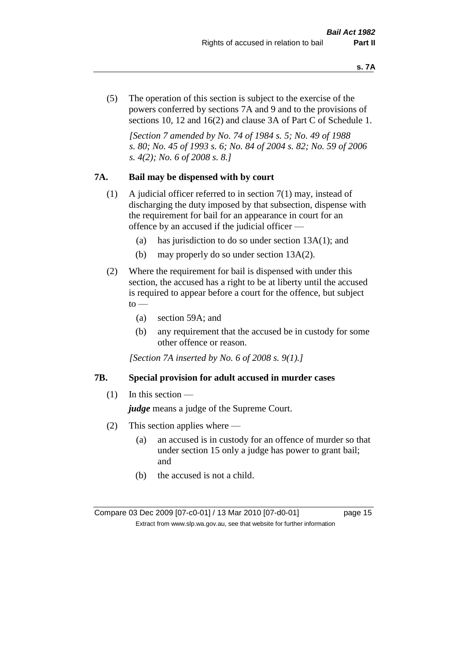(5) The operation of this section is subject to the exercise of the powers conferred by sections 7A and 9 and to the provisions of sections 10, 12 and 16(2) and clause 3A of Part C of Schedule 1.

*[Section 7 amended by No. 74 of 1984 s. 5; No. 49 of 1988 s. 80; No. 45 of 1993 s. 6; No. 84 of 2004 s. 82; No. 59 of 2006 s. 4(2); No. 6 of 2008 s. 8.]* 

#### **7A. Bail may be dispensed with by court**

- (1) A judicial officer referred to in section 7(1) may, instead of discharging the duty imposed by that subsection, dispense with the requirement for bail for an appearance in court for an offence by an accused if the judicial officer —
	- (a) has jurisdiction to do so under section 13A(1); and
	- (b) may properly do so under section 13A(2).
- (2) Where the requirement for bail is dispensed with under this section, the accused has a right to be at liberty until the accused is required to appear before a court for the offence, but subject  $\mathrm{to}$  —
	- (a) section 59A; and
	- (b) any requirement that the accused be in custody for some other offence or reason.

*[Section 7A inserted by No. 6 of 2008 s. 9(1).]*

#### **7B. Special provision for adult accused in murder cases**

 $(1)$  In this section —

*judge* means a judge of the Supreme Court.

- (2) This section applies where
	- (a) an accused is in custody for an offence of murder so that under section 15 only a judge has power to grant bail; and
	- (b) the accused is not a child.

Compare 03 Dec 2009 [07-c0-01] / 13 Mar 2010 [07-d0-01] page 15 Extract from www.slp.wa.gov.au, see that website for further information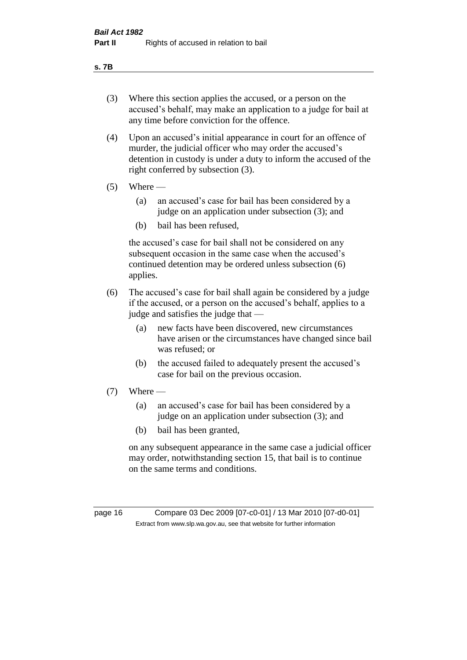#### **s. 7B**

- (3) Where this section applies the accused, or a person on the accused's behalf, may make an application to a judge for bail at any time before conviction for the offence.
- (4) Upon an accused's initial appearance in court for an offence of murder, the judicial officer who may order the accused's detention in custody is under a duty to inform the accused of the right conferred by subsection (3).
- $(5)$  Where
	- (a) an accused's case for bail has been considered by a judge on an application under subsection (3); and
	- (b) bail has been refused,

the accused's case for bail shall not be considered on any subsequent occasion in the same case when the accused's continued detention may be ordered unless subsection (6) applies.

- (6) The accused's case for bail shall again be considered by a judge if the accused, or a person on the accused's behalf, applies to a judge and satisfies the judge that —
	- (a) new facts have been discovered, new circumstances have arisen or the circumstances have changed since bail was refused; or
	- (b) the accused failed to adequately present the accused's case for bail on the previous occasion.
- $(7)$  Where
	- (a) an accused's case for bail has been considered by a judge on an application under subsection (3); and
	- (b) bail has been granted,

on any subsequent appearance in the same case a judicial officer may order, notwithstanding section 15, that bail is to continue on the same terms and conditions.

page 16 Compare 03 Dec 2009 [07-c0-01] / 13 Mar 2010 [07-d0-01] Extract from www.slp.wa.gov.au, see that website for further information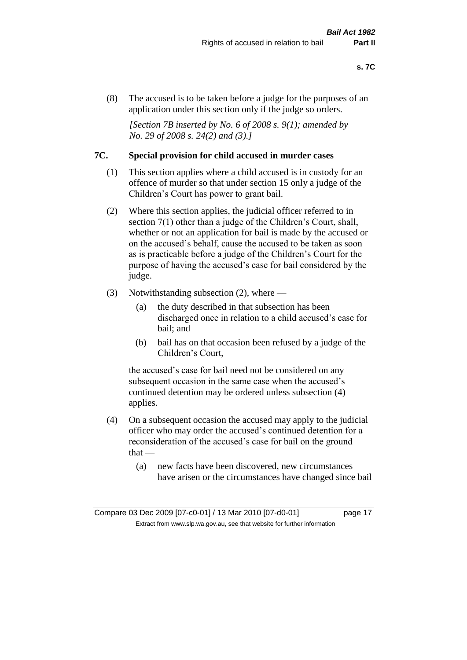(8) The accused is to be taken before a judge for the purposes of an application under this section only if the judge so orders.

*[Section 7B inserted by No. 6 of 2008 s. 9(1); amended by No. 29 of 2008 s. 24(2) and (3).]*

#### **7C. Special provision for child accused in murder cases**

- (1) This section applies where a child accused is in custody for an offence of murder so that under section 15 only a judge of the Children's Court has power to grant bail.
- (2) Where this section applies, the judicial officer referred to in section 7(1) other than a judge of the Children's Court, shall, whether or not an application for bail is made by the accused or on the accused's behalf, cause the accused to be taken as soon as is practicable before a judge of the Children's Court for the purpose of having the accused's case for bail considered by the judge.
- (3) Notwithstanding subsection (2), where
	- (a) the duty described in that subsection has been discharged once in relation to a child accused's case for bail; and
	- (b) bail has on that occasion been refused by a judge of the Children's Court,

the accused's case for bail need not be considered on any subsequent occasion in the same case when the accused's continued detention may be ordered unless subsection (4) applies.

- (4) On a subsequent occasion the accused may apply to the judicial officer who may order the accused's continued detention for a reconsideration of the accused's case for bail on the ground  $that -$ 
	- (a) new facts have been discovered, new circumstances have arisen or the circumstances have changed since bail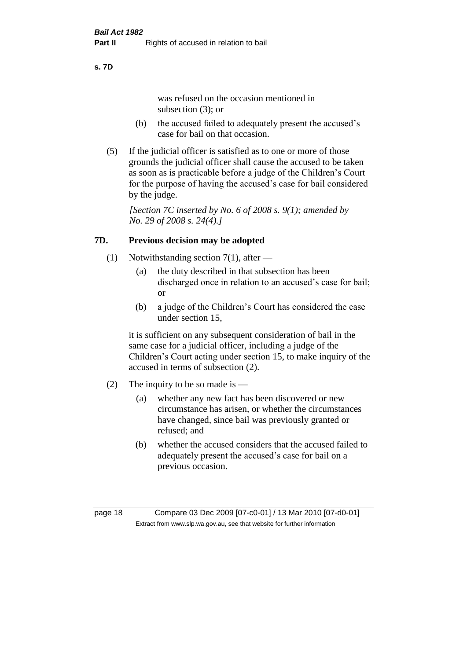#### **s. 7D**

was refused on the occasion mentioned in subsection (3); or

- (b) the accused failed to adequately present the accused's case for bail on that occasion.
- (5) If the judicial officer is satisfied as to one or more of those grounds the judicial officer shall cause the accused to be taken as soon as is practicable before a judge of the Children's Court for the purpose of having the accused's case for bail considered by the judge.

*[Section 7C inserted by No. 6 of 2008 s. 9(1); amended by No. 29 of 2008 s. 24(4).]*

# **7D. Previous decision may be adopted**

- (1) Notwithstanding section 7(1), after
	- (a) the duty described in that subsection has been discharged once in relation to an accused's case for bail; or
	- (b) a judge of the Children's Court has considered the case under section 15,

it is sufficient on any subsequent consideration of bail in the same case for a judicial officer, including a judge of the Children's Court acting under section 15, to make inquiry of the accused in terms of subsection (2).

- (2) The inquiry to be so made is  $-$ 
	- (a) whether any new fact has been discovered or new circumstance has arisen, or whether the circumstances have changed, since bail was previously granted or refused; and
	- (b) whether the accused considers that the accused failed to adequately present the accused's case for bail on a previous occasion.

page 18 Compare 03 Dec 2009 [07-c0-01] / 13 Mar 2010 [07-d0-01] Extract from www.slp.wa.gov.au, see that website for further information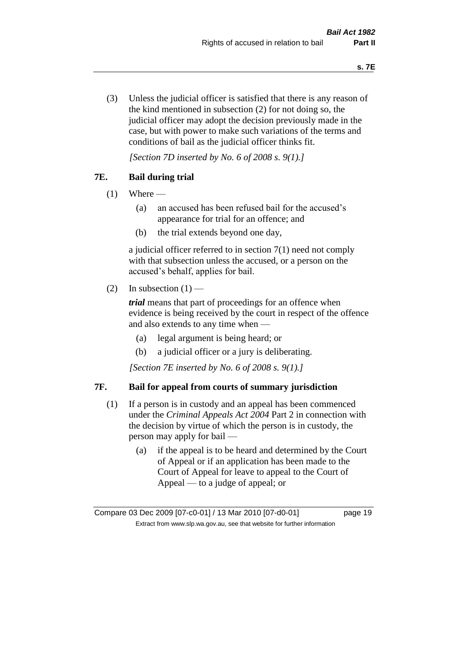(3) Unless the judicial officer is satisfied that there is any reason of the kind mentioned in subsection (2) for not doing so, the judicial officer may adopt the decision previously made in the case, but with power to make such variations of the terms and conditions of bail as the judicial officer thinks fit.

*[Section 7D inserted by No. 6 of 2008 s. 9(1).]*

# **7E. Bail during trial**

- $(1)$  Where
	- (a) an accused has been refused bail for the accused's appearance for trial for an offence; and
	- (b) the trial extends beyond one day,

a judicial officer referred to in section 7(1) need not comply with that subsection unless the accused, or a person on the accused's behalf, applies for bail.

(2) In subsection  $(1)$  —

*trial* means that part of proceedings for an offence when evidence is being received by the court in respect of the offence and also extends to any time when —

- (a) legal argument is being heard; or
- (b) a judicial officer or a jury is deliberating.

*[Section 7E inserted by No. 6 of 2008 s. 9(1).]*

#### **7F. Bail for appeal from courts of summary jurisdiction**

- (1) If a person is in custody and an appeal has been commenced under the *Criminal Appeals Act 2004* Part 2 in connection with the decision by virtue of which the person is in custody, the person may apply for bail —
	- (a) if the appeal is to be heard and determined by the Court of Appeal or if an application has been made to the Court of Appeal for leave to appeal to the Court of Appeal — to a judge of appeal; or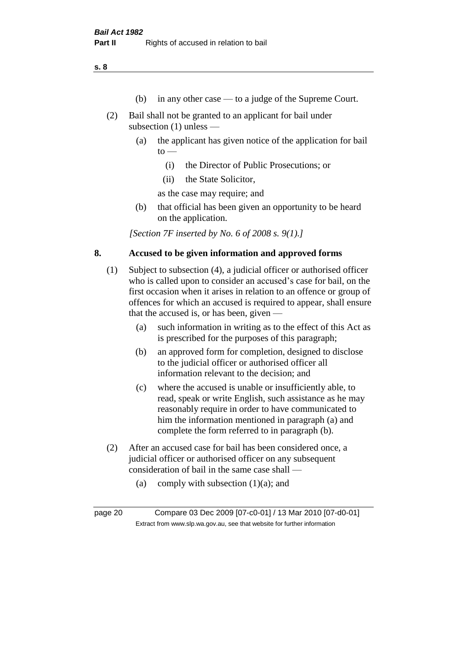- (b) in any other case to a judge of the Supreme Court.
- (2) Bail shall not be granted to an applicant for bail under subsection (1) unless —
	- (a) the applicant has given notice of the application for bail  $to -$ 
		- (i) the Director of Public Prosecutions; or
		- (ii) the State Solicitor,

as the case may require; and

(b) that official has been given an opportunity to be heard on the application.

*[Section 7F inserted by No. 6 of 2008 s. 9(1).]*

#### **8. Accused to be given information and approved forms**

- (1) Subject to subsection (4), a judicial officer or authorised officer who is called upon to consider an accused's case for bail, on the first occasion when it arises in relation to an offence or group of offences for which an accused is required to appear, shall ensure that the accused is, or has been, given —
	- (a) such information in writing as to the effect of this Act as is prescribed for the purposes of this paragraph;
	- (b) an approved form for completion, designed to disclose to the judicial officer or authorised officer all information relevant to the decision; and
	- (c) where the accused is unable or insufficiently able, to read, speak or write English, such assistance as he may reasonably require in order to have communicated to him the information mentioned in paragraph (a) and complete the form referred to in paragraph (b).
- (2) After an accused case for bail has been considered once, a judicial officer or authorised officer on any subsequent consideration of bail in the same case shall —
	- (a) comply with subsection  $(1)(a)$ ; and

page 20 Compare 03 Dec 2009 [07-c0-01] / 13 Mar 2010 [07-d0-01] Extract from www.slp.wa.gov.au, see that website for further information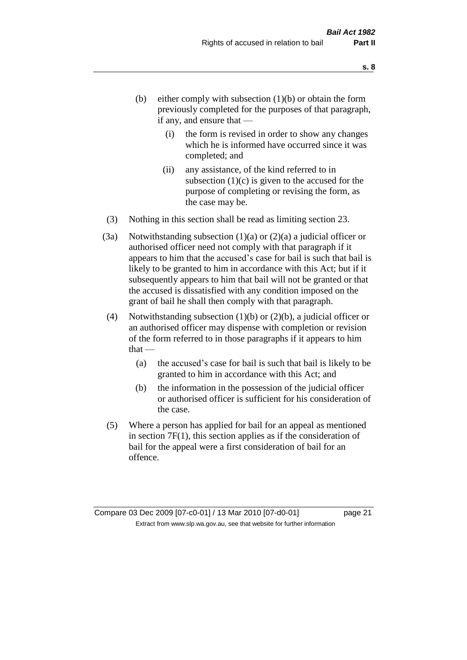- (b) either comply with subsection  $(1)(b)$  or obtain the form previously completed for the purposes of that paragraph, if any, and ensure that —
	- (i) the form is revised in order to show any changes which he is informed have occurred since it was completed; and
	- (ii) any assistance, of the kind referred to in subsection  $(1)(c)$  is given to the accused for the purpose of completing or revising the form, as the case may be.
- (3) Nothing in this section shall be read as limiting section 23.
- (3a) Notwithstanding subsection  $(1)(a)$  or  $(2)(a)$  a judicial officer or authorised officer need not comply with that paragraph if it appears to him that the accused's case for bail is such that bail is likely to be granted to him in accordance with this Act; but if it subsequently appears to him that bail will not be granted or that the accused is dissatisfied with any condition imposed on the grant of bail he shall then comply with that paragraph.
- (4) Notwithstanding subsection (1)(b) or (2)(b), a judicial officer or an authorised officer may dispense with completion or revision of the form referred to in those paragraphs if it appears to him  $that -$ 
	- (a) the accused's case for bail is such that bail is likely to be granted to him in accordance with this Act; and
	- (b) the information in the possession of the judicial officer or authorised officer is sufficient for his consideration of the case.
- (5) Where a person has applied for bail for an appeal as mentioned in section 7F(1), this section applies as if the consideration of bail for the appeal were a first consideration of bail for an offence.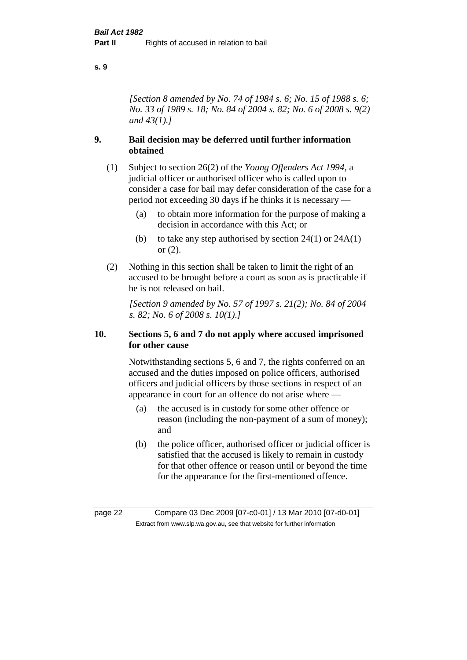*[Section 8 amended by No. 74 of 1984 s. 6; No. 15 of 1988 s. 6; No. 33 of 1989 s. 18; No. 84 of 2004 s. 82; No. 6 of 2008 s. 9(2) and 43(1).]* 

#### **9. Bail decision may be deferred until further information obtained**

- (1) Subject to section 26(2) of the *Young Offenders Act 1994*, a judicial officer or authorised officer who is called upon to consider a case for bail may defer consideration of the case for a period not exceeding 30 days if he thinks it is necessary —
	- (a) to obtain more information for the purpose of making a decision in accordance with this Act; or
	- (b) to take any step authorised by section  $24(1)$  or  $24A(1)$ or (2).
- (2) Nothing in this section shall be taken to limit the right of an accused to be brought before a court as soon as is practicable if he is not released on bail.

*[Section 9 amended by No. 57 of 1997 s. 21(2); No. 84 of 2004 s. 82; No. 6 of 2008 s. 10(1).]*

#### **10. Sections 5, 6 and 7 do not apply where accused imprisoned for other cause**

Notwithstanding sections 5, 6 and 7, the rights conferred on an accused and the duties imposed on police officers, authorised officers and judicial officers by those sections in respect of an appearance in court for an offence do not arise where —

- (a) the accused is in custody for some other offence or reason (including the non-payment of a sum of money); and
- (b) the police officer, authorised officer or judicial officer is satisfied that the accused is likely to remain in custody for that other offence or reason until or beyond the time for the appearance for the first-mentioned offence.

page 22 Compare 03 Dec 2009 [07-c0-01] / 13 Mar 2010 [07-d0-01] Extract from www.slp.wa.gov.au, see that website for further information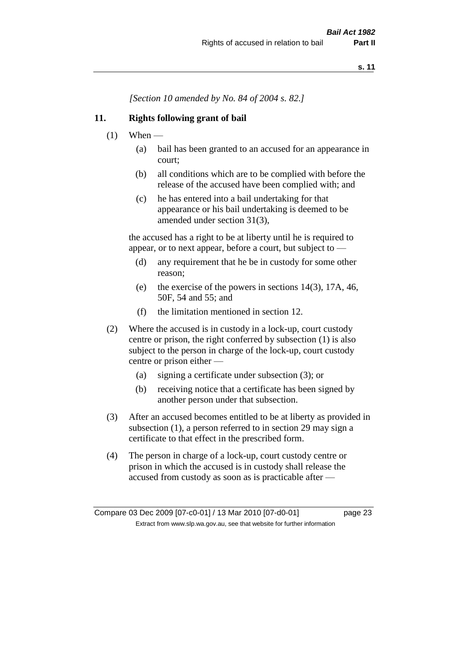*[Section 10 amended by No. 84 of 2004 s. 82.]*

#### **11. Rights following grant of bail**

- $(1)$  When
	- (a) bail has been granted to an accused for an appearance in court;
	- (b) all conditions which are to be complied with before the release of the accused have been complied with; and
	- (c) he has entered into a bail undertaking for that appearance or his bail undertaking is deemed to be amended under section 31(3),

the accused has a right to be at liberty until he is required to appear, or to next appear, before a court, but subject to —

- (d) any requirement that he be in custody for some other reason;
- (e) the exercise of the powers in sections 14(3), 17A, 46, 50F, 54 and 55; and
- (f) the limitation mentioned in section 12.
- (2) Where the accused is in custody in a lock-up, court custody centre or prison, the right conferred by subsection (1) is also subject to the person in charge of the lock-up, court custody centre or prison either —
	- (a) signing a certificate under subsection (3); or
	- (b) receiving notice that a certificate has been signed by another person under that subsection.
- (3) After an accused becomes entitled to be at liberty as provided in subsection (1), a person referred to in section 29 may sign a certificate to that effect in the prescribed form.
- (4) The person in charge of a lock-up, court custody centre or prison in which the accused is in custody shall release the accused from custody as soon as is practicable after —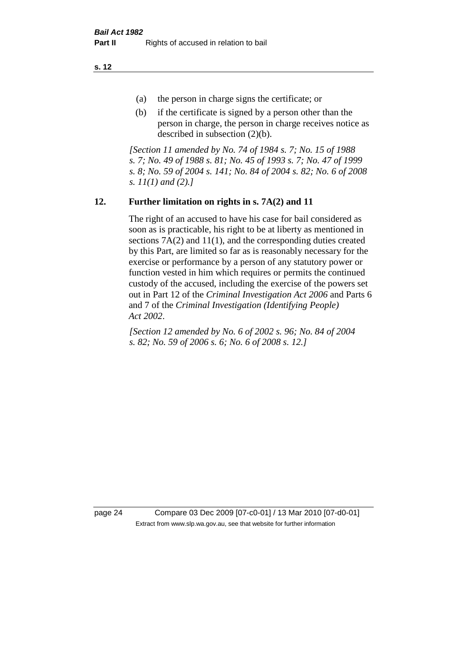- (a) the person in charge signs the certificate; or
- (b) if the certificate is signed by a person other than the person in charge, the person in charge receives notice as described in subsection (2)(b).

*[Section 11 amended by No. 74 of 1984 s. 7; No. 15 of 1988 s. 7; No. 49 of 1988 s. 81; No. 45 of 1993 s. 7; No. 47 of 1999 s. 8; No. 59 of 2004 s. 141; No. 84 of 2004 s. 82; No. 6 of 2008 s. 11(1) and (2).]* 

# **12. Further limitation on rights in s. 7A(2) and 11**

The right of an accused to have his case for bail considered as soon as is practicable, his right to be at liberty as mentioned in sections 7A(2) and 11(1), and the corresponding duties created by this Part, are limited so far as is reasonably necessary for the exercise or performance by a person of any statutory power or function vested in him which requires or permits the continued custody of the accused, including the exercise of the powers set out in Part 12 of the *Criminal Investigation Act 2006* and Parts 6 and 7 of the *Criminal Investigation (Identifying People) Act 2002*.

*[Section 12 amended by No. 6 of 2002 s. 96; No. 84 of 2004 s. 82; No. 59 of 2006 s. 6; No. 6 of 2008 s. 12.]*

page 24 Compare 03 Dec 2009 [07-c0-01] / 13 Mar 2010 [07-d0-01] Extract from www.slp.wa.gov.au, see that website for further information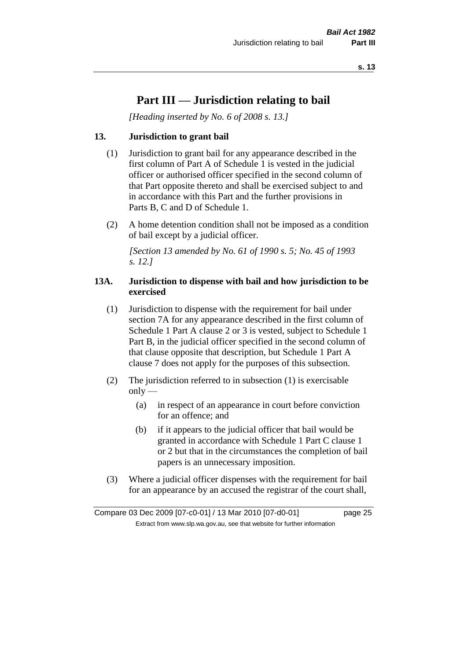# **Part III — Jurisdiction relating to bail**

*[Heading inserted by No. 6 of 2008 s. 13.]*

# **13. Jurisdiction to grant bail**

- (1) Jurisdiction to grant bail for any appearance described in the first column of Part A of Schedule 1 is vested in the judicial officer or authorised officer specified in the second column of that Part opposite thereto and shall be exercised subject to and in accordance with this Part and the further provisions in Parts B, C and D of Schedule 1.
- (2) A home detention condition shall not be imposed as a condition of bail except by a judicial officer.

*[Section 13 amended by No. 61 of 1990 s. 5; No. 45 of 1993 s. 12.]* 

#### **13A. Jurisdiction to dispense with bail and how jurisdiction to be exercised**

- (1) Jurisdiction to dispense with the requirement for bail under section 7A for any appearance described in the first column of Schedule 1 Part A clause 2 or 3 is vested, subject to Schedule 1 Part B, in the judicial officer specified in the second column of that clause opposite that description, but Schedule 1 Part A clause 7 does not apply for the purposes of this subsection.
- (2) The jurisdiction referred to in subsection (1) is exercisable  $only$ —
	- (a) in respect of an appearance in court before conviction for an offence; and
	- (b) if it appears to the judicial officer that bail would be granted in accordance with Schedule 1 Part C clause 1 or 2 but that in the circumstances the completion of bail papers is an unnecessary imposition.
- (3) Where a judicial officer dispenses with the requirement for bail for an appearance by an accused the registrar of the court shall,

Compare 03 Dec 2009 [07-c0-01] / 13 Mar 2010 [07-d0-01] page 25 Extract from www.slp.wa.gov.au, see that website for further information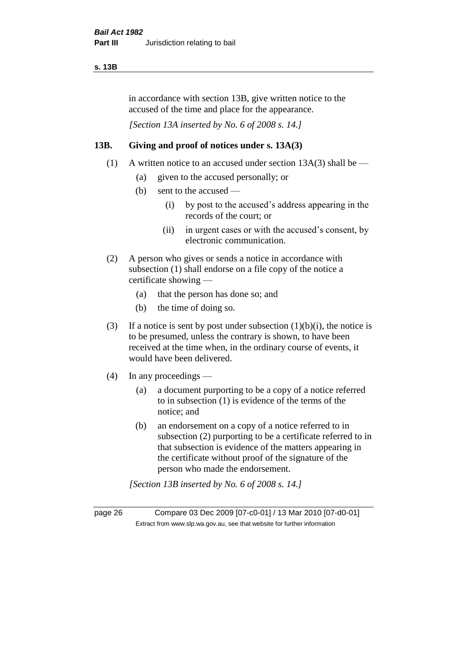#### **s. 13B**

in accordance with section 13B, give written notice to the accused of the time and place for the appearance.

*[Section 13A inserted by No. 6 of 2008 s. 14.]*

# **13B. Giving and proof of notices under s. 13A(3)**

- (1) A written notice to an accused under section  $13A(3)$  shall be
	- (a) given to the accused personally; or
	- (b) sent to the accused
		- (i) by post to the accused's address appearing in the records of the court; or
		- (ii) in urgent cases or with the accused's consent, by electronic communication.
- (2) A person who gives or sends a notice in accordance with subsection (1) shall endorse on a file copy of the notice a certificate showing —
	- (a) that the person has done so; and
	- (b) the time of doing so.
- (3) If a notice is sent by post under subsection  $(1)(b)(i)$ , the notice is to be presumed, unless the contrary is shown, to have been received at the time when, in the ordinary course of events, it would have been delivered.
- (4) In any proceedings
	- (a) a document purporting to be a copy of a notice referred to in subsection (1) is evidence of the terms of the notice; and
	- (b) an endorsement on a copy of a notice referred to in subsection (2) purporting to be a certificate referred to in that subsection is evidence of the matters appearing in the certificate without proof of the signature of the person who made the endorsement.

*[Section 13B inserted by No. 6 of 2008 s. 14.]*

page 26 Compare 03 Dec 2009 [07-c0-01] / 13 Mar 2010 [07-d0-01] Extract from www.slp.wa.gov.au, see that website for further information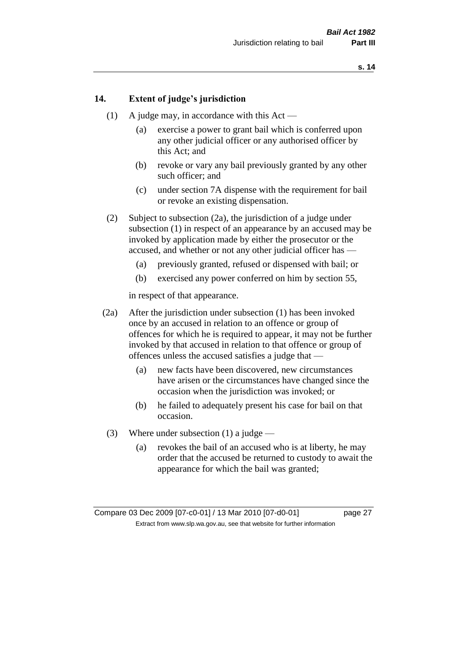#### **14. Extent of judge's jurisdiction**

- (1) A judge may, in accordance with this Act
	- (a) exercise a power to grant bail which is conferred upon any other judicial officer or any authorised officer by this Act; and
	- (b) revoke or vary any bail previously granted by any other such officer; and
	- (c) under section 7A dispense with the requirement for bail or revoke an existing dispensation.
- (2) Subject to subsection (2a), the jurisdiction of a judge under subsection (1) in respect of an appearance by an accused may be invoked by application made by either the prosecutor or the accused, and whether or not any other judicial officer has —
	- (a) previously granted, refused or dispensed with bail; or
	- (b) exercised any power conferred on him by section 55,

in respect of that appearance.

- (2a) After the jurisdiction under subsection (1) has been invoked once by an accused in relation to an offence or group of offences for which he is required to appear, it may not be further invoked by that accused in relation to that offence or group of offences unless the accused satisfies a judge that —
	- (a) new facts have been discovered, new circumstances have arisen or the circumstances have changed since the occasion when the jurisdiction was invoked; or
	- (b) he failed to adequately present his case for bail on that occasion.
- (3) Where under subsection (1) a judge
	- (a) revokes the bail of an accused who is at liberty, he may order that the accused be returned to custody to await the appearance for which the bail was granted;

Compare 03 Dec 2009 [07-c0-01] / 13 Mar 2010 [07-d0-01] page 27 Extract from www.slp.wa.gov.au, see that website for further information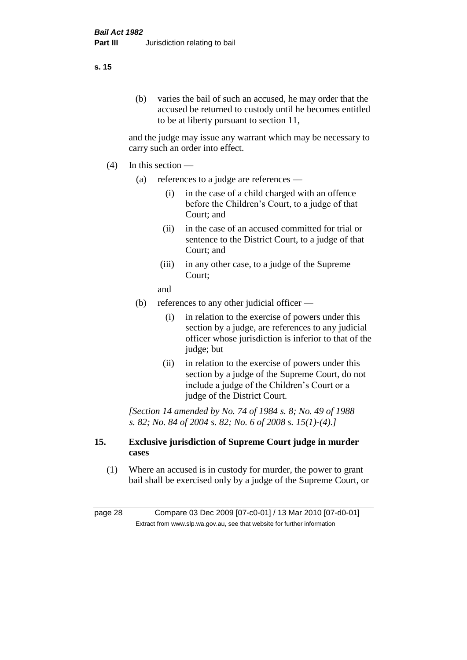(b) varies the bail of such an accused, he may order that the accused be returned to custody until he becomes entitled to be at liberty pursuant to section 11,

and the judge may issue any warrant which may be necessary to carry such an order into effect.

- $(4)$  In this section
	- (a) references to a judge are references
		- (i) in the case of a child charged with an offence before the Children's Court, to a judge of that Court; and
		- (ii) in the case of an accused committed for trial or sentence to the District Court, to a judge of that Court; and
		- (iii) in any other case, to a judge of the Supreme Court;

and

- (b) references to any other judicial officer
	- (i) in relation to the exercise of powers under this section by a judge, are references to any judicial officer whose jurisdiction is inferior to that of the judge; but
	- (ii) in relation to the exercise of powers under this section by a judge of the Supreme Court, do not include a judge of the Children's Court or a judge of the District Court.

*[Section 14 amended by No. 74 of 1984 s. 8; No. 49 of 1988 s. 82; No. 84 of 2004 s. 82; No. 6 of 2008 s. 15(1)-(4).]* 

#### **15. Exclusive jurisdiction of Supreme Court judge in murder cases**

(1) Where an accused is in custody for murder, the power to grant bail shall be exercised only by a judge of the Supreme Court, or

page 28 Compare 03 Dec 2009 [07-c0-01] / 13 Mar 2010 [07-d0-01] Extract from www.slp.wa.gov.au, see that website for further information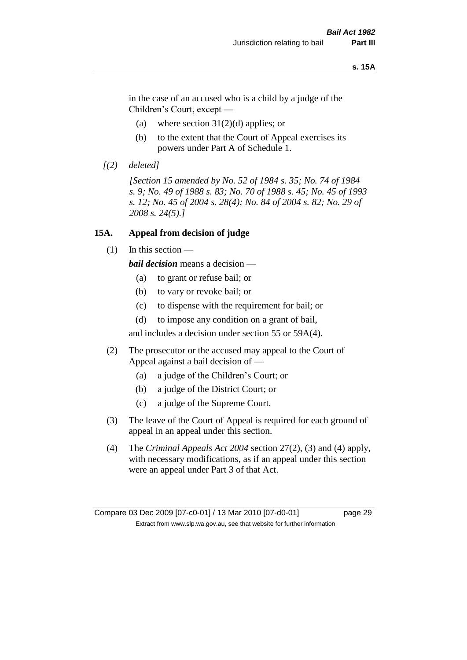#### **s. 15A**

in the case of an accused who is a child by a judge of the Children's Court, except —

- (a) where section  $31(2)(d)$  applies; or
- (b) to the extent that the Court of Appeal exercises its powers under Part A of Schedule 1.
- *[(2) deleted]*

*[Section 15 amended by No. 52 of 1984 s. 35; No. 74 of 1984 s. 9; No. 49 of 1988 s. 83; No. 70 of 1988 s. 45; No. 45 of 1993 s. 12; No. 45 of 2004 s. 28(4); No. 84 of 2004 s. 82; No. 29 of 2008 s. 24(5).]* 

#### **15A. Appeal from decision of judge**

(1) In this section —

*bail decision* means a decision —

- (a) to grant or refuse bail; or
- (b) to vary or revoke bail; or
- (c) to dispense with the requirement for bail; or
- (d) to impose any condition on a grant of bail,

and includes a decision under section 55 or 59A(4).

- (2) The prosecutor or the accused may appeal to the Court of Appeal against a bail decision of —
	- (a) a judge of the Children's Court; or
	- (b) a judge of the District Court; or
	- (c) a judge of the Supreme Court.
- (3) The leave of the Court of Appeal is required for each ground of appeal in an appeal under this section.
- (4) The *Criminal Appeals Act 2004* section 27(2), (3) and (4) apply, with necessary modifications, as if an appeal under this section were an appeal under Part 3 of that Act.

Compare 03 Dec 2009 [07-c0-01] / 13 Mar 2010 [07-d0-01] page 29 Extract from www.slp.wa.gov.au, see that website for further information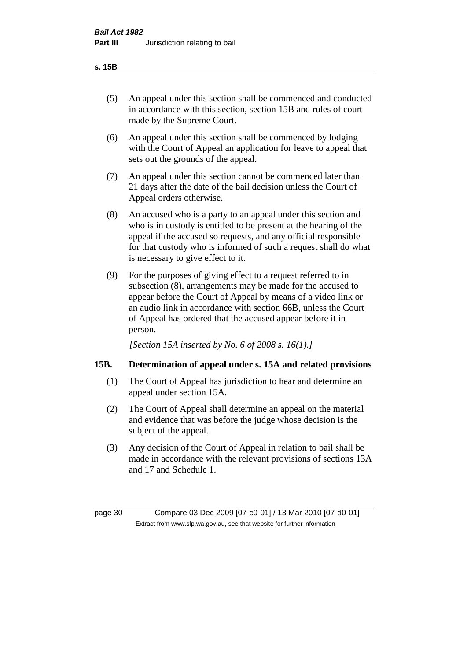#### **s. 15B**

- (5) An appeal under this section shall be commenced and conducted in accordance with this section, section 15B and rules of court made by the Supreme Court.
- (6) An appeal under this section shall be commenced by lodging with the Court of Appeal an application for leave to appeal that sets out the grounds of the appeal.
- (7) An appeal under this section cannot be commenced later than 21 days after the date of the bail decision unless the Court of Appeal orders otherwise.
- (8) An accused who is a party to an appeal under this section and who is in custody is entitled to be present at the hearing of the appeal if the accused so requests, and any official responsible for that custody who is informed of such a request shall do what is necessary to give effect to it.
- (9) For the purposes of giving effect to a request referred to in subsection (8), arrangements may be made for the accused to appear before the Court of Appeal by means of a video link or an audio link in accordance with section 66B, unless the Court of Appeal has ordered that the accused appear before it in person.

*[Section 15A inserted by No. 6 of 2008 s. 16(1).]*

# **15B. Determination of appeal under s. 15A and related provisions**

- (1) The Court of Appeal has jurisdiction to hear and determine an appeal under section 15A.
- (2) The Court of Appeal shall determine an appeal on the material and evidence that was before the judge whose decision is the subject of the appeal.
- (3) Any decision of the Court of Appeal in relation to bail shall be made in accordance with the relevant provisions of sections 13A and 17 and Schedule 1.

page 30 Compare 03 Dec 2009 [07-c0-01] / 13 Mar 2010 [07-d0-01] Extract from www.slp.wa.gov.au, see that website for further information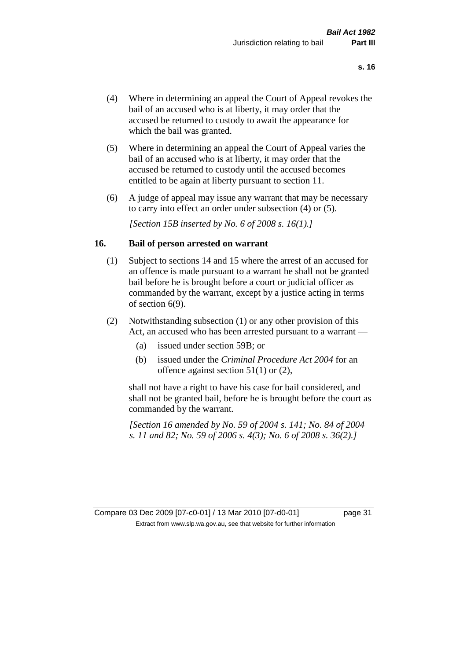- (4) Where in determining an appeal the Court of Appeal revokes the bail of an accused who is at liberty, it may order that the accused be returned to custody to await the appearance for which the bail was granted.
- (5) Where in determining an appeal the Court of Appeal varies the bail of an accused who is at liberty, it may order that the accused be returned to custody until the accused becomes entitled to be again at liberty pursuant to section 11.
- (6) A judge of appeal may issue any warrant that may be necessary to carry into effect an order under subsection (4) or (5).

*[Section 15B inserted by No. 6 of 2008 s. 16(1).]*

#### **16. Bail of person arrested on warrant**

- (1) Subject to sections 14 and 15 where the arrest of an accused for an offence is made pursuant to a warrant he shall not be granted bail before he is brought before a court or judicial officer as commanded by the warrant, except by a justice acting in terms of section 6(9).
- (2) Notwithstanding subsection (1) or any other provision of this Act, an accused who has been arrested pursuant to a warrant —
	- (a) issued under section 59B; or
	- (b) issued under the *Criminal Procedure Act 2004* for an offence against section 51(1) or (2),

shall not have a right to have his case for bail considered, and shall not be granted bail, before he is brought before the court as commanded by the warrant.

*[Section 16 amended by No. 59 of 2004 s. 141; No. 84 of 2004 s. 11 and 82; No. 59 of 2006 s. 4(3); No. 6 of 2008 s. 36(2).]*

Compare 03 Dec 2009 [07-c0-01] / 13 Mar 2010 [07-d0-01] page 31 Extract from www.slp.wa.gov.au, see that website for further information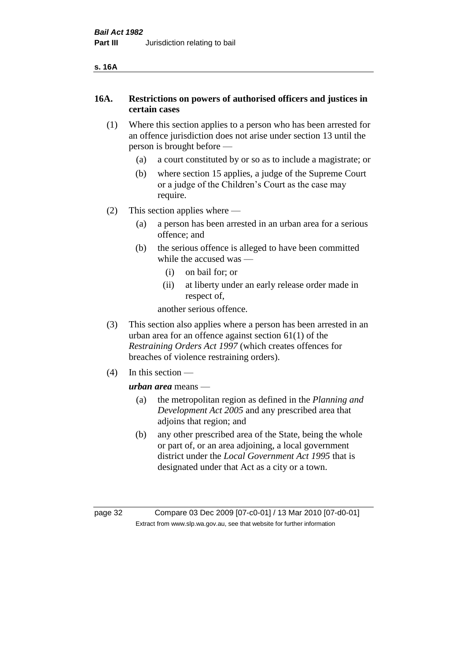# **16A. Restrictions on powers of authorised officers and justices in certain cases**

- (1) Where this section applies to a person who has been arrested for an offence jurisdiction does not arise under section 13 until the person is brought before —
	- (a) a court constituted by or so as to include a magistrate; or
	- (b) where section 15 applies, a judge of the Supreme Court or a judge of the Children's Court as the case may require.
- (2) This section applies where
	- (a) a person has been arrested in an urban area for a serious offence; and
	- (b) the serious offence is alleged to have been committed while the accused was —
		- (i) on bail for; or
		- (ii) at liberty under an early release order made in respect of,

another serious offence.

- (3) This section also applies where a person has been arrested in an urban area for an offence against section 61(1) of the *Restraining Orders Act 1997* (which creates offences for breaches of violence restraining orders).
- (4) In this section —

*urban area* means —

- (a) the metropolitan region as defined in the *Planning and Development Act 2005* and any prescribed area that adjoins that region; and
- (b) any other prescribed area of the State, being the whole or part of, or an area adjoining, a local government district under the *Local Government Act 1995* that is designated under that Act as a city or a town.

page 32 Compare 03 Dec 2009 [07-c0-01] / 13 Mar 2010 [07-d0-01] Extract from www.slp.wa.gov.au, see that website for further information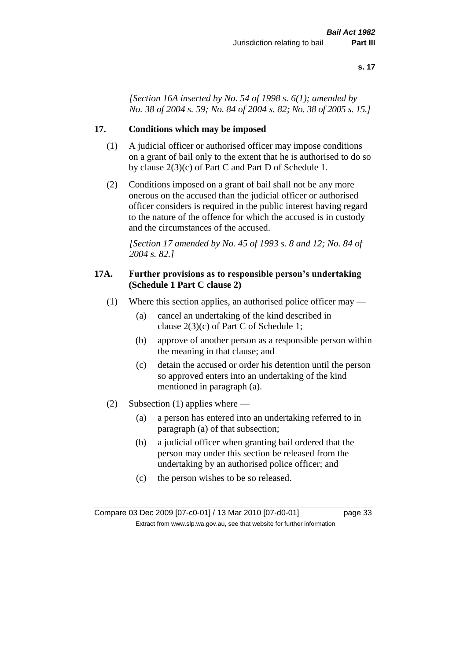*[Section 16A inserted by No. 54 of 1998 s. 6(1); amended by No. 38 of 2004 s. 59; No. 84 of 2004 s. 82; No. 38 of 2005 s. 15.]*

#### **17. Conditions which may be imposed**

- (1) A judicial officer or authorised officer may impose conditions on a grant of bail only to the extent that he is authorised to do so by clause 2(3)(c) of Part C and Part D of Schedule 1.
- (2) Conditions imposed on a grant of bail shall not be any more onerous on the accused than the judicial officer or authorised officer considers is required in the public interest having regard to the nature of the offence for which the accused is in custody and the circumstances of the accused.

*[Section 17 amended by No. 45 of 1993 s. 8 and 12; No. 84 of 2004 s. 82.]* 

#### **17A. Further provisions as to responsible person's undertaking (Schedule 1 Part C clause 2)**

- (1) Where this section applies, an authorised police officer may
	- (a) cancel an undertaking of the kind described in clause 2(3)(c) of Part C of Schedule 1;
	- (b) approve of another person as a responsible person within the meaning in that clause; and
	- (c) detain the accused or order his detention until the person so approved enters into an undertaking of the kind mentioned in paragraph (a).
- (2) Subsection (1) applies where
	- (a) a person has entered into an undertaking referred to in paragraph (a) of that subsection;
	- (b) a judicial officer when granting bail ordered that the person may under this section be released from the undertaking by an authorised police officer; and
	- (c) the person wishes to be so released.

Compare 03 Dec 2009 [07-c0-01] / 13 Mar 2010 [07-d0-01] page 33 Extract from www.slp.wa.gov.au, see that website for further information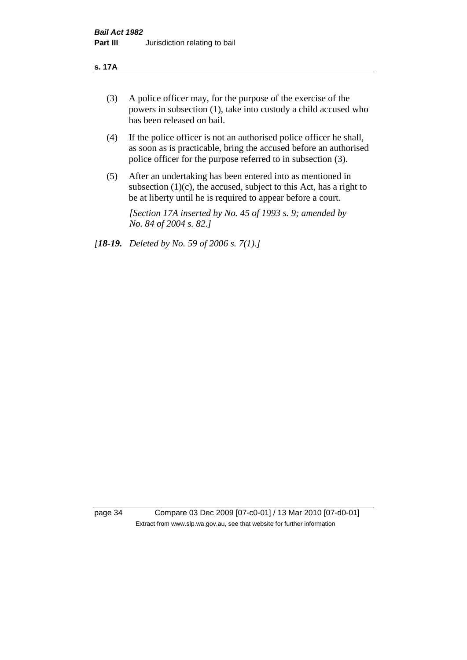#### **s. 17A**

- (3) A police officer may, for the purpose of the exercise of the powers in subsection (1), take into custody a child accused who has been released on bail.
- (4) If the police officer is not an authorised police officer he shall, as soon as is practicable, bring the accused before an authorised police officer for the purpose referred to in subsection (3).
- (5) After an undertaking has been entered into as mentioned in subsection  $(1)(c)$ , the accused, subject to this Act, has a right to be at liberty until he is required to appear before a court.

*[Section 17A inserted by No. 45 of 1993 s. 9; amended by No. 84 of 2004 s. 82.]* 

*[18-19. Deleted by No. 59 of 2006 s. 7(1).]*

page 34 Compare 03 Dec 2009 [07-c0-01] / 13 Mar 2010 [07-d0-01] Extract from www.slp.wa.gov.au, see that website for further information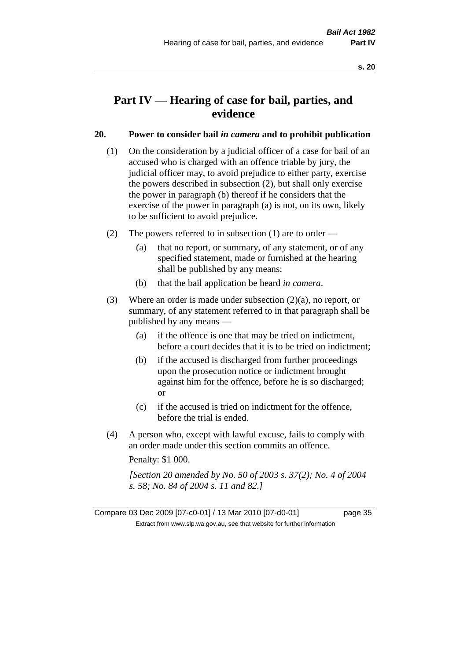# **Part IV — Hearing of case for bail, parties, and evidence**

## **20. Power to consider bail** *in camera* **and to prohibit publication**

- (1) On the consideration by a judicial officer of a case for bail of an accused who is charged with an offence triable by jury, the judicial officer may, to avoid prejudice to either party, exercise the powers described in subsection (2), but shall only exercise the power in paragraph (b) thereof if he considers that the exercise of the power in paragraph (a) is not, on its own, likely to be sufficient to avoid prejudice.
- (2) The powers referred to in subsection (1) are to order
	- (a) that no report, or summary, of any statement, or of any specified statement, made or furnished at the hearing shall be published by any means;
	- (b) that the bail application be heard *in camera*.
- (3) Where an order is made under subsection (2)(a), no report, or summary, of any statement referred to in that paragraph shall be published by any means —
	- (a) if the offence is one that may be tried on indictment, before a court decides that it is to be tried on indictment;
	- (b) if the accused is discharged from further proceedings upon the prosecution notice or indictment brought against him for the offence, before he is so discharged; or
	- (c) if the accused is tried on indictment for the offence, before the trial is ended.
- (4) A person who, except with lawful excuse, fails to comply with an order made under this section commits an offence.

Penalty: \$1 000.

*[Section 20 amended by No. 50 of 2003 s. 37(2); No. 4 of 2004 s. 58; No. 84 of 2004 s. 11 and 82.]*

Compare 03 Dec 2009 [07-c0-01] / 13 Mar 2010 [07-d0-01] page 35 Extract from www.slp.wa.gov.au, see that website for further information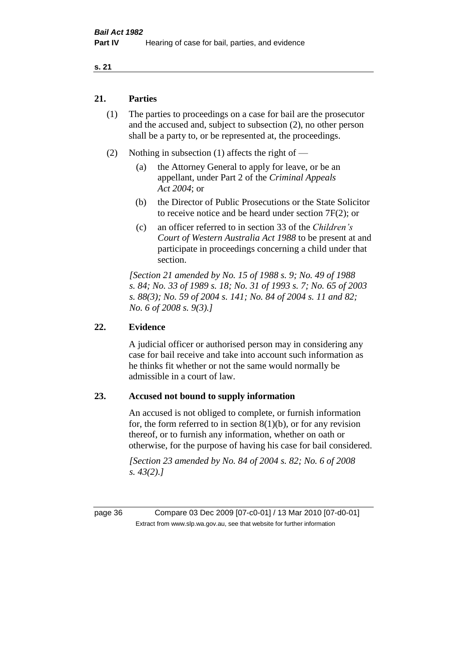## **21. Parties**

- (1) The parties to proceedings on a case for bail are the prosecutor and the accused and, subject to subsection (2), no other person shall be a party to, or be represented at, the proceedings.
- (2) Nothing in subsection (1) affects the right of
	- (a) the Attorney General to apply for leave, or be an appellant, under Part 2 of the *Criminal Appeals Act 2004*; or
	- (b) the Director of Public Prosecutions or the State Solicitor to receive notice and be heard under section 7F(2); or
	- (c) an officer referred to in section 33 of the *Children's Court of Western Australia Act 1988* to be present at and participate in proceedings concerning a child under that section.

*[Section 21 amended by No. 15 of 1988 s. 9; No. 49 of 1988 s. 84; No. 33 of 1989 s. 18; No. 31 of 1993 s. 7; No. 65 of 2003 s. 88(3); No. 59 of 2004 s. 141; No. 84 of 2004 s. 11 and 82; No. 6 of 2008 s. 9(3).]* 

## **22. Evidence**

A judicial officer or authorised person may in considering any case for bail receive and take into account such information as he thinks fit whether or not the same would normally be admissible in a court of law.

## **23. Accused not bound to supply information**

An accused is not obliged to complete, or furnish information for, the form referred to in section  $8(1)(b)$ , or for any revision thereof, or to furnish any information, whether on oath or otherwise, for the purpose of having his case for bail considered.

*[Section 23 amended by No. 84 of 2004 s. 82; No. 6 of 2008 s. 43(2).]* 

page 36 Compare 03 Dec 2009 [07-c0-01] / 13 Mar 2010 [07-d0-01] Extract from www.slp.wa.gov.au, see that website for further information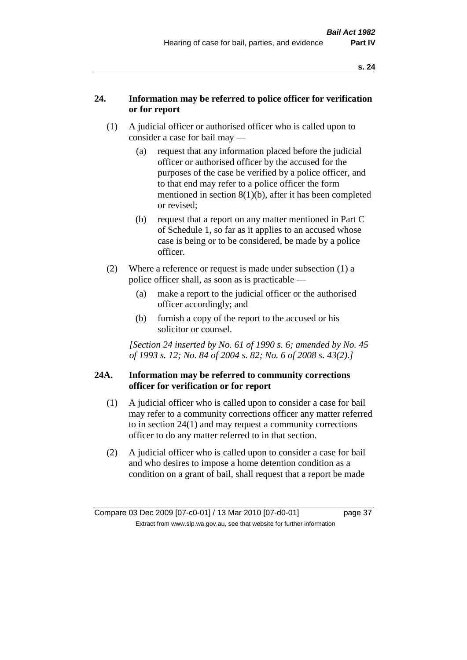## **24. Information may be referred to police officer for verification or for report**

- (1) A judicial officer or authorised officer who is called upon to consider a case for bail may —
	- (a) request that any information placed before the judicial officer or authorised officer by the accused for the purposes of the case be verified by a police officer, and to that end may refer to a police officer the form mentioned in section 8(1)(b), after it has been completed or revised;
	- (b) request that a report on any matter mentioned in Part C of Schedule 1, so far as it applies to an accused whose case is being or to be considered, be made by a police officer.
- (2) Where a reference or request is made under subsection (1) a police officer shall, as soon as is practicable —
	- (a) make a report to the judicial officer or the authorised officer accordingly; and
	- (b) furnish a copy of the report to the accused or his solicitor or counsel.

*[Section 24 inserted by No. 61 of 1990 s. 6; amended by No. 45 of 1993 s. 12; No. 84 of 2004 s. 82; No. 6 of 2008 s. 43(2).]* 

## **24A. Information may be referred to community corrections officer for verification or for report**

- (1) A judicial officer who is called upon to consider a case for bail may refer to a community corrections officer any matter referred to in section 24(1) and may request a community corrections officer to do any matter referred to in that section.
- (2) A judicial officer who is called upon to consider a case for bail and who desires to impose a home detention condition as a condition on a grant of bail, shall request that a report be made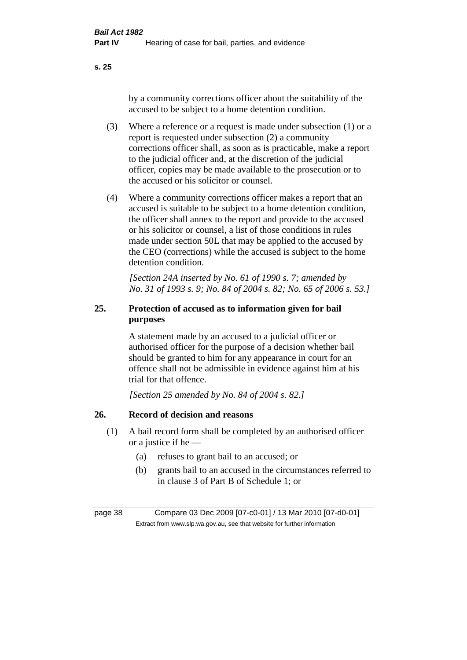by a community corrections officer about the suitability of the accused to be subject to a home detention condition.

- (3) Where a reference or a request is made under subsection (1) or a report is requested under subsection (2) a community corrections officer shall, as soon as is practicable, make a report to the judicial officer and, at the discretion of the judicial officer, copies may be made available to the prosecution or to the accused or his solicitor or counsel.
- (4) Where a community corrections officer makes a report that an accused is suitable to be subject to a home detention condition, the officer shall annex to the report and provide to the accused or his solicitor or counsel, a list of those conditions in rules made under section 50L that may be applied to the accused by the CEO (corrections) while the accused is subject to the home detention condition.

*[Section 24A inserted by No. 61 of 1990 s. 7; amended by No. 31 of 1993 s. 9; No. 84 of 2004 s. 82; No. 65 of 2006 s. 53.]* 

# **25. Protection of accused as to information given for bail purposes**

A statement made by an accused to a judicial officer or authorised officer for the purpose of a decision whether bail should be granted to him for any appearance in court for an offence shall not be admissible in evidence against him at his trial for that offence.

*[Section 25 amended by No. 84 of 2004 s. 82.]* 

# **26. Record of decision and reasons**

- (1) A bail record form shall be completed by an authorised officer or a justice if he —
	- (a) refuses to grant bail to an accused; or
	- (b) grants bail to an accused in the circumstances referred to in clause 3 of Part B of Schedule 1; or

page 38 Compare 03 Dec 2009 [07-c0-01] / 13 Mar 2010 [07-d0-01] Extract from www.slp.wa.gov.au, see that website for further information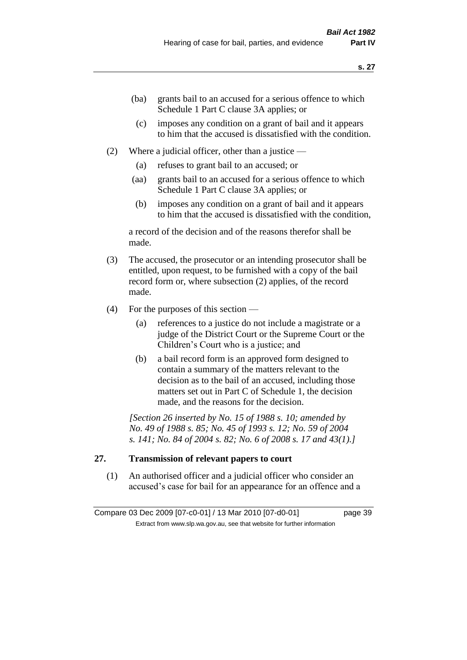- (ba) grants bail to an accused for a serious offence to which Schedule 1 Part C clause 3A applies; or
- (c) imposes any condition on a grant of bail and it appears to him that the accused is dissatisfied with the condition.
- (2) Where a judicial officer, other than a justice
	- (a) refuses to grant bail to an accused; or
	- (aa) grants bail to an accused for a serious offence to which Schedule 1 Part C clause 3A applies; or
	- (b) imposes any condition on a grant of bail and it appears to him that the accused is dissatisfied with the condition,

a record of the decision and of the reasons therefor shall be made.

- (3) The accused, the prosecutor or an intending prosecutor shall be entitled, upon request, to be furnished with a copy of the bail record form or, where subsection (2) applies, of the record made.
- (4) For the purposes of this section
	- (a) references to a justice do not include a magistrate or a judge of the District Court or the Supreme Court or the Children's Court who is a justice; and
	- (b) a bail record form is an approved form designed to contain a summary of the matters relevant to the decision as to the bail of an accused, including those matters set out in Part C of Schedule 1, the decision made, and the reasons for the decision.

*[Section 26 inserted by No. 15 of 1988 s. 10; amended by No. 49 of 1988 s. 85; No. 45 of 1993 s. 12; No. 59 of 2004 s. 141; No. 84 of 2004 s. 82; No. 6 of 2008 s. 17 and 43(1).]* 

## **27. Transmission of relevant papers to court**

(1) An authorised officer and a judicial officer who consider an accused's case for bail for an appearance for an offence and a

Compare 03 Dec 2009 [07-c0-01] / 13 Mar 2010 [07-d0-01] page 39 Extract from www.slp.wa.gov.au, see that website for further information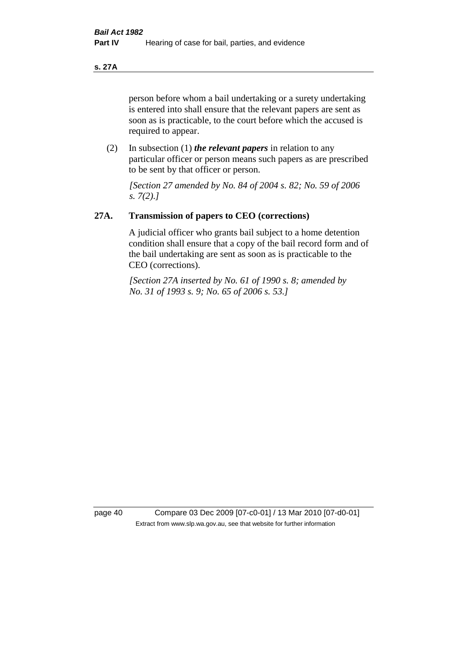**s. 27A**

person before whom a bail undertaking or a surety undertaking is entered into shall ensure that the relevant papers are sent as soon as is practicable, to the court before which the accused is required to appear.

(2) In subsection (1) *the relevant papers* in relation to any particular officer or person means such papers as are prescribed to be sent by that officer or person.

*[Section 27 amended by No. 84 of 2004 s. 82; No. 59 of 2006 s. 7(2).]* 

# **27A. Transmission of papers to CEO (corrections)**

A judicial officer who grants bail subject to a home detention condition shall ensure that a copy of the bail record form and of the bail undertaking are sent as soon as is practicable to the CEO (corrections).

*[Section 27A inserted by No. 61 of 1990 s. 8; amended by No. 31 of 1993 s. 9; No. 65 of 2006 s. 53.]* 

page 40 Compare 03 Dec 2009 [07-c0-01] / 13 Mar 2010 [07-d0-01] Extract from www.slp.wa.gov.au, see that website for further information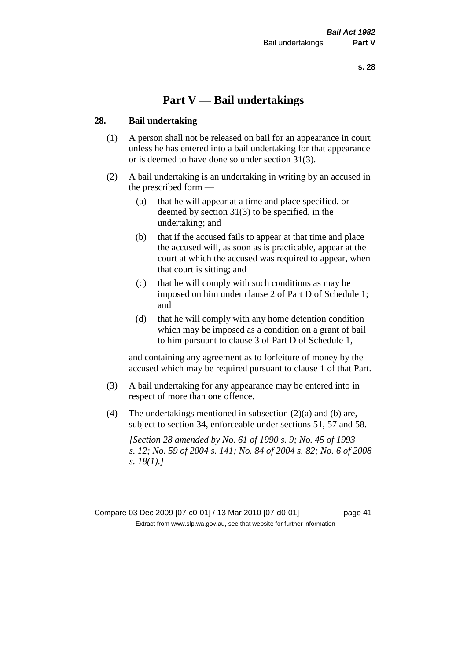# **Part V — Bail undertakings**

#### **28. Bail undertaking**

- (1) A person shall not be released on bail for an appearance in court unless he has entered into a bail undertaking for that appearance or is deemed to have done so under section 31(3).
- (2) A bail undertaking is an undertaking in writing by an accused in the prescribed form —
	- (a) that he will appear at a time and place specified, or deemed by section 31(3) to be specified, in the undertaking; and
	- (b) that if the accused fails to appear at that time and place the accused will, as soon as is practicable, appear at the court at which the accused was required to appear, when that court is sitting; and
	- (c) that he will comply with such conditions as may be imposed on him under clause 2 of Part D of Schedule 1; and
	- (d) that he will comply with any home detention condition which may be imposed as a condition on a grant of bail to him pursuant to clause 3 of Part D of Schedule 1,

and containing any agreement as to forfeiture of money by the accused which may be required pursuant to clause 1 of that Part.

- (3) A bail undertaking for any appearance may be entered into in respect of more than one offence.
- (4) The undertakings mentioned in subsection (2)(a) and (b) are, subject to section 34, enforceable under sections 51, 57 and 58.

*[Section 28 amended by No. 61 of 1990 s. 9; No. 45 of 1993 s. 12; No. 59 of 2004 s. 141; No. 84 of 2004 s. 82; No. 6 of 2008 s. 18(1).]* 

Compare 03 Dec 2009 [07-c0-01] / 13 Mar 2010 [07-d0-01] page 41 Extract from www.slp.wa.gov.au, see that website for further information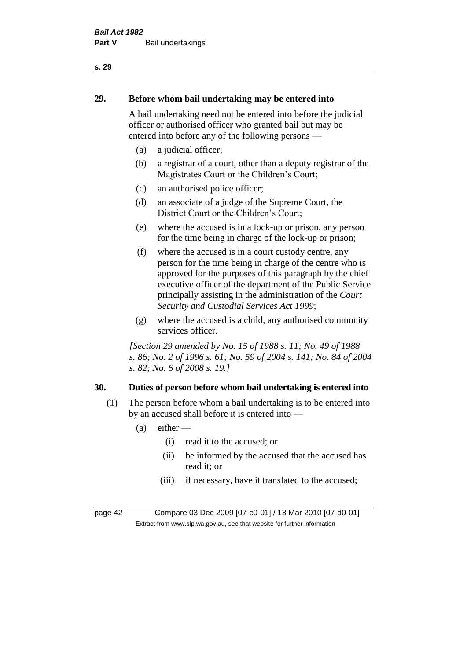# **29. Before whom bail undertaking may be entered into**

A bail undertaking need not be entered into before the judicial officer or authorised officer who granted bail but may be entered into before any of the following persons —

- (a) a judicial officer;
- (b) a registrar of a court, other than a deputy registrar of the Magistrates Court or the Children's Court;
- (c) an authorised police officer;
- (d) an associate of a judge of the Supreme Court, the District Court or the Children's Court;
- (e) where the accused is in a lock-up or prison, any person for the time being in charge of the lock-up or prison;
- (f) where the accused is in a court custody centre, any person for the time being in charge of the centre who is approved for the purposes of this paragraph by the chief executive officer of the department of the Public Service principally assisting in the administration of the *Court Security and Custodial Services Act 1999*;
- (g) where the accused is a child, any authorised community services officer.

*[Section 29 amended by No. 15 of 1988 s. 11; No. 49 of 1988 s. 86; No. 2 of 1996 s. 61; No. 59 of 2004 s. 141; No. 84 of 2004 s. 82; No. 6 of 2008 s. 19.]* 

# **30. Duties of person before whom bail undertaking is entered into**

- (1) The person before whom a bail undertaking is to be entered into by an accused shall before it is entered into —
	- $(a)$  either
		- (i) read it to the accused; or
		- (ii) be informed by the accused that the accused has read it; or
		- (iii) if necessary, have it translated to the accused;

page 42 Compare 03 Dec 2009 [07-c0-01] / 13 Mar 2010 [07-d0-01] Extract from www.slp.wa.gov.au, see that website for further information

#### **s. 29**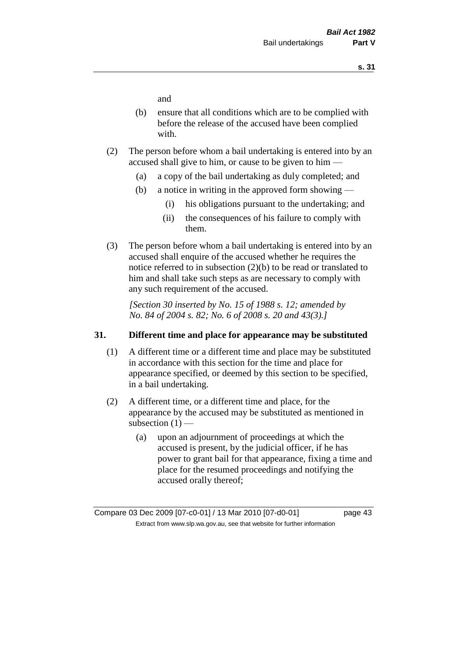and

- (b) ensure that all conditions which are to be complied with before the release of the accused have been complied with.
- (2) The person before whom a bail undertaking is entered into by an accused shall give to him, or cause to be given to him —
	- (a) a copy of the bail undertaking as duly completed; and
	- (b) a notice in writing in the approved form showing
		- (i) his obligations pursuant to the undertaking; and
		- (ii) the consequences of his failure to comply with them.
- (3) The person before whom a bail undertaking is entered into by an accused shall enquire of the accused whether he requires the notice referred to in subsection (2)(b) to be read or translated to him and shall take such steps as are necessary to comply with any such requirement of the accused.

*[Section 30 inserted by No. 15 of 1988 s. 12; amended by No. 84 of 2004 s. 82; No. 6 of 2008 s. 20 and 43(3).]* 

## **31. Different time and place for appearance may be substituted**

- (1) A different time or a different time and place may be substituted in accordance with this section for the time and place for appearance specified, or deemed by this section to be specified, in a bail undertaking.
- (2) A different time, or a different time and place, for the appearance by the accused may be substituted as mentioned in subsection  $(1)$  —
	- (a) upon an adjournment of proceedings at which the accused is present, by the judicial officer, if he has power to grant bail for that appearance, fixing a time and place for the resumed proceedings and notifying the accused orally thereof;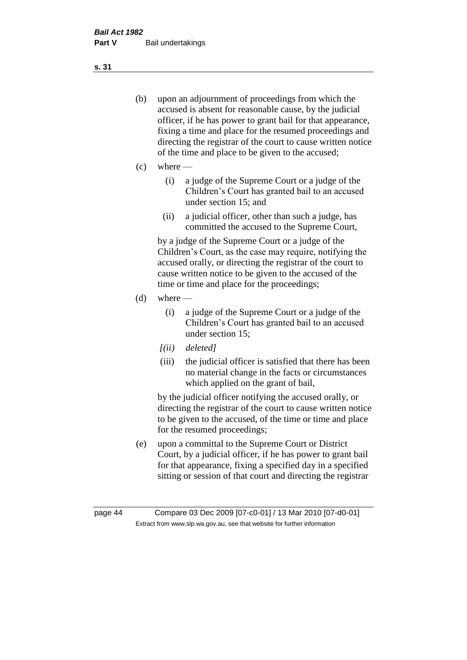- (b) upon an adjournment of proceedings from which the accused is absent for reasonable cause, by the judicial officer, if he has power to grant bail for that appearance, fixing a time and place for the resumed proceedings and directing the registrar of the court to cause written notice of the time and place to be given to the accused;
- (c) where
	- (i) a judge of the Supreme Court or a judge of the Children's Court has granted bail to an accused under section 15; and
	- (ii) a judicial officer, other than such a judge, has committed the accused to the Supreme Court,

by a judge of the Supreme Court or a judge of the Children's Court, as the case may require, notifying the accused orally, or directing the registrar of the court to cause written notice to be given to the accused of the time or time and place for the proceedings;

- $(d)$  where
	- (i) a judge of the Supreme Court or a judge of the Children's Court has granted bail to an accused under section 15;
	- *[(ii) deleted]*
	- (iii) the judicial officer is satisfied that there has been no material change in the facts or circumstances which applied on the grant of bail,

by the judicial officer notifying the accused orally, or directing the registrar of the court to cause written notice to be given to the accused, of the time or time and place for the resumed proceedings;

(e) upon a committal to the Supreme Court or District Court, by a judicial officer, if he has power to grant bail for that appearance, fixing a specified day in a specified sitting or session of that court and directing the registrar

**s. 31**

page 44 Compare 03 Dec 2009 [07-c0-01] / 13 Mar 2010 [07-d0-01] Extract from www.slp.wa.gov.au, see that website for further information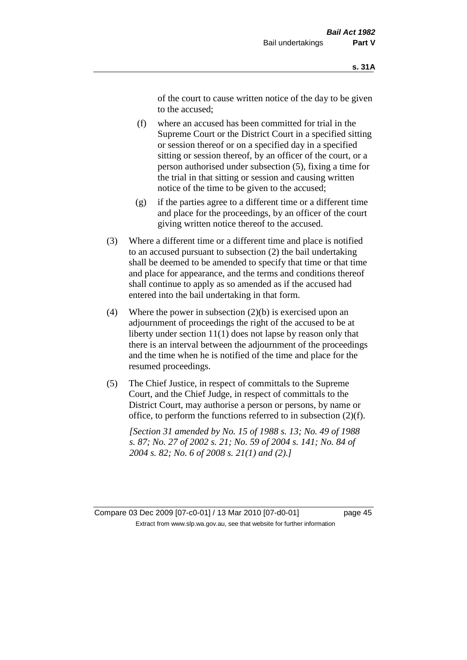of the court to cause written notice of the day to be given to the accused;

- (f) where an accused has been committed for trial in the Supreme Court or the District Court in a specified sitting or session thereof or on a specified day in a specified sitting or session thereof, by an officer of the court, or a person authorised under subsection (5), fixing a time for the trial in that sitting or session and causing written notice of the time to be given to the accused;
- (g) if the parties agree to a different time or a different time and place for the proceedings, by an officer of the court giving written notice thereof to the accused.
- (3) Where a different time or a different time and place is notified to an accused pursuant to subsection (2) the bail undertaking shall be deemed to be amended to specify that time or that time and place for appearance, and the terms and conditions thereof shall continue to apply as so amended as if the accused had entered into the bail undertaking in that form.
- (4) Where the power in subsection  $(2)(b)$  is exercised upon an adjournment of proceedings the right of the accused to be at liberty under section 11(1) does not lapse by reason only that there is an interval between the adjournment of the proceedings and the time when he is notified of the time and place for the resumed proceedings.
- (5) The Chief Justice, in respect of committals to the Supreme Court, and the Chief Judge, in respect of committals to the District Court, may authorise a person or persons, by name or office, to perform the functions referred to in subsection (2)(f).

*[Section 31 amended by No. 15 of 1988 s. 13; No. 49 of 1988 s. 87; No. 27 of 2002 s. 21; No. 59 of 2004 s. 141; No. 84 of 2004 s. 82; No. 6 of 2008 s. 21(1) and (2).]*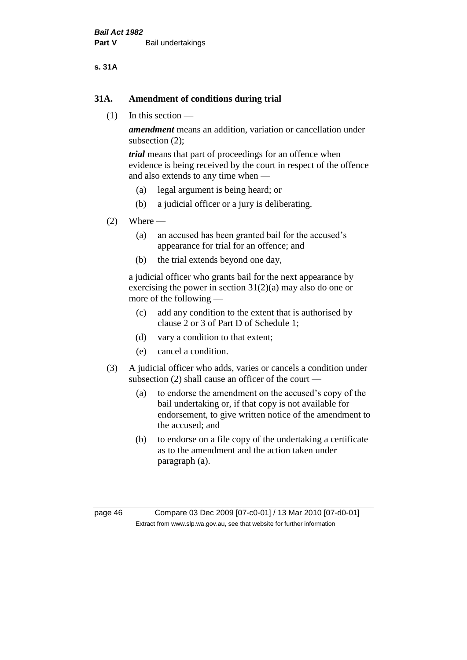#### **s. 31A**

#### **31A. Amendment of conditions during trial**

(1) In this section —

*amendment* means an addition, variation or cancellation under subsection (2);

*trial* means that part of proceedings for an offence when evidence is being received by the court in respect of the offence and also extends to any time when —

- (a) legal argument is being heard; or
- (b) a judicial officer or a jury is deliberating.

#### $(2)$  Where —

- (a) an accused has been granted bail for the accused's appearance for trial for an offence; and
- (b) the trial extends beyond one day,

a judicial officer who grants bail for the next appearance by exercising the power in section  $31(2)(a)$  may also do one or more of the following —

- (c) add any condition to the extent that is authorised by clause 2 or 3 of Part D of Schedule 1;
- (d) vary a condition to that extent;
- (e) cancel a condition.
- (3) A judicial officer who adds, varies or cancels a condition under subsection (2) shall cause an officer of the court —
	- (a) to endorse the amendment on the accused's copy of the bail undertaking or, if that copy is not available for endorsement, to give written notice of the amendment to the accused; and
	- (b) to endorse on a file copy of the undertaking a certificate as to the amendment and the action taken under paragraph (a).

page 46 Compare 03 Dec 2009 [07-c0-01] / 13 Mar 2010 [07-d0-01] Extract from www.slp.wa.gov.au, see that website for further information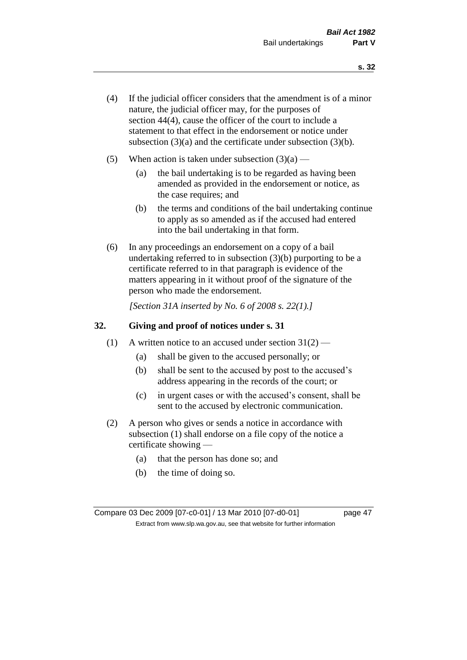- (4) If the judicial officer considers that the amendment is of a minor nature, the judicial officer may, for the purposes of section 44(4), cause the officer of the court to include a statement to that effect in the endorsement or notice under subsection (3)(a) and the certificate under subsection (3)(b).
- (5) When action is taken under subsection  $(3)(a)$ 
	- (a) the bail undertaking is to be regarded as having been amended as provided in the endorsement or notice, as the case requires; and
	- (b) the terms and conditions of the bail undertaking continue to apply as so amended as if the accused had entered into the bail undertaking in that form.
- (6) In any proceedings an endorsement on a copy of a bail undertaking referred to in subsection (3)(b) purporting to be a certificate referred to in that paragraph is evidence of the matters appearing in it without proof of the signature of the person who made the endorsement.

*[Section 31A inserted by No. 6 of 2008 s. 22(1).]*

## **32. Giving and proof of notices under s. 31**

- (1) A written notice to an accused under section  $31(2)$ 
	- (a) shall be given to the accused personally; or
	- (b) shall be sent to the accused by post to the accused's address appearing in the records of the court; or
	- (c) in urgent cases or with the accused's consent, shall be sent to the accused by electronic communication.
- (2) A person who gives or sends a notice in accordance with subsection (1) shall endorse on a file copy of the notice a certificate showing —
	- (a) that the person has done so; and
	- (b) the time of doing so.

Compare 03 Dec 2009 [07-c0-01] / 13 Mar 2010 [07-d0-01] page 47 Extract from www.slp.wa.gov.au, see that website for further information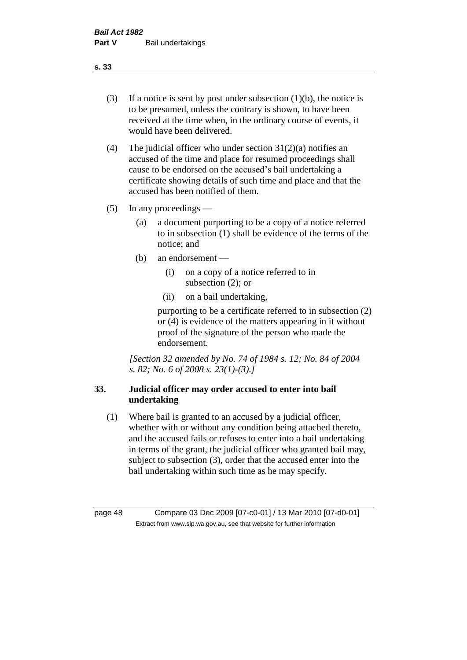- (3) If a notice is sent by post under subsection  $(1)(b)$ , the notice is to be presumed, unless the contrary is shown, to have been received at the time when, in the ordinary course of events, it would have been delivered.
- (4) The judicial officer who under section  $31(2)(a)$  notifies an accused of the time and place for resumed proceedings shall cause to be endorsed on the accused's bail undertaking a certificate showing details of such time and place and that the accused has been notified of them.
- (5) In any proceedings
	- (a) a document purporting to be a copy of a notice referred to in subsection (1) shall be evidence of the terms of the notice; and
	- (b) an endorsement
		- (i) on a copy of a notice referred to in subsection (2); or
		- (ii) on a bail undertaking,

purporting to be a certificate referred to in subsection (2) or (4) is evidence of the matters appearing in it without proof of the signature of the person who made the endorsement.

*[Section 32 amended by No. 74 of 1984 s. 12; No. 84 of 2004 s. 82; No. 6 of 2008 s. 23(1)-(3).]* 

# **33. Judicial officer may order accused to enter into bail undertaking**

(1) Where bail is granted to an accused by a judicial officer, whether with or without any condition being attached thereto, and the accused fails or refuses to enter into a bail undertaking in terms of the grant, the judicial officer who granted bail may, subject to subsection (3), order that the accused enter into the bail undertaking within such time as he may specify.

page 48 Compare 03 Dec 2009 [07-c0-01] / 13 Mar 2010 [07-d0-01] Extract from www.slp.wa.gov.au, see that website for further information

**s. 33**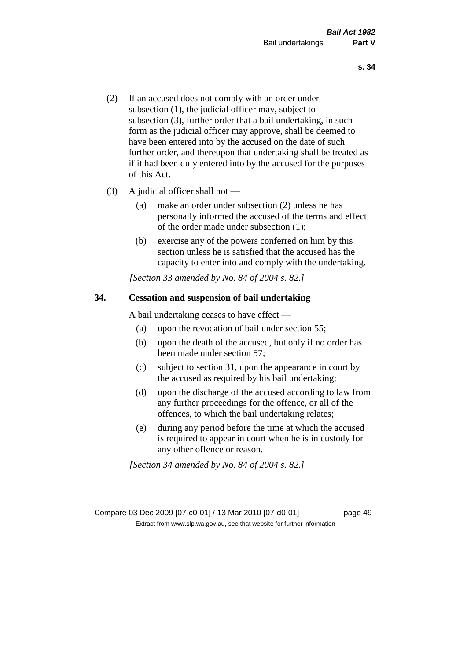- (2) If an accused does not comply with an order under subsection (1), the judicial officer may, subject to subsection (3), further order that a bail undertaking, in such form as the judicial officer may approve, shall be deemed to have been entered into by the accused on the date of such further order, and thereupon that undertaking shall be treated as if it had been duly entered into by the accused for the purposes of this Act.
- (3) A judicial officer shall not
	- (a) make an order under subsection (2) unless he has personally informed the accused of the terms and effect of the order made under subsection (1);
	- (b) exercise any of the powers conferred on him by this section unless he is satisfied that the accused has the capacity to enter into and comply with the undertaking.

*[Section 33 amended by No. 84 of 2004 s. 82.]* 

## **34. Cessation and suspension of bail undertaking**

A bail undertaking ceases to have effect —

- (a) upon the revocation of bail under section 55;
- (b) upon the death of the accused, but only if no order has been made under section 57;
- (c) subject to section 31, upon the appearance in court by the accused as required by his bail undertaking;
- (d) upon the discharge of the accused according to law from any further proceedings for the offence, or all of the offences, to which the bail undertaking relates;
- (e) during any period before the time at which the accused is required to appear in court when he is in custody for any other offence or reason.

*[Section 34 amended by No. 84 of 2004 s. 82.]* 

Compare 03 Dec 2009 [07-c0-01] / 13 Mar 2010 [07-d0-01] page 49 Extract from www.slp.wa.gov.au, see that website for further information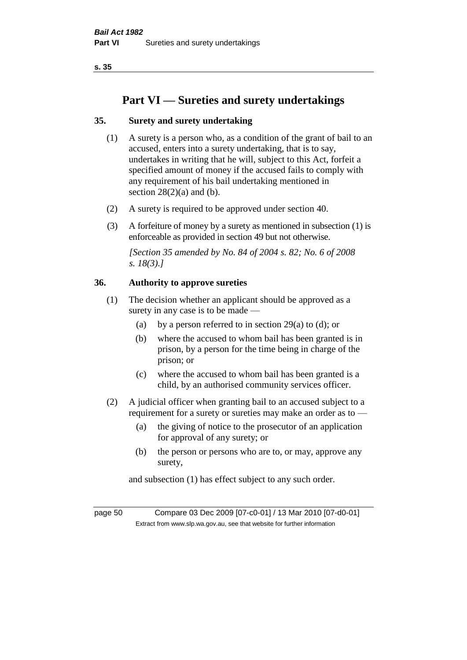# **Part VI — Sureties and surety undertakings**

## **35. Surety and surety undertaking**

- (1) A surety is a person who, as a condition of the grant of bail to an accused, enters into a surety undertaking, that is to say, undertakes in writing that he will, subject to this Act, forfeit a specified amount of money if the accused fails to comply with any requirement of his bail undertaking mentioned in section  $28(2)(a)$  and (b).
- (2) A surety is required to be approved under section 40.
- (3) A forfeiture of money by a surety as mentioned in subsection (1) is enforceable as provided in section 49 but not otherwise.

*[Section 35 amended by No. 84 of 2004 s. 82; No. 6 of 2008 s. 18(3).]* 

## **36. Authority to approve sureties**

- (1) The decision whether an applicant should be approved as a surety in any case is to be made —
	- (a) by a person referred to in section 29(a) to (d); or
	- (b) where the accused to whom bail has been granted is in prison, by a person for the time being in charge of the prison; or
	- (c) where the accused to whom bail has been granted is a child, by an authorised community services officer.
- (2) A judicial officer when granting bail to an accused subject to a requirement for a surety or sureties may make an order as to —
	- (a) the giving of notice to the prosecutor of an application for approval of any surety; or
	- (b) the person or persons who are to, or may, approve any surety,

and subsection (1) has effect subject to any such order.

page 50 Compare 03 Dec 2009 [07-c0-01] / 13 Mar 2010 [07-d0-01] Extract from www.slp.wa.gov.au, see that website for further information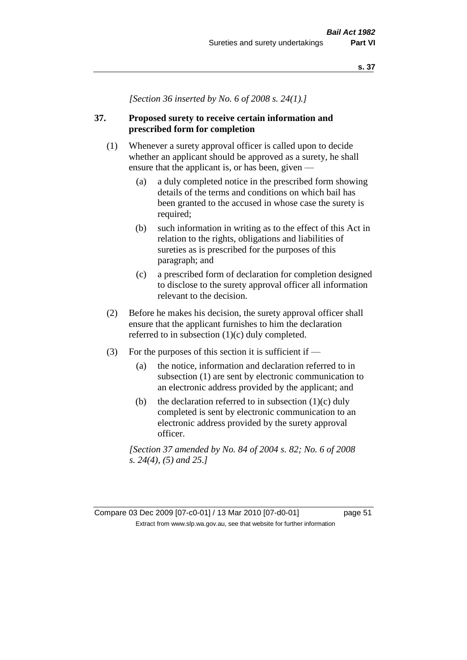*[Section 36 inserted by No. 6 of 2008 s. 24(1).]*

## **37. Proposed surety to receive certain information and prescribed form for completion**

- (1) Whenever a surety approval officer is called upon to decide whether an applicant should be approved as a surety, he shall ensure that the applicant is, or has been, given —
	- (a) a duly completed notice in the prescribed form showing details of the terms and conditions on which bail has been granted to the accused in whose case the surety is required;
	- (b) such information in writing as to the effect of this Act in relation to the rights, obligations and liabilities of sureties as is prescribed for the purposes of this paragraph; and
	- (c) a prescribed form of declaration for completion designed to disclose to the surety approval officer all information relevant to the decision.
- (2) Before he makes his decision, the surety approval officer shall ensure that the applicant furnishes to him the declaration referred to in subsection (1)(c) duly completed.
- (3) For the purposes of this section it is sufficient if  $-$ 
	- (a) the notice, information and declaration referred to in subsection (1) are sent by electronic communication to an electronic address provided by the applicant; and
	- (b) the declaration referred to in subsection  $(1)(c)$  duly completed is sent by electronic communication to an electronic address provided by the surety approval officer.

*[Section 37 amended by No. 84 of 2004 s. 82; No. 6 of 2008 s. 24(4), (5) and 25.]*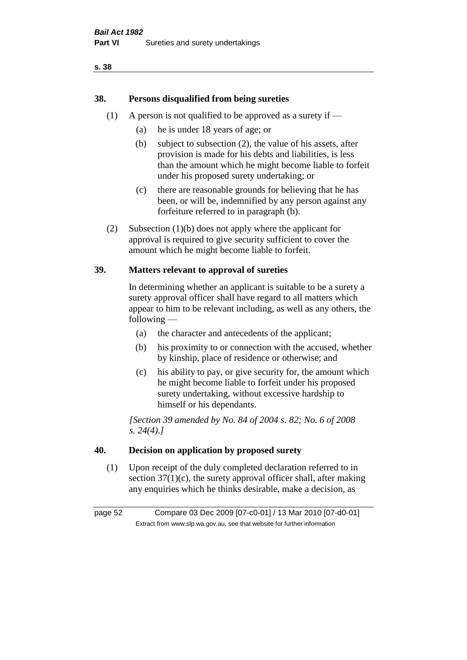## **38. Persons disqualified from being sureties**

- (1) A person is not qualified to be approved as a surety if  $-$ 
	- (a) he is under 18 years of age; or
	- (b) subject to subsection (2), the value of his assets, after provision is made for his debts and liabilities, is less than the amount which he might become liable to forfeit under his proposed surety undertaking; or
	- (c) there are reasonable grounds for believing that he has been, or will be, indemnified by any person against any forfeiture referred to in paragraph (b).
- (2) Subsection (1)(b) does not apply where the applicant for approval is required to give security sufficient to cover the amount which he might become liable to forfeit.

## **39. Matters relevant to approval of sureties**

In determining whether an applicant is suitable to be a surety a surety approval officer shall have regard to all matters which appear to him to be relevant including, as well as any others, the following —

- (a) the character and antecedents of the applicant;
- (b) his proximity to or connection with the accused, whether by kinship, place of residence or otherwise; and
- (c) his ability to pay, or give security for, the amount which he might become liable to forfeit under his proposed surety undertaking, without excessive hardship to himself or his dependants.

*[Section 39 amended by No. 84 of 2004 s. 82; No. 6 of 2008 s. 24(4).]* 

## **40. Decision on application by proposed surety**

(1) Upon receipt of the duly completed declaration referred to in section  $37(1)(c)$ , the surety approval officer shall, after making any enquiries which he thinks desirable, make a decision, as

page 52 Compare 03 Dec 2009 [07-c0-01] / 13 Mar 2010 [07-d0-01] Extract from www.slp.wa.gov.au, see that website for further information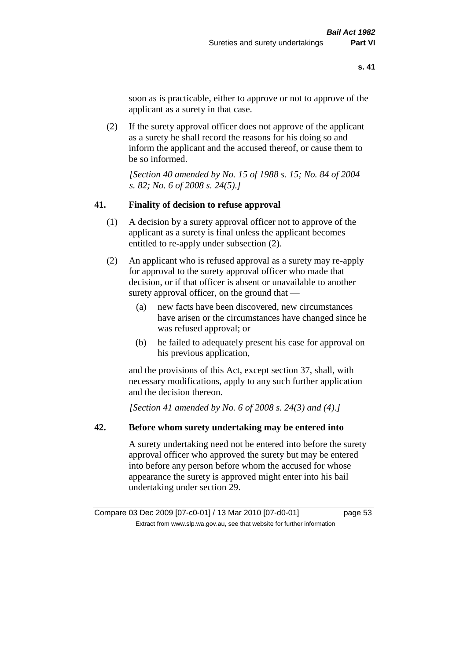soon as is practicable, either to approve or not to approve of the applicant as a surety in that case.

(2) If the surety approval officer does not approve of the applicant as a surety he shall record the reasons for his doing so and inform the applicant and the accused thereof, or cause them to be so informed.

*[Section 40 amended by No. 15 of 1988 s. 15; No. 84 of 2004 s. 82; No. 6 of 2008 s. 24(5).]* 

#### **41. Finality of decision to refuse approval**

- (1) A decision by a surety approval officer not to approve of the applicant as a surety is final unless the applicant becomes entitled to re-apply under subsection (2).
- (2) An applicant who is refused approval as a surety may re-apply for approval to the surety approval officer who made that decision, or if that officer is absent or unavailable to another surety approval officer, on the ground that —
	- (a) new facts have been discovered, new circumstances have arisen or the circumstances have changed since he was refused approval; or
	- (b) he failed to adequately present his case for approval on his previous application,

and the provisions of this Act, except section 37, shall, with necessary modifications, apply to any such further application and the decision thereon.

*[Section 41 amended by No. 6 of 2008 s. 24(3) and (4).]*

#### **42. Before whom surety undertaking may be entered into**

A surety undertaking need not be entered into before the surety approval officer who approved the surety but may be entered into before any person before whom the accused for whose appearance the surety is approved might enter into his bail undertaking under section 29.

Compare 03 Dec 2009 [07-c0-01] / 13 Mar 2010 [07-d0-01] page 53 Extract from www.slp.wa.gov.au, see that website for further information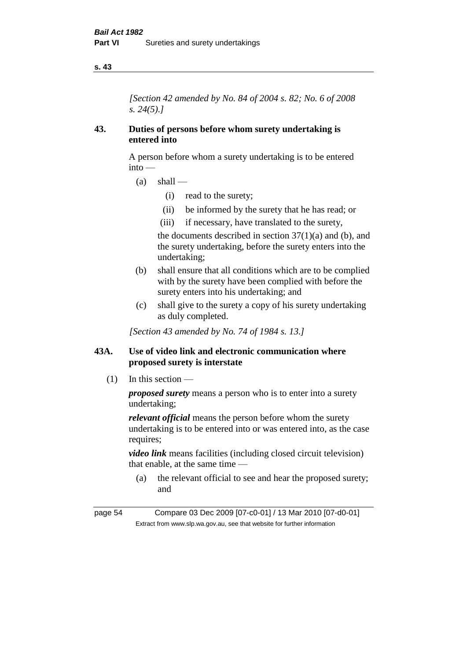*[Section 42 amended by No. 84 of 2004 s. 82; No. 6 of 2008 s. 24(5).]* 

### **43. Duties of persons before whom surety undertaking is entered into**

A person before whom a surety undertaking is to be entered into —

- $(a)$  shall
	- (i) read to the surety;
	- (ii) be informed by the surety that he has read; or
	- (iii) if necessary, have translated to the surety,

the documents described in section  $37(1)(a)$  and (b), and the surety undertaking, before the surety enters into the undertaking;

- (b) shall ensure that all conditions which are to be complied with by the surety have been complied with before the surety enters into his undertaking; and
- (c) shall give to the surety a copy of his surety undertaking as duly completed.

*[Section 43 amended by No. 74 of 1984 s. 13.]* 

## **43A. Use of video link and electronic communication where proposed surety is interstate**

(1) In this section —

*proposed surety* means a person who is to enter into a surety undertaking;

*relevant official* means the person before whom the surety undertaking is to be entered into or was entered into, as the case requires;

*video link* means facilities (including closed circuit television) that enable, at the same time —

(a) the relevant official to see and hear the proposed surety; and

page 54 Compare 03 Dec 2009 [07-c0-01] / 13 Mar 2010 [07-d0-01] Extract from www.slp.wa.gov.au, see that website for further information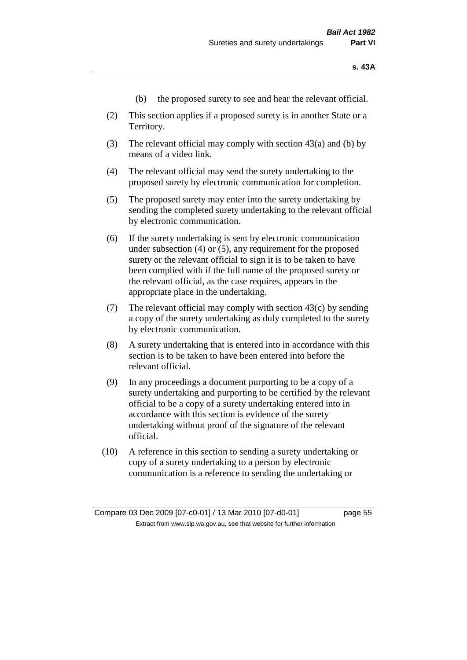- (b) the proposed surety to see and hear the relevant official.
- (2) This section applies if a proposed surety is in another State or a Territory.
- (3) The relevant official may comply with section 43(a) and (b) by means of a video link.
- (4) The relevant official may send the surety undertaking to the proposed surety by electronic communication for completion.
- (5) The proposed surety may enter into the surety undertaking by sending the completed surety undertaking to the relevant official by electronic communication.
- (6) If the surety undertaking is sent by electronic communication under subsection (4) or (5), any requirement for the proposed surety or the relevant official to sign it is to be taken to have been complied with if the full name of the proposed surety or the relevant official, as the case requires, appears in the appropriate place in the undertaking.
- (7) The relevant official may comply with section  $43(c)$  by sending a copy of the surety undertaking as duly completed to the surety by electronic communication.
- (8) A surety undertaking that is entered into in accordance with this section is to be taken to have been entered into before the relevant official.
- (9) In any proceedings a document purporting to be a copy of a surety undertaking and purporting to be certified by the relevant official to be a copy of a surety undertaking entered into in accordance with this section is evidence of the surety undertaking without proof of the signature of the relevant official.
- (10) A reference in this section to sending a surety undertaking or copy of a surety undertaking to a person by electronic communication is a reference to sending the undertaking or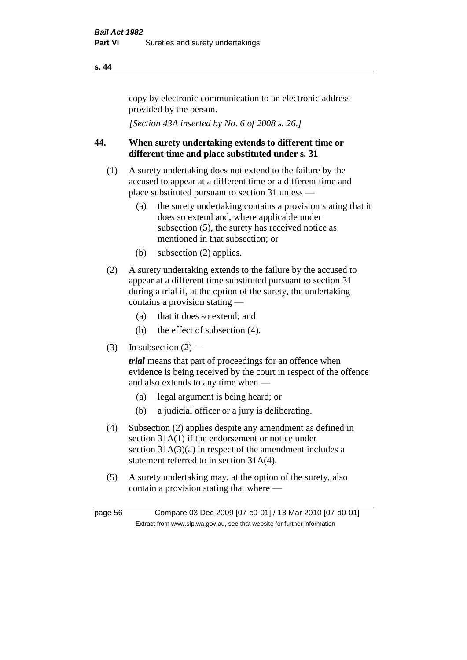copy by electronic communication to an electronic address provided by the person.

*[Section 43A inserted by No. 6 of 2008 s. 26.]*

## **44. When surety undertaking extends to different time or different time and place substituted under s. 31**

- (1) A surety undertaking does not extend to the failure by the accused to appear at a different time or a different time and place substituted pursuant to section 31 unless —
	- (a) the surety undertaking contains a provision stating that it does so extend and, where applicable under subsection (5), the surety has received notice as mentioned in that subsection; or
	- (b) subsection (2) applies.
- (2) A surety undertaking extends to the failure by the accused to appear at a different time substituted pursuant to section 31 during a trial if, at the option of the surety, the undertaking contains a provision stating —
	- (a) that it does so extend; and
	- (b) the effect of subsection (4).
- (3) In subsection  $(2)$  —

*trial* means that part of proceedings for an offence when evidence is being received by the court in respect of the offence and also extends to any time when —

- (a) legal argument is being heard; or
- (b) a judicial officer or a jury is deliberating.
- (4) Subsection (2) applies despite any amendment as defined in section 31A(1) if the endorsement or notice under section 31A(3)(a) in respect of the amendment includes a statement referred to in section 31A(4).
- (5) A surety undertaking may, at the option of the surety, also contain a provision stating that where —

page 56 Compare 03 Dec 2009 [07-c0-01] / 13 Mar 2010 [07-d0-01] Extract from www.slp.wa.gov.au, see that website for further information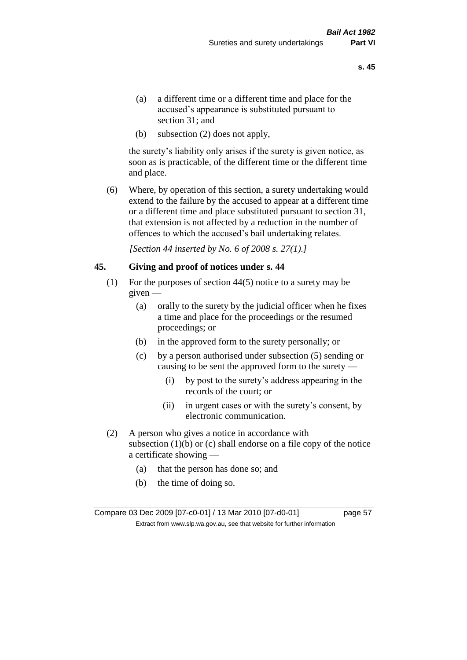- (a) a different time or a different time and place for the accused's appearance is substituted pursuant to section 31; and
- (b) subsection (2) does not apply,

the surety's liability only arises if the surety is given notice, as soon as is practicable, of the different time or the different time and place.

(6) Where, by operation of this section, a surety undertaking would extend to the failure by the accused to appear at a different time or a different time and place substituted pursuant to section 31, that extension is not affected by a reduction in the number of offences to which the accused's bail undertaking relates.

*[Section 44 inserted by No. 6 of 2008 s. 27(1).]*

#### **45. Giving and proof of notices under s. 44**

- (1) For the purposes of section 44(5) notice to a surety may be given —
	- (a) orally to the surety by the judicial officer when he fixes a time and place for the proceedings or the resumed proceedings; or
	- (b) in the approved form to the surety personally; or
	- (c) by a person authorised under subsection (5) sending or causing to be sent the approved form to the surety —
		- (i) by post to the surety's address appearing in the records of the court; or
		- (ii) in urgent cases or with the surety's consent, by electronic communication.
- (2) A person who gives a notice in accordance with subsection  $(1)(b)$  or  $(c)$  shall endorse on a file copy of the notice a certificate showing —
	- (a) that the person has done so; and
	- (b) the time of doing so.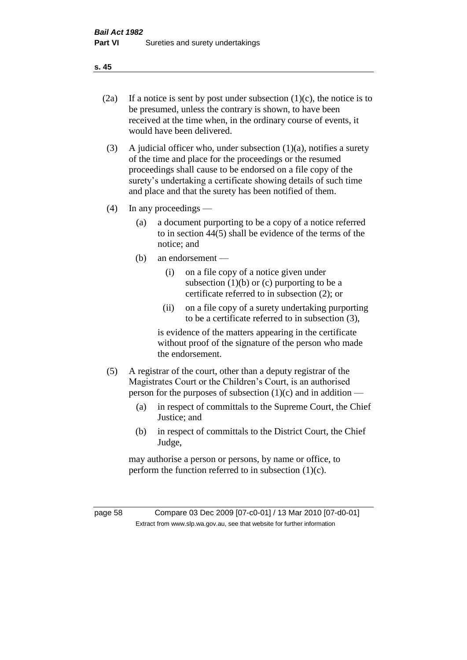- 
- (2a) If a notice is sent by post under subsection  $(1)(c)$ , the notice is to be presumed, unless the contrary is shown, to have been received at the time when, in the ordinary course of events, it would have been delivered.
- (3) A judicial officer who, under subsection  $(1)(a)$ , notifies a surety of the time and place for the proceedings or the resumed proceedings shall cause to be endorsed on a file copy of the surety's undertaking a certificate showing details of such time and place and that the surety has been notified of them.
- (4) In any proceedings
	- (a) a document purporting to be a copy of a notice referred to in section 44(5) shall be evidence of the terms of the notice; and
	- (b) an endorsement
		- (i) on a file copy of a notice given under subsection  $(1)(b)$  or  $(c)$  purporting to be a certificate referred to in subsection (2); or
		- (ii) on a file copy of a surety undertaking purporting to be a certificate referred to in subsection (3),

is evidence of the matters appearing in the certificate without proof of the signature of the person who made the endorsement.

- (5) A registrar of the court, other than a deputy registrar of the Magistrates Court or the Children's Court, is an authorised person for the purposes of subsection  $(1)(c)$  and in addition —
	- (a) in respect of committals to the Supreme Court, the Chief Justice; and
	- (b) in respect of committals to the District Court, the Chief Judge,

may authorise a person or persons, by name or office, to perform the function referred to in subsection  $(1)(c)$ .

page 58 Compare 03 Dec 2009 [07-c0-01] / 13 Mar 2010 [07-d0-01] Extract from www.slp.wa.gov.au, see that website for further information

**s. 45**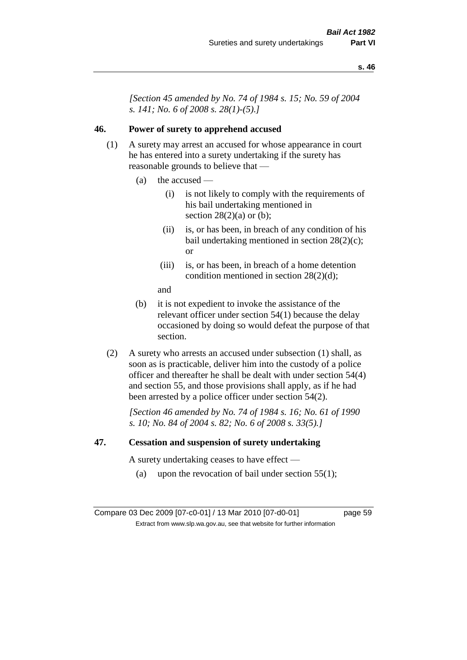*[Section 45 amended by No. 74 of 1984 s. 15; No. 59 of 2004 s. 141; No. 6 of 2008 s. 28(1)-(5).]* 

## **46. Power of surety to apprehend accused**

- (1) A surety may arrest an accused for whose appearance in court he has entered into a surety undertaking if the surety has reasonable grounds to believe that —
	- (a) the accused
		- (i) is not likely to comply with the requirements of his bail undertaking mentioned in section  $28(2)(a)$  or (b);
		- (ii) is, or has been, in breach of any condition of his bail undertaking mentioned in section 28(2)(c); or
		- (iii) is, or has been, in breach of a home detention condition mentioned in section 28(2)(d);
		- and
	- (b) it is not expedient to invoke the assistance of the relevant officer under section 54(1) because the delay occasioned by doing so would defeat the purpose of that section.
- (2) A surety who arrests an accused under subsection (1) shall, as soon as is practicable, deliver him into the custody of a police officer and thereafter he shall be dealt with under section 54(4) and section 55, and those provisions shall apply, as if he had been arrested by a police officer under section 54(2).

*[Section 46 amended by No. 74 of 1984 s. 16; No. 61 of 1990 s. 10; No. 84 of 2004 s. 82; No. 6 of 2008 s. 33(5).]* 

#### **47. Cessation and suspension of surety undertaking**

A surety undertaking ceases to have effect —

(a) upon the revocation of bail under section  $55(1)$ ;

Compare 03 Dec 2009 [07-c0-01] / 13 Mar 2010 [07-d0-01] page 59 Extract from www.slp.wa.gov.au, see that website for further information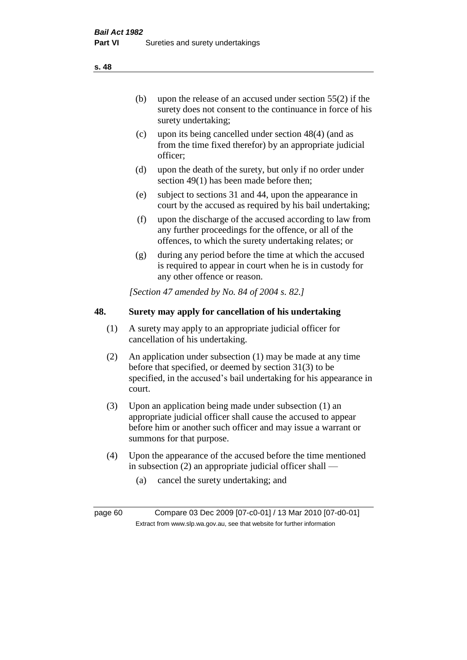(b) upon the release of an accused under section 55(2) if the surety does not consent to the continuance in force of his surety undertaking;

- (c) upon its being cancelled under section 48(4) (and as from the time fixed therefor) by an appropriate judicial officer;
- (d) upon the death of the surety, but only if no order under section 49(1) has been made before then;
- (e) subject to sections 31 and 44, upon the appearance in court by the accused as required by his bail undertaking;
- (f) upon the discharge of the accused according to law from any further proceedings for the offence, or all of the offences, to which the surety undertaking relates; or
- (g) during any period before the time at which the accused is required to appear in court when he is in custody for any other offence or reason.

*[Section 47 amended by No. 84 of 2004 s. 82.]* 

## **48. Surety may apply for cancellation of his undertaking**

- (1) A surety may apply to an appropriate judicial officer for cancellation of his undertaking.
- (2) An application under subsection (1) may be made at any time before that specified, or deemed by section 31(3) to be specified, in the accused's bail undertaking for his appearance in court.
- (3) Upon an application being made under subsection (1) an appropriate judicial officer shall cause the accused to appear before him or another such officer and may issue a warrant or summons for that purpose.
- (4) Upon the appearance of the accused before the time mentioned in subsection (2) an appropriate judicial officer shall —
	- (a) cancel the surety undertaking; and

page 60 Compare 03 Dec 2009 [07-c0-01] / 13 Mar 2010 [07-d0-01] Extract from www.slp.wa.gov.au, see that website for further information

**s. 48**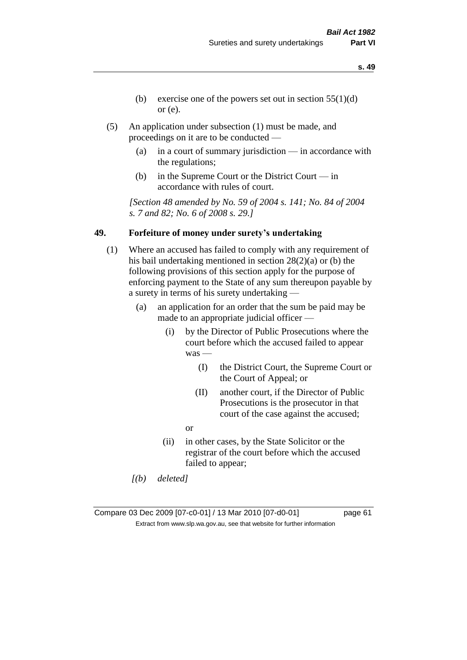- **s. 49**
- (b) exercise one of the powers set out in section  $55(1)(d)$ or (e).
- (5) An application under subsection (1) must be made, and proceedings on it are to be conducted —
	- (a) in a court of summary jurisdiction in accordance with the regulations;
	- (b) in the Supreme Court or the District Court in accordance with rules of court.

*[Section 48 amended by No. 59 of 2004 s. 141; No. 84 of 2004 s. 7 and 82; No. 6 of 2008 s. 29.]* 

## **49. Forfeiture of money under surety's undertaking**

- (1) Where an accused has failed to comply with any requirement of his bail undertaking mentioned in section 28(2)(a) or (b) the following provisions of this section apply for the purpose of enforcing payment to the State of any sum thereupon payable by a surety in terms of his surety undertaking —
	- (a) an application for an order that the sum be paid may be made to an appropriate judicial officer —
		- (i) by the Director of Public Prosecutions where the court before which the accused failed to appear was —
			- (I) the District Court, the Supreme Court or the Court of Appeal; or
			- (II) another court, if the Director of Public Prosecutions is the prosecutor in that court of the case against the accused;
			- or
		- (ii) in other cases, by the State Solicitor or the registrar of the court before which the accused failed to appear;
	- *[(b) deleted]*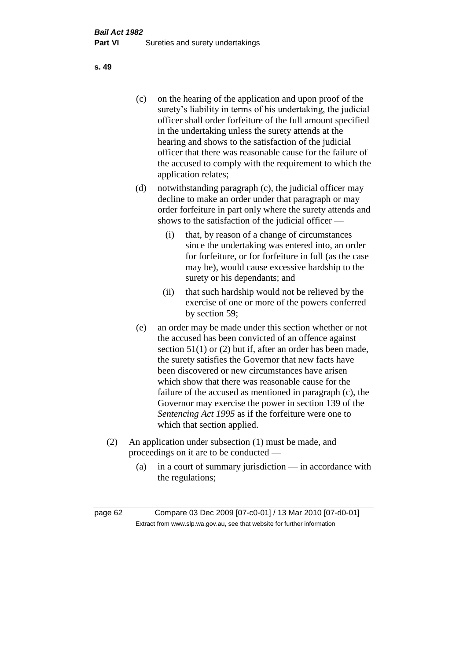(c) on the hearing of the application and upon proof of the surety's liability in terms of his undertaking, the judicial officer shall order forfeiture of the full amount specified in the undertaking unless the surety attends at the hearing and shows to the satisfaction of the judicial officer that there was reasonable cause for the failure of the accused to comply with the requirement to which the application relates;

- (d) notwithstanding paragraph (c), the judicial officer may decline to make an order under that paragraph or may order forfeiture in part only where the surety attends and shows to the satisfaction of the judicial officer —
	- (i) that, by reason of a change of circumstances since the undertaking was entered into, an order for forfeiture, or for forfeiture in full (as the case may be), would cause excessive hardship to the surety or his dependants; and
	- (ii) that such hardship would not be relieved by the exercise of one or more of the powers conferred by section 59;
- (e) an order may be made under this section whether or not the accused has been convicted of an offence against section 51(1) or (2) but if, after an order has been made, the surety satisfies the Governor that new facts have been discovered or new circumstances have arisen which show that there was reasonable cause for the failure of the accused as mentioned in paragraph (c), the Governor may exercise the power in section 139 of the *Sentencing Act 1995* as if the forfeiture were one to which that section applied.
- (2) An application under subsection (1) must be made, and proceedings on it are to be conducted —
	- (a) in a court of summary jurisdiction in accordance with the regulations;

**s. 49**

page 62 Compare 03 Dec 2009 [07-c0-01] / 13 Mar 2010 [07-d0-01] Extract from www.slp.wa.gov.au, see that website for further information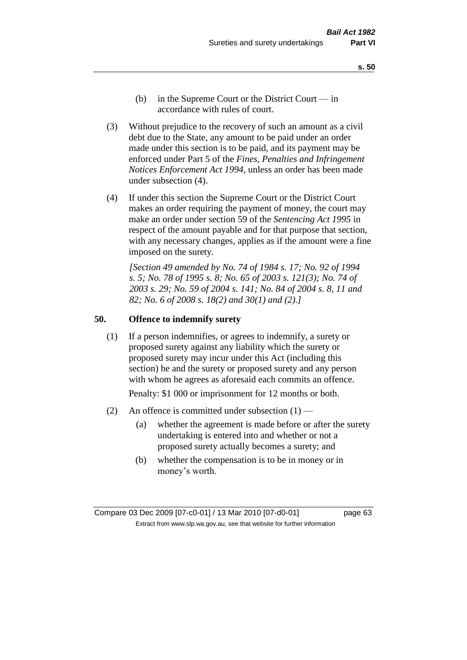- **s. 50**
- (b) in the Supreme Court or the District Court  $-\text{in}$ accordance with rules of court.
- (3) Without prejudice to the recovery of such an amount as a civil debt due to the State, any amount to be paid under an order made under this section is to be paid, and its payment may be enforced under Part 5 of the *Fines, Penalties and Infringement Notices Enforcement Act 1994*, unless an order has been made under subsection (4).
- (4) If under this section the Supreme Court or the District Court makes an order requiring the payment of money, the court may make an order under section 59 of the *Sentencing Act 1995* in respect of the amount payable and for that purpose that section, with any necessary changes, applies as if the amount were a fine imposed on the surety.

*[Section 49 amended by No. 74 of 1984 s. 17; No. 92 of 1994 s. 5; No. 78 of 1995 s. 8; No. 65 of 2003 s. 121(3); No. 74 of 2003 s. 29; No. 59 of 2004 s. 141; No. 84 of 2004 s. 8, 11 and 82; No. 6 of 2008 s. 18(2) and 30(1) and (2).]* 

#### **50. Offence to indemnify surety**

(1) If a person indemnifies, or agrees to indemnify, a surety or proposed surety against any liability which the surety or proposed surety may incur under this Act (including this section) he and the surety or proposed surety and any person with whom he agrees as aforesaid each commits an offence.

Penalty: \$1 000 or imprisonment for 12 months or both.

- (2) An offence is committed under subsection  $(1)$ 
	- (a) whether the agreement is made before or after the surety undertaking is entered into and whether or not a proposed surety actually becomes a surety; and
	- (b) whether the compensation is to be in money or in money's worth.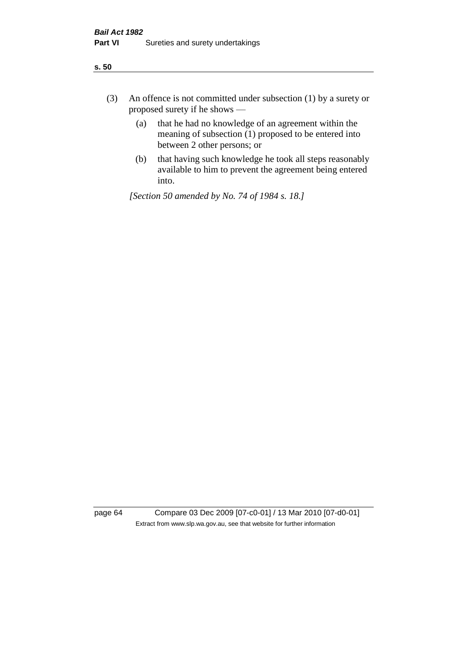- (3) An offence is not committed under subsection (1) by a surety or proposed surety if he shows —
	- (a) that he had no knowledge of an agreement within the meaning of subsection (1) proposed to be entered into between 2 other persons; or
	- (b) that having such knowledge he took all steps reasonably available to him to prevent the agreement being entered into.

*[Section 50 amended by No. 74 of 1984 s. 18.]* 

page 64 Compare 03 Dec 2009 [07-c0-01] / 13 Mar 2010 [07-d0-01] Extract from www.slp.wa.gov.au, see that website for further information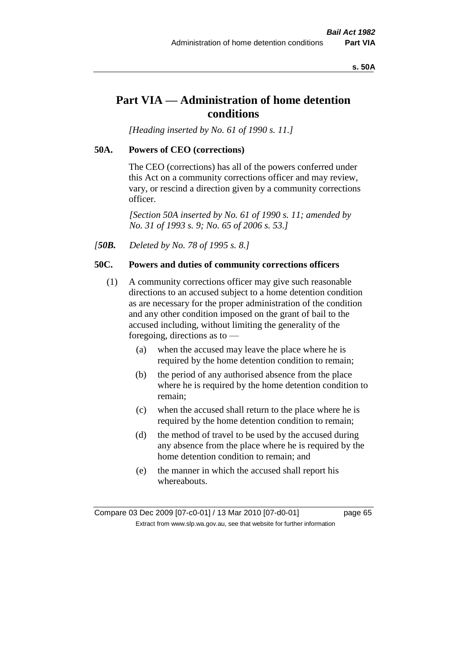#### **s. 50A**

# **Part VIA — Administration of home detention conditions**

*[Heading inserted by No. 61 of 1990 s. 11.]* 

#### **50A. Powers of CEO (corrections)**

The CEO (corrections) has all of the powers conferred under this Act on a community corrections officer and may review, vary, or rescind a direction given by a community corrections officer.

*[Section 50A inserted by No. 61 of 1990 s. 11; amended by No. 31 of 1993 s. 9; No. 65 of 2006 s. 53.]* 

*[50B. Deleted by No. 78 of 1995 s. 8.]* 

# **50C. Powers and duties of community corrections officers**

- (1) A community corrections officer may give such reasonable directions to an accused subject to a home detention condition as are necessary for the proper administration of the condition and any other condition imposed on the grant of bail to the accused including, without limiting the generality of the foregoing, directions as to —
	- (a) when the accused may leave the place where he is required by the home detention condition to remain;
	- (b) the period of any authorised absence from the place where he is required by the home detention condition to remain;
	- (c) when the accused shall return to the place where he is required by the home detention condition to remain;
	- (d) the method of travel to be used by the accused during any absence from the place where he is required by the home detention condition to remain; and
	- (e) the manner in which the accused shall report his whereabouts.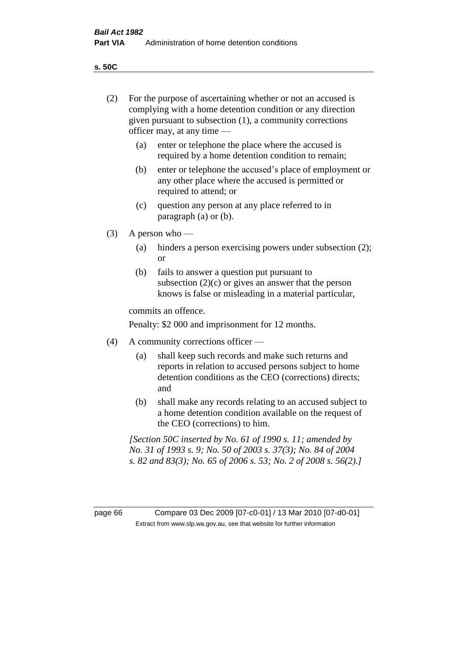**s. 50C**

| page 66 |                                                                                                                                                                                                                       | Compare 03 Dec 2009 [07-c0-01] / 13 Mar 2010 [07-d0-01]<br>Extract from www.slp.wa.gov.au, see that website for further information                                          |  |
|---------|-----------------------------------------------------------------------------------------------------------------------------------------------------------------------------------------------------------------------|------------------------------------------------------------------------------------------------------------------------------------------------------------------------------|--|
|         | [Section 50C inserted by No. 61 of 1990 s. 11; amended by<br>No. 31 of 1993 s. 9; No. 50 of 2003 s. 37(3); No. 84 of 2004<br>s. 82 and 83(3); No. 65 of 2006 s. 53; No. 2 of 2008 s. 56(2).]                          |                                                                                                                                                                              |  |
|         | (b)                                                                                                                                                                                                                   | shall make any records relating to an accused subject to<br>a home detention condition available on the request of<br>the CEO (corrections) to him.                          |  |
|         | (a)                                                                                                                                                                                                                   | shall keep such records and make such returns and<br>reports in relation to accused persons subject to home<br>detention conditions as the CEO (corrections) directs;<br>and |  |
| (4)     | Penalty: \$2 000 and imprisonment for 12 months.<br>A community corrections officer —                                                                                                                                 |                                                                                                                                                                              |  |
|         |                                                                                                                                                                                                                       | commits an offence.                                                                                                                                                          |  |
|         | (b)                                                                                                                                                                                                                   | fails to answer a question put pursuant to<br>subsection $(2)(c)$ or gives an answer that the person<br>knows is false or misleading in a material particular,               |  |
|         | (a)                                                                                                                                                                                                                   | hinders a person exercising powers under subsection (2);<br><sub>or</sub>                                                                                                    |  |
| (3)     | A person who $-$                                                                                                                                                                                                      |                                                                                                                                                                              |  |
|         | (c)                                                                                                                                                                                                                   | question any person at any place referred to in<br>paragraph $(a)$ or $(b)$ .                                                                                                |  |
|         | (b)                                                                                                                                                                                                                   | enter or telephone the accused's place of employment or<br>any other place where the accused is permitted or<br>required to attend; or                                       |  |
|         | (a)                                                                                                                                                                                                                   | enter or telephone the place where the accused is<br>required by a home detention condition to remain;                                                                       |  |
| (2)     | For the purpose of ascertaining whether or not an accused is<br>complying with a home detention condition or any direction<br>given pursuant to subsection (1), a community corrections<br>officer may, at any time — |                                                                                                                                                                              |  |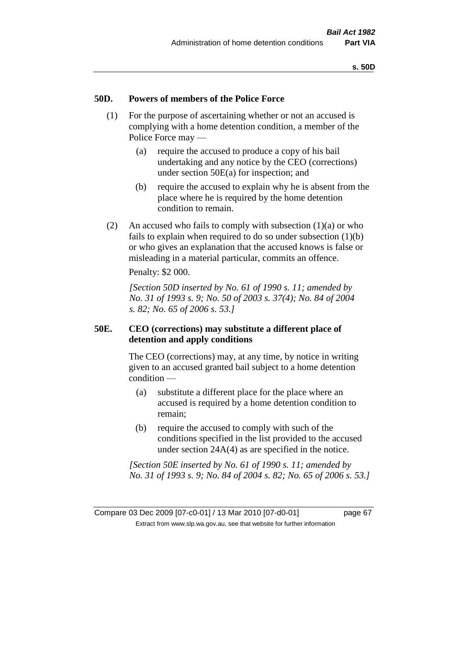### **50D. Powers of members of the Police Force**

- (1) For the purpose of ascertaining whether or not an accused is complying with a home detention condition, a member of the Police Force may —
	- (a) require the accused to produce a copy of his bail undertaking and any notice by the CEO (corrections) under section 50E(a) for inspection; and
	- (b) require the accused to explain why he is absent from the place where he is required by the home detention condition to remain.
- (2) An accused who fails to comply with subsection  $(1)(a)$  or who fails to explain when required to do so under subsection (1)(b) or who gives an explanation that the accused knows is false or misleading in a material particular, commits an offence.

Penalty: \$2 000.

*[Section 50D inserted by No. 61 of 1990 s. 11; amended by No. 31 of 1993 s. 9; No. 50 of 2003 s. 37(4); No. 84 of 2004 s. 82; No. 65 of 2006 s. 53.]* 

## **50E. CEO (corrections) may substitute a different place of detention and apply conditions**

The CEO (corrections) may, at any time, by notice in writing given to an accused granted bail subject to a home detention condition —

- (a) substitute a different place for the place where an accused is required by a home detention condition to remain;
- (b) require the accused to comply with such of the conditions specified in the list provided to the accused under section 24A(4) as are specified in the notice.

*[Section 50E inserted by No. 61 of 1990 s. 11; amended by No. 31 of 1993 s. 9; No. 84 of 2004 s. 82; No. 65 of 2006 s. 53.]*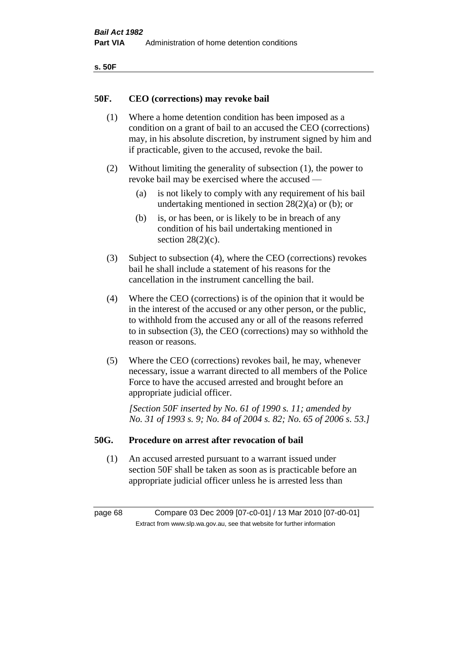| ۰.<br>×<br>-<br>۰.<br>× |  |
|-------------------------|--|
|-------------------------|--|

#### **50F. CEO (corrections) may revoke bail**

- (1) Where a home detention condition has been imposed as a condition on a grant of bail to an accused the CEO (corrections) may, in his absolute discretion, by instrument signed by him and if practicable, given to the accused, revoke the bail.
- (2) Without limiting the generality of subsection (1), the power to revoke bail may be exercised where the accused —
	- (a) is not likely to comply with any requirement of his bail undertaking mentioned in section  $28(2)(a)$  or (b); or
	- (b) is, or has been, or is likely to be in breach of any condition of his bail undertaking mentioned in section  $28(2)(c)$ .
- (3) Subject to subsection (4), where the CEO (corrections) revokes bail he shall include a statement of his reasons for the cancellation in the instrument cancelling the bail.
- (4) Where the CEO (corrections) is of the opinion that it would be in the interest of the accused or any other person, or the public, to withhold from the accused any or all of the reasons referred to in subsection (3), the CEO (corrections) may so withhold the reason or reasons.
- (5) Where the CEO (corrections) revokes bail, he may, whenever necessary, issue a warrant directed to all members of the Police Force to have the accused arrested and brought before an appropriate judicial officer.

*[Section 50F inserted by No. 61 of 1990 s. 11; amended by No. 31 of 1993 s. 9; No. 84 of 2004 s. 82; No. 65 of 2006 s. 53.]* 

#### **50G. Procedure on arrest after revocation of bail**

(1) An accused arrested pursuant to a warrant issued under section 50F shall be taken as soon as is practicable before an appropriate judicial officer unless he is arrested less than

page 68 Compare 03 Dec 2009 [07-c0-01] / 13 Mar 2010 [07-d0-01] Extract from www.slp.wa.gov.au, see that website for further information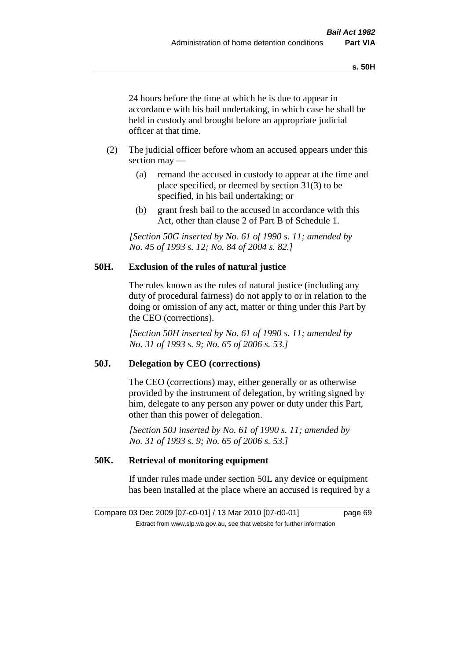24 hours before the time at which he is due to appear in accordance with his bail undertaking, in which case he shall be held in custody and brought before an appropriate judicial officer at that time.

- (2) The judicial officer before whom an accused appears under this section may —
	- (a) remand the accused in custody to appear at the time and place specified, or deemed by section 31(3) to be specified, in his bail undertaking; or
	- (b) grant fresh bail to the accused in accordance with this Act, other than clause 2 of Part B of Schedule 1.

*[Section 50G inserted by No. 61 of 1990 s. 11; amended by No. 45 of 1993 s. 12; No. 84 of 2004 s. 82.]* 

## **50H. Exclusion of the rules of natural justice**

The rules known as the rules of natural justice (including any duty of procedural fairness) do not apply to or in relation to the doing or omission of any act, matter or thing under this Part by the CEO (corrections).

*[Section 50H inserted by No. 61 of 1990 s. 11; amended by No. 31 of 1993 s. 9; No. 65 of 2006 s. 53.]* 

## **50J. Delegation by CEO (corrections)**

The CEO (corrections) may, either generally or as otherwise provided by the instrument of delegation, by writing signed by him, delegate to any person any power or duty under this Part, other than this power of delegation.

*[Section 50J inserted by No. 61 of 1990 s. 11; amended by No. 31 of 1993 s. 9; No. 65 of 2006 s. 53.]* 

## **50K. Retrieval of monitoring equipment**

If under rules made under section 50L any device or equipment has been installed at the place where an accused is required by a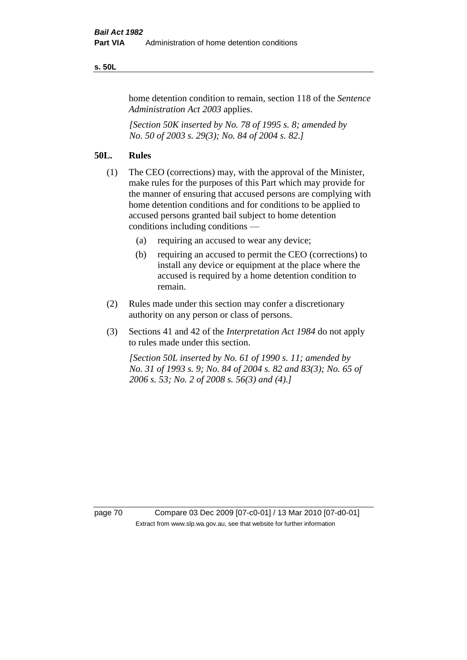#### **s. 50L**

home detention condition to remain, section 118 of the *Sentence Administration Act 2003* applies.

*[Section 50K inserted by No. 78 of 1995 s. 8; amended by No. 50 of 2003 s. 29(3); No. 84 of 2004 s. 82.]* 

## **50L. Rules**

- (1) The CEO (corrections) may, with the approval of the Minister, make rules for the purposes of this Part which may provide for the manner of ensuring that accused persons are complying with home detention conditions and for conditions to be applied to accused persons granted bail subject to home detention conditions including conditions —
	- (a) requiring an accused to wear any device;
	- (b) requiring an accused to permit the CEO (corrections) to install any device or equipment at the place where the accused is required by a home detention condition to remain.
- (2) Rules made under this section may confer a discretionary authority on any person or class of persons.
- (3) Sections 41 and 42 of the *Interpretation Act 1984* do not apply to rules made under this section.

*[Section 50L inserted by No. 61 of 1990 s. 11; amended by No. 31 of 1993 s. 9; No. 84 of 2004 s. 82 and 83(3); No. 65 of 2006 s. 53; No. 2 of 2008 s. 56(3) and (4).]* 

page 70 Compare 03 Dec 2009 [07-c0-01] / 13 Mar 2010 [07-d0-01] Extract from www.slp.wa.gov.au, see that website for further information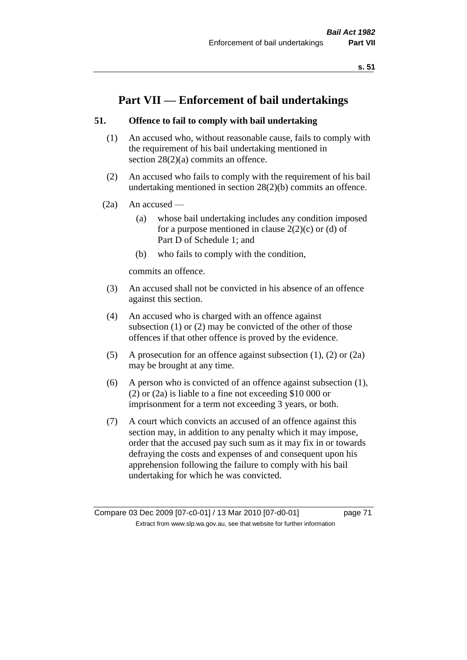## **Part VII — Enforcement of bail undertakings**

## **51. Offence to fail to comply with bail undertaking**

- (1) An accused who, without reasonable cause, fails to comply with the requirement of his bail undertaking mentioned in section 28(2)(a) commits an offence.
- (2) An accused who fails to comply with the requirement of his bail undertaking mentioned in section 28(2)(b) commits an offence.
- $(2a)$  An accused
	- (a) whose bail undertaking includes any condition imposed for a purpose mentioned in clause  $2(2)(c)$  or (d) of Part D of Schedule 1; and
	- (b) who fails to comply with the condition,

commits an offence.

- (3) An accused shall not be convicted in his absence of an offence against this section.
- (4) An accused who is charged with an offence against subsection (1) or (2) may be convicted of the other of those offences if that other offence is proved by the evidence.
- (5) A prosecution for an offence against subsection (1), (2) or (2a) may be brought at any time.
- (6) A person who is convicted of an offence against subsection (1), (2) or (2a) is liable to a fine not exceeding \$10 000 or imprisonment for a term not exceeding 3 years, or both.
- (7) A court which convicts an accused of an offence against this section may, in addition to any penalty which it may impose, order that the accused pay such sum as it may fix in or towards defraying the costs and expenses of and consequent upon his apprehension following the failure to comply with his bail undertaking for which he was convicted.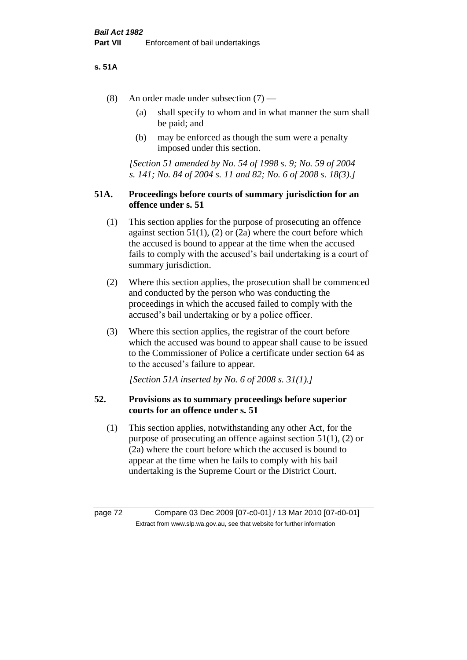#### **s. 51A**

- (8) An order made under subsection (7)
	- (a) shall specify to whom and in what manner the sum shall be paid; and
	- (b) may be enforced as though the sum were a penalty imposed under this section.

*[Section 51 amended by No. 54 of 1998 s. 9; No. 59 of 2004 s. 141; No. 84 of 2004 s. 11 and 82; No. 6 of 2008 s. 18(3).]*

## **51A. Proceedings before courts of summary jurisdiction for an offence under s. 51**

- (1) This section applies for the purpose of prosecuting an offence against section  $51(1)$ ,  $(2)$  or  $(2a)$  where the court before which the accused is bound to appear at the time when the accused fails to comply with the accused's bail undertaking is a court of summary jurisdiction.
- (2) Where this section applies, the prosecution shall be commenced and conducted by the person who was conducting the proceedings in which the accused failed to comply with the accused's bail undertaking or by a police officer.
- (3) Where this section applies, the registrar of the court before which the accused was bound to appear shall cause to be issued to the Commissioner of Police a certificate under section 64 as to the accused's failure to appear.

*[Section 51A inserted by No. 6 of 2008 s. 31(1).]*

## **52. Provisions as to summary proceedings before superior courts for an offence under s. 51**

(1) This section applies, notwithstanding any other Act, for the purpose of prosecuting an offence against section 51(1), (2) or (2a) where the court before which the accused is bound to appear at the time when he fails to comply with his bail undertaking is the Supreme Court or the District Court.

page 72 Compare 03 Dec 2009 [07-c0-01] / 13 Mar 2010 [07-d0-01] Extract from www.slp.wa.gov.au, see that website for further information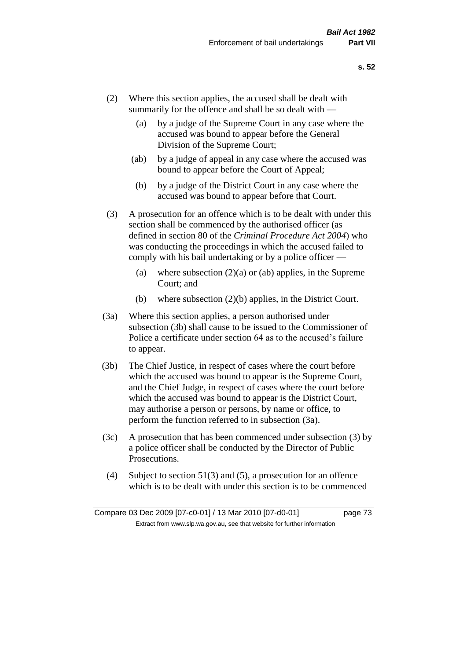- (2) Where this section applies, the accused shall be dealt with summarily for the offence and shall be so dealt with —
	- (a) by a judge of the Supreme Court in any case where the accused was bound to appear before the General Division of the Supreme Court;
	- (ab) by a judge of appeal in any case where the accused was bound to appear before the Court of Appeal;
	- (b) by a judge of the District Court in any case where the accused was bound to appear before that Court.
- (3) A prosecution for an offence which is to be dealt with under this section shall be commenced by the authorised officer (as defined in section 80 of the *Criminal Procedure Act 2004*) who was conducting the proceedings in which the accused failed to comply with his bail undertaking or by a police officer —
	- (a) where subsection  $(2)(a)$  or (ab) applies, in the Supreme Court; and
	- (b) where subsection (2)(b) applies, in the District Court.
- (3a) Where this section applies, a person authorised under subsection (3b) shall cause to be issued to the Commissioner of Police a certificate under section 64 as to the accused's failure to appear.
- (3b) The Chief Justice, in respect of cases where the court before which the accused was bound to appear is the Supreme Court, and the Chief Judge, in respect of cases where the court before which the accused was bound to appear is the District Court, may authorise a person or persons, by name or office, to perform the function referred to in subsection (3a).
- (3c) A prosecution that has been commenced under subsection (3) by a police officer shall be conducted by the Director of Public Prosecutions.
- (4) Subject to section 51(3) and (5), a prosecution for an offence which is to be dealt with under this section is to be commenced

Compare 03 Dec 2009 [07-c0-01] / 13 Mar 2010 [07-d0-01] page 73 Extract from www.slp.wa.gov.au, see that website for further information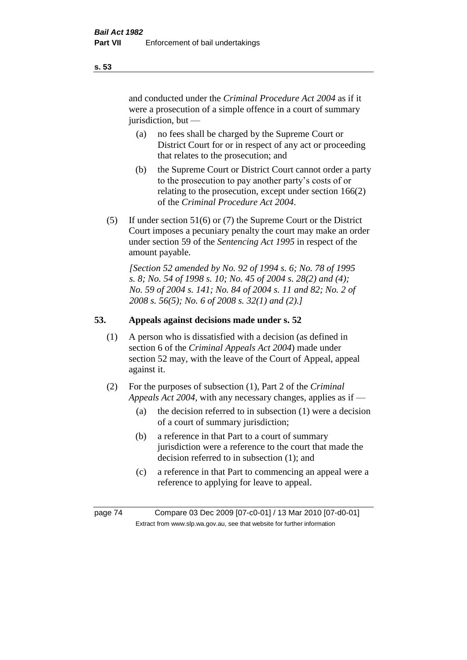and conducted under the *Criminal Procedure Act 2004* as if it were a prosecution of a simple offence in a court of summary jurisdiction, but —

- (a) no fees shall be charged by the Supreme Court or District Court for or in respect of any act or proceeding that relates to the prosecution; and
- (b) the Supreme Court or District Court cannot order a party to the prosecution to pay another party's costs of or relating to the prosecution, except under section 166(2) of the *Criminal Procedure Act 2004*.
- (5) If under section 51(6) or (7) the Supreme Court or the District Court imposes a pecuniary penalty the court may make an order under section 59 of the *Sentencing Act 1995* in respect of the amount payable.

*[Section 52 amended by No. 92 of 1994 s. 6; No. 78 of 1995 s. 8; No. 54 of 1998 s. 10; No. 45 of 2004 s. 28(2) and (4); No. 59 of 2004 s. 141; No. 84 of 2004 s. 11 and 82; No. 2 of 2008 s. 56(5); No. 6 of 2008 s. 32(1) and (2).]* 

## **53. Appeals against decisions made under s. 52**

- (1) A person who is dissatisfied with a decision (as defined in section 6 of the *Criminal Appeals Act 2004*) made under section 52 may, with the leave of the Court of Appeal, appeal against it.
- (2) For the purposes of subsection (1), Part 2 of the *Criminal Appeals Act 2004*, with any necessary changes, applies as if —
	- (a) the decision referred to in subsection (1) were a decision of a court of summary jurisdiction;
	- (b) a reference in that Part to a court of summary jurisdiction were a reference to the court that made the decision referred to in subsection (1); and
	- (c) a reference in that Part to commencing an appeal were a reference to applying for leave to appeal.

page 74 Compare 03 Dec 2009 [07-c0-01] / 13 Mar 2010 [07-d0-01] Extract from www.slp.wa.gov.au, see that website for further information

**s. 53**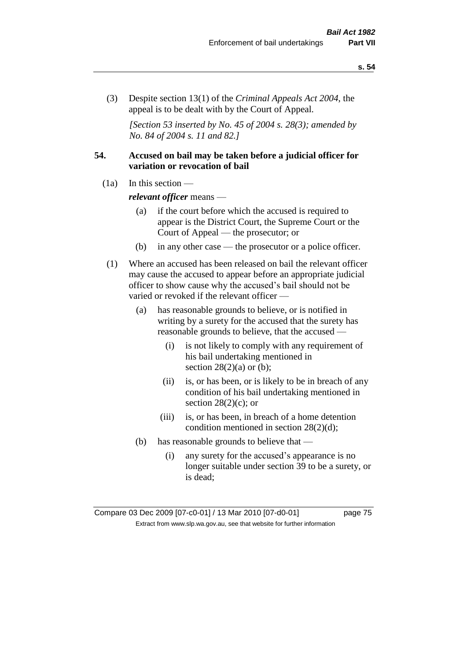(3) Despite section 13(1) of the *Criminal Appeals Act 2004*, the appeal is to be dealt with by the Court of Appeal.

*[Section 53 inserted by No. 45 of 2004 s. 28(3); amended by No. 84 of 2004 s. 11 and 82.]*

## **54. Accused on bail may be taken before a judicial officer for variation or revocation of bail**

(1a) In this section —

*relevant officer* means —

- (a) if the court before which the accused is required to appear is the District Court, the Supreme Court or the Court of Appeal — the prosecutor; or
- (b) in any other case the prosecutor or a police officer.
- (1) Where an accused has been released on bail the relevant officer may cause the accused to appear before an appropriate judicial officer to show cause why the accused's bail should not be varied or revoked if the relevant officer —
	- (a) has reasonable grounds to believe, or is notified in writing by a surety for the accused that the surety has reasonable grounds to believe, that the accused —
		- (i) is not likely to comply with any requirement of his bail undertaking mentioned in section  $28(2)(a)$  or (b);
		- (ii) is, or has been, or is likely to be in breach of any condition of his bail undertaking mentioned in section  $28(2)(c)$ ; or
		- (iii) is, or has been, in breach of a home detention condition mentioned in section 28(2)(d);
	- (b) has reasonable grounds to believe that
		- (i) any surety for the accused's appearance is no longer suitable under section 39 to be a surety, or is dead;

Compare 03 Dec 2009 [07-c0-01] / 13 Mar 2010 [07-d0-01] page 75 Extract from www.slp.wa.gov.au, see that website for further information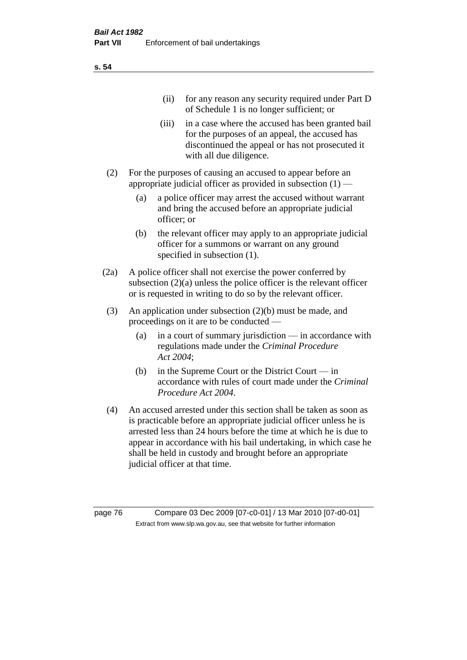| (11)  | for any reason any security required under Part D<br>of Schedule 1 is no longer sufficient; or                                                                                     |
|-------|------------------------------------------------------------------------------------------------------------------------------------------------------------------------------------|
| (iii) | in a case where the accused has been granted bail<br>for the purposes of an appeal, the accused has<br>discontinued the appeal or has not prosecuted it<br>with all due diligence. |

- (2) For the purposes of causing an accused to appear before an appropriate judicial officer as provided in subsection  $(1)$  —
	- (a) a police officer may arrest the accused without warrant and bring the accused before an appropriate judicial officer; or
	- (b) the relevant officer may apply to an appropriate judicial officer for a summons or warrant on any ground specified in subsection  $(1)$ .
- (2a) A police officer shall not exercise the power conferred by subsection (2)(a) unless the police officer is the relevant officer or is requested in writing to do so by the relevant officer.
- (3) An application under subsection (2)(b) must be made, and proceedings on it are to be conducted —
	- (a) in a court of summary jurisdiction in accordance with regulations made under the *Criminal Procedure Act 2004*;
	- (b) in the Supreme Court or the District Court in accordance with rules of court made under the *Criminal Procedure Act 2004*.
- (4) An accused arrested under this section shall be taken as soon as is practicable before an appropriate judicial officer unless he is arrested less than 24 hours before the time at which he is due to appear in accordance with his bail undertaking, in which case he shall be held in custody and brought before an appropriate judicial officer at that time.

page 76 Compare 03 Dec 2009 [07-c0-01] / 13 Mar 2010 [07-d0-01] Extract from www.slp.wa.gov.au, see that website for further information

**s. 54**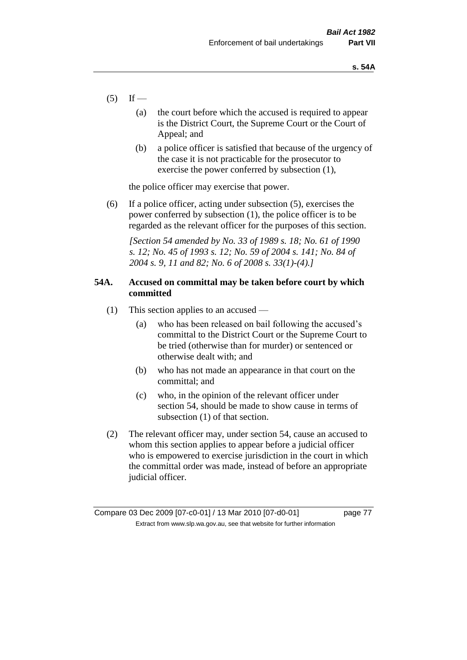- $(5)$  If
	- (a) the court before which the accused is required to appear is the District Court, the Supreme Court or the Court of Appeal; and
	- (b) a police officer is satisfied that because of the urgency of the case it is not practicable for the prosecutor to exercise the power conferred by subsection (1),

the police officer may exercise that power.

(6) If a police officer, acting under subsection (5), exercises the power conferred by subsection (1), the police officer is to be regarded as the relevant officer for the purposes of this section.

*[Section 54 amended by No. 33 of 1989 s. 18; No. 61 of 1990 s. 12; No. 45 of 1993 s. 12; No. 59 of 2004 s. 141; No. 84 of 2004 s. 9, 11 and 82; No. 6 of 2008 s. 33(1)-(4).]* 

## **54A. Accused on committal may be taken before court by which committed**

- (1) This section applies to an accused
	- (a) who has been released on bail following the accused's committal to the District Court or the Supreme Court to be tried (otherwise than for murder) or sentenced or otherwise dealt with; and
	- (b) who has not made an appearance in that court on the committal; and
	- (c) who, in the opinion of the relevant officer under section 54, should be made to show cause in terms of subsection (1) of that section.
- (2) The relevant officer may, under section 54, cause an accused to whom this section applies to appear before a judicial officer who is empowered to exercise jurisdiction in the court in which the committal order was made, instead of before an appropriate judicial officer.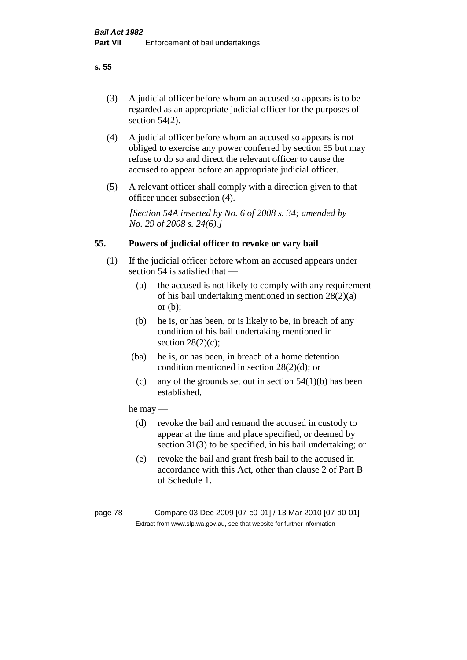(3) A judicial officer before whom an accused so appears is to be regarded as an appropriate judicial officer for the purposes of section 54(2).

- (4) A judicial officer before whom an accused so appears is not obliged to exercise any power conferred by section 55 but may refuse to do so and direct the relevant officer to cause the accused to appear before an appropriate judicial officer.
- (5) A relevant officer shall comply with a direction given to that officer under subsection (4).

*[Section 54A inserted by No. 6 of 2008 s. 34; amended by No. 29 of 2008 s. 24(6).]*

## **55. Powers of judicial officer to revoke or vary bail**

- (1) If the judicial officer before whom an accused appears under section 54 is satisfied that —
	- (a) the accused is not likely to comply with any requirement of his bail undertaking mentioned in section 28(2)(a) or (b);
	- (b) he is, or has been, or is likely to be, in breach of any condition of his bail undertaking mentioned in section  $28(2)(c)$ ;
	- (ba) he is, or has been, in breach of a home detention condition mentioned in section 28(2)(d); or
		- (c) any of the grounds set out in section  $54(1)(b)$  has been established,

## he may —

- (d) revoke the bail and remand the accused in custody to appear at the time and place specified, or deemed by section 31(3) to be specified, in his bail undertaking; or
- (e) revoke the bail and grant fresh bail to the accused in accordance with this Act, other than clause 2 of Part B of Schedule 1.

page 78 Compare 03 Dec 2009 [07-c0-01] / 13 Mar 2010 [07-d0-01] Extract from www.slp.wa.gov.au, see that website for further information

## **s. 55**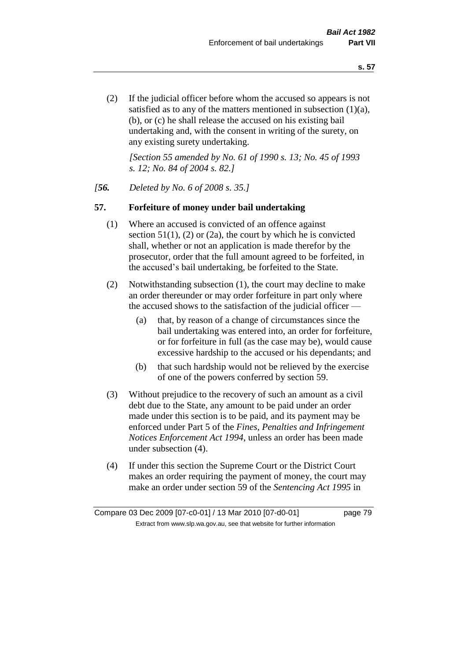(2) If the judicial officer before whom the accused so appears is not satisfied as to any of the matters mentioned in subsection (1)(a), (b), or (c) he shall release the accused on his existing bail undertaking and, with the consent in writing of the surety, on any existing surety undertaking.

*[Section 55 amended by No. 61 of 1990 s. 13; No. 45 of 1993 s. 12; No. 84 of 2004 s. 82.]* 

#### *[56. Deleted by No. 6 of 2008 s. 35.]*

#### **57. Forfeiture of money under bail undertaking**

- (1) Where an accused is convicted of an offence against section  $51(1)$ , (2) or (2a), the court by which he is convicted shall, whether or not an application is made therefor by the prosecutor, order that the full amount agreed to be forfeited, in the accused's bail undertaking, be forfeited to the State.
- (2) Notwithstanding subsection (1), the court may decline to make an order thereunder or may order forfeiture in part only where the accused shows to the satisfaction of the judicial officer —
	- (a) that, by reason of a change of circumstances since the bail undertaking was entered into, an order for forfeiture, or for forfeiture in full (as the case may be), would cause excessive hardship to the accused or his dependants; and
	- (b) that such hardship would not be relieved by the exercise of one of the powers conferred by section 59.
- (3) Without prejudice to the recovery of such an amount as a civil debt due to the State, any amount to be paid under an order made under this section is to be paid, and its payment may be enforced under Part 5 of the *Fines, Penalties and Infringement Notices Enforcement Act 1994*, unless an order has been made under subsection (4).
- (4) If under this section the Supreme Court or the District Court makes an order requiring the payment of money, the court may make an order under section 59 of the *Sentencing Act 1995* in

Compare 03 Dec 2009 [07-c0-01] / 13 Mar 2010 [07-d0-01] page 79 Extract from www.slp.wa.gov.au, see that website for further information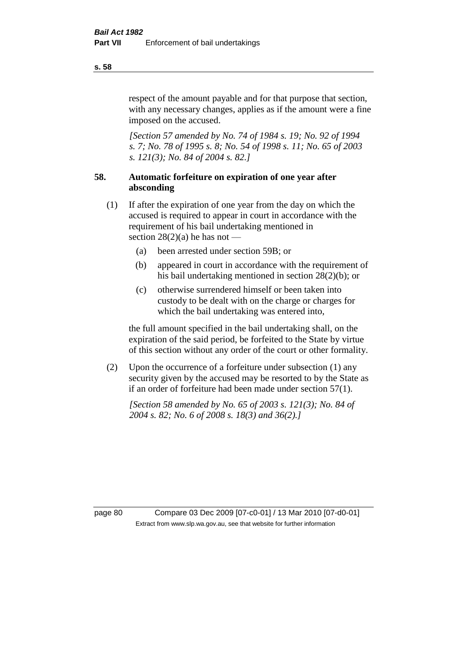respect of the amount payable and for that purpose that section, with any necessary changes, applies as if the amount were a fine imposed on the accused.

*[Section 57 amended by No. 74 of 1984 s. 19; No. 92 of 1994 s. 7; No. 78 of 1995 s. 8; No. 54 of 1998 s. 11; No. 65 of 2003 s. 121(3); No. 84 of 2004 s. 82.]* 

## **58. Automatic forfeiture on expiration of one year after absconding**

- (1) If after the expiration of one year from the day on which the accused is required to appear in court in accordance with the requirement of his bail undertaking mentioned in section  $28(2)(a)$  he has not —
	- (a) been arrested under section 59B; or
	- (b) appeared in court in accordance with the requirement of his bail undertaking mentioned in section 28(2)(b); or
	- (c) otherwise surrendered himself or been taken into custody to be dealt with on the charge or charges for which the bail undertaking was entered into,

the full amount specified in the bail undertaking shall, on the expiration of the said period, be forfeited to the State by virtue of this section without any order of the court or other formality.

(2) Upon the occurrence of a forfeiture under subsection (1) any security given by the accused may be resorted to by the State as if an order of forfeiture had been made under section 57(1).

*[Section 58 amended by No. 65 of 2003 s. 121(3); No. 84 of 2004 s. 82; No. 6 of 2008 s. 18(3) and 36(2).]*

page 80 Compare 03 Dec 2009 [07-c0-01] / 13 Mar 2010 [07-d0-01] Extract from www.slp.wa.gov.au, see that website for further information

#### **s. 58**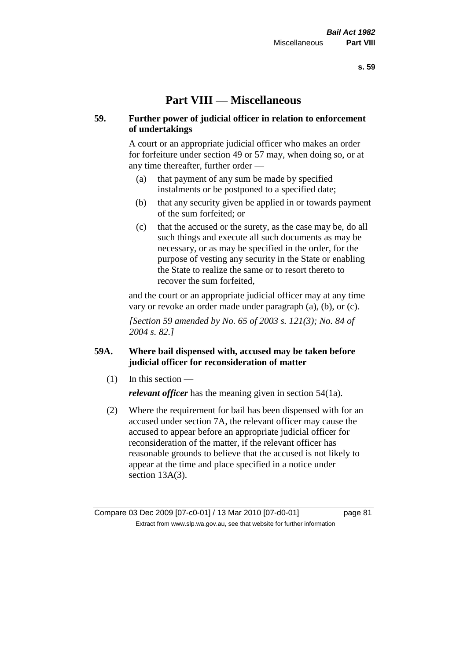# **Part VIII — Miscellaneous**

## **59. Further power of judicial officer in relation to enforcement of undertakings**

A court or an appropriate judicial officer who makes an order for forfeiture under section 49 or 57 may, when doing so, or at any time thereafter, further order —

- (a) that payment of any sum be made by specified instalments or be postponed to a specified date;
- (b) that any security given be applied in or towards payment of the sum forfeited; or
- (c) that the accused or the surety, as the case may be, do all such things and execute all such documents as may be necessary, or as may be specified in the order, for the purpose of vesting any security in the State or enabling the State to realize the same or to resort thereto to recover the sum forfeited,

and the court or an appropriate judicial officer may at any time vary or revoke an order made under paragraph (a), (b), or (c).

*[Section 59 amended by No. 65 of 2003 s. 121(3); No. 84 of 2004 s. 82.]*

## **59A. Where bail dispensed with, accused may be taken before judicial officer for reconsideration of matter**

- $(1)$  In this section *relevant officer* has the meaning given in section 54(1a).
- (2) Where the requirement for bail has been dispensed with for an accused under section 7A, the relevant officer may cause the accused to appear before an appropriate judicial officer for reconsideration of the matter, if the relevant officer has reasonable grounds to believe that the accused is not likely to appear at the time and place specified in a notice under section 13A(3).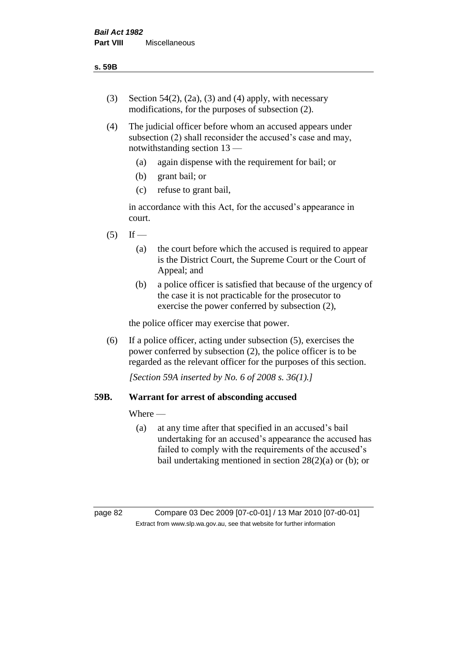- (3) Section 54(2), (2a), (3) and (4) apply, with necessary modifications, for the purposes of subsection (2).
- (4) The judicial officer before whom an accused appears under subsection (2) shall reconsider the accused's case and may, notwithstanding section 13 —
	- (a) again dispense with the requirement for bail; or
	- (b) grant bail; or
	- (c) refuse to grant bail,

in accordance with this Act, for the accused's appearance in court.

- $(5)$  If
	- (a) the court before which the accused is required to appear is the District Court, the Supreme Court or the Court of Appeal; and
	- (b) a police officer is satisfied that because of the urgency of the case it is not practicable for the prosecutor to exercise the power conferred by subsection (2),

the police officer may exercise that power.

(6) If a police officer, acting under subsection (5), exercises the power conferred by subsection (2), the police officer is to be regarded as the relevant officer for the purposes of this section.

*[Section 59A inserted by No. 6 of 2008 s. 36(1).]*

## **59B. Warrant for arrest of absconding accused**

Where —

(a) at any time after that specified in an accused's bail undertaking for an accused's appearance the accused has failed to comply with the requirements of the accused's bail undertaking mentioned in section 28(2)(a) or (b); or

page 82 Compare 03 Dec 2009 [07-c0-01] / 13 Mar 2010 [07-d0-01] Extract from www.slp.wa.gov.au, see that website for further information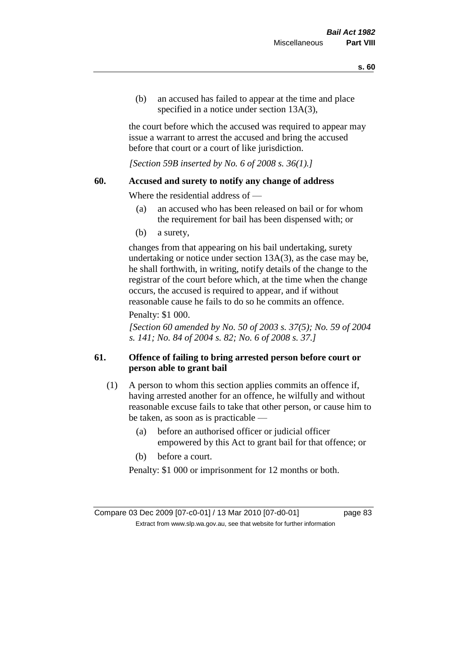(b) an accused has failed to appear at the time and place specified in a notice under section 13A(3).

the court before which the accused was required to appear may issue a warrant to arrest the accused and bring the accused before that court or a court of like jurisdiction.

*[Section 59B inserted by No. 6 of 2008 s. 36(1).]*

#### **60. Accused and surety to notify any change of address**

Where the residential address of —

- (a) an accused who has been released on bail or for whom the requirement for bail has been dispensed with; or
- (b) a surety,

changes from that appearing on his bail undertaking, surety undertaking or notice under section 13A(3), as the case may be, he shall forthwith, in writing, notify details of the change to the registrar of the court before which, at the time when the change occurs, the accused is required to appear, and if without reasonable cause he fails to do so he commits an offence.

#### Penalty: \$1 000.

*[Section 60 amended by No. 50 of 2003 s. 37(5); No. 59 of 2004 s. 141; No. 84 of 2004 s. 82; No. 6 of 2008 s. 37.]*

## **61. Offence of failing to bring arrested person before court or person able to grant bail**

- (1) A person to whom this section applies commits an offence if, having arrested another for an offence, he wilfully and without reasonable excuse fails to take that other person, or cause him to be taken, as soon as is practicable —
	- (a) before an authorised officer or judicial officer empowered by this Act to grant bail for that offence; or
	- (b) before a court.

Penalty: \$1 000 or imprisonment for 12 months or both.

Compare 03 Dec 2009 [07-c0-01] / 13 Mar 2010 [07-d0-01] page 83 Extract from www.slp.wa.gov.au, see that website for further information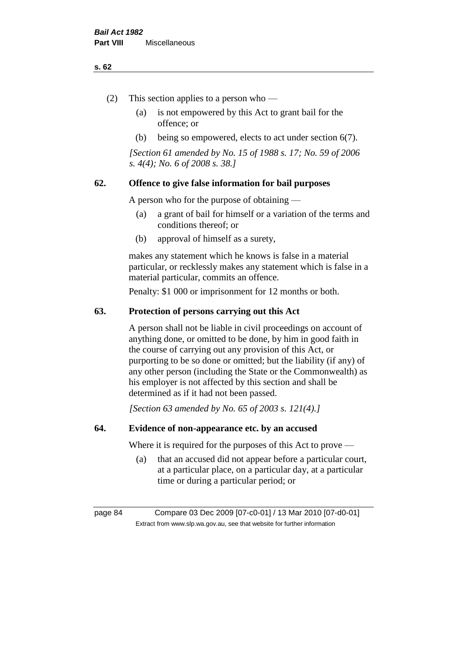#### **s. 62**

- (2) This section applies to a person who
	- (a) is not empowered by this Act to grant bail for the offence; or
	- (b) being so empowered, elects to act under section 6(7).

*[Section 61 amended by No. 15 of 1988 s. 17; No. 59 of 2006 s. 4(4); No. 6 of 2008 s. 38.]* 

## **62. Offence to give false information for bail purposes**

A person who for the purpose of obtaining —

- (a) a grant of bail for himself or a variation of the terms and conditions thereof; or
- (b) approval of himself as a surety,

makes any statement which he knows is false in a material particular, or recklessly makes any statement which is false in a material particular, commits an offence.

Penalty: \$1 000 or imprisonment for 12 months or both.

#### **63. Protection of persons carrying out this Act**

A person shall not be liable in civil proceedings on account of anything done, or omitted to be done, by him in good faith in the course of carrying out any provision of this Act, or purporting to be so done or omitted; but the liability (if any) of any other person (including the State or the Commonwealth) as his employer is not affected by this section and shall be determined as if it had not been passed.

*[Section 63 amended by No. 65 of 2003 s. 121(4).]*

#### **64. Evidence of non-appearance etc. by an accused**

Where it is required for the purposes of this Act to prove —

(a) that an accused did not appear before a particular court, at a particular place, on a particular day, at a particular time or during a particular period; or

page 84 Compare 03 Dec 2009 [07-c0-01] / 13 Mar 2010 [07-d0-01] Extract from www.slp.wa.gov.au, see that website for further information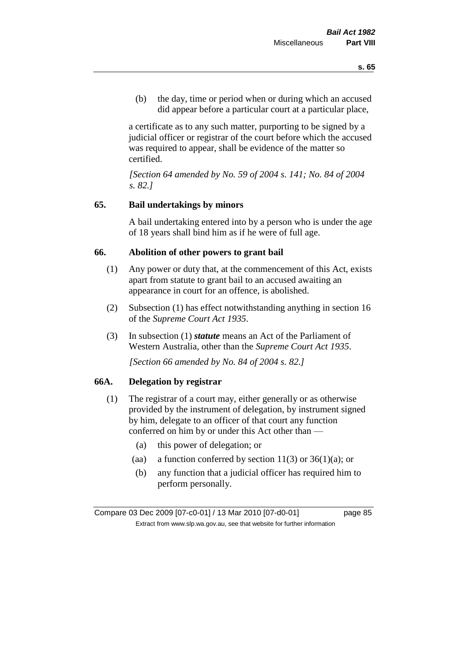(b) the day, time or period when or during which an accused did appear before a particular court at a particular place,

a certificate as to any such matter, purporting to be signed by a judicial officer or registrar of the court before which the accused was required to appear, shall be evidence of the matter so certified.

*[Section 64 amended by No. 59 of 2004 s. 141; No. 84 of 2004 s. 82.]* 

#### **65. Bail undertakings by minors**

A bail undertaking entered into by a person who is under the age of 18 years shall bind him as if he were of full age.

#### **66. Abolition of other powers to grant bail**

- (1) Any power or duty that, at the commencement of this Act, exists apart from statute to grant bail to an accused awaiting an appearance in court for an offence, is abolished.
- (2) Subsection (1) has effect notwithstanding anything in section 16 of the *Supreme Court Act 1935*.
- (3) In subsection (1) *statute* means an Act of the Parliament of Western Australia, other than the *Supreme Court Act 1935*.

*[Section 66 amended by No. 84 of 2004 s. 82.]*

#### **66A. Delegation by registrar**

- (1) The registrar of a court may, either generally or as otherwise provided by the instrument of delegation, by instrument signed by him, delegate to an officer of that court any function conferred on him by or under this Act other than —
	- (a) this power of delegation; or
	- (aa) a function conferred by section  $11(3)$  or  $36(1)(a)$ ; or
	- (b) any function that a judicial officer has required him to perform personally.

Compare 03 Dec 2009 [07-c0-01] / 13 Mar 2010 [07-d0-01] page 85 Extract from www.slp.wa.gov.au, see that website for further information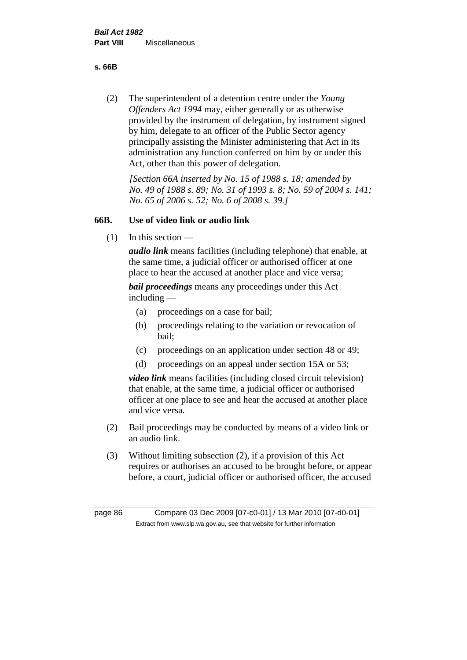**s. 66B**

(2) The superintendent of a detention centre under the *Young Offenders Act 1994* may, either generally or as otherwise provided by the instrument of delegation, by instrument signed by him, delegate to an officer of the Public Sector agency principally assisting the Minister administering that Act in its administration any function conferred on him by or under this Act, other than this power of delegation.

*[Section 66A inserted by No. 15 of 1988 s. 18; amended by No. 49 of 1988 s. 89; No. 31 of 1993 s. 8; No. 59 of 2004 s. 141; No. 65 of 2006 s. 52; No. 6 of 2008 s. 39.]* 

## **66B. Use of video link or audio link**

(1) In this section —

*audio link* means facilities (including telephone) that enable, at the same time, a judicial officer or authorised officer at one place to hear the accused at another place and vice versa;

*bail proceedings* means any proceedings under this Act including —

- (a) proceedings on a case for bail;
- (b) proceedings relating to the variation or revocation of bail;
- (c) proceedings on an application under section 48 or 49;
- (d) proceedings on an appeal under section 15A or 53;

*video link* means facilities (including closed circuit television) that enable, at the same time, a judicial officer or authorised officer at one place to see and hear the accused at another place and vice versa.

- (2) Bail proceedings may be conducted by means of a video link or an audio link.
- (3) Without limiting subsection (2), if a provision of this Act requires or authorises an accused to be brought before, or appear before, a court, judicial officer or authorised officer, the accused

page 86 Compare 03 Dec 2009 [07-c0-01] / 13 Mar 2010 [07-d0-01] Extract from www.slp.wa.gov.au, see that website for further information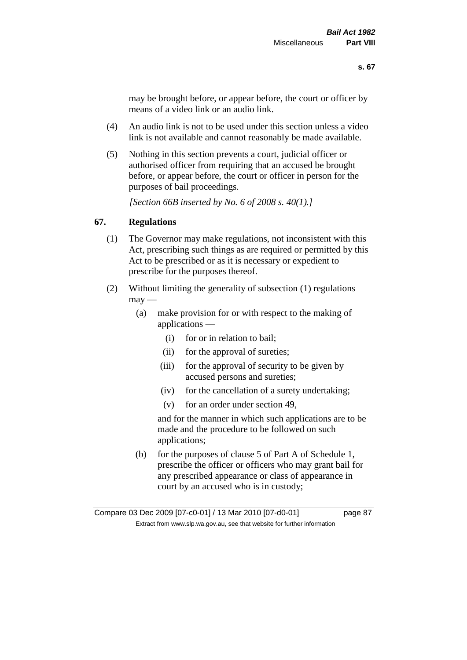may be brought before, or appear before, the court or officer by means of a video link or an audio link.

- (4) An audio link is not to be used under this section unless a video link is not available and cannot reasonably be made available.
- (5) Nothing in this section prevents a court, judicial officer or authorised officer from requiring that an accused be brought before, or appear before, the court or officer in person for the purposes of bail proceedings.

*[Section 66B inserted by No. 6 of 2008 s. 40(1).]*

## **67. Regulations**

- (1) The Governor may make regulations, not inconsistent with this Act, prescribing such things as are required or permitted by this Act to be prescribed or as it is necessary or expedient to prescribe for the purposes thereof.
- (2) Without limiting the generality of subsection (1) regulations  $\text{max}$  —
	- (a) make provision for or with respect to the making of applications —
		- (i) for or in relation to bail;
		- (ii) for the approval of sureties;
		- (iii) for the approval of security to be given by accused persons and sureties;
		- (iv) for the cancellation of a surety undertaking;
		- (v) for an order under section 49,

and for the manner in which such applications are to be made and the procedure to be followed on such applications;

(b) for the purposes of clause 5 of Part A of Schedule 1, prescribe the officer or officers who may grant bail for any prescribed appearance or class of appearance in court by an accused who is in custody;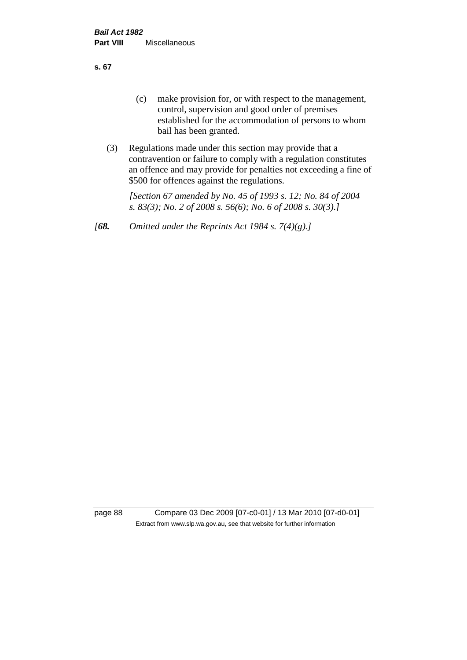**s. 67**

- (c) make provision for, or with respect to the management, control, supervision and good order of premises established for the accommodation of persons to whom bail has been granted.
- (3) Regulations made under this section may provide that a contravention or failure to comply with a regulation constitutes an offence and may provide for penalties not exceeding a fine of \$500 for offences against the regulations.

*[Section 67 amended by No. 45 of 1993 s. 12; No. 84 of 2004 s. 83(3); No. 2 of 2008 s. 56(6); No. 6 of 2008 s. 30(3).]* 

*[68. Omitted under the Reprints Act 1984 s. 7(4)(g).]*

page 88 Compare 03 Dec 2009 [07-c0-01] / 13 Mar 2010 [07-d0-01] Extract from www.slp.wa.gov.au, see that website for further information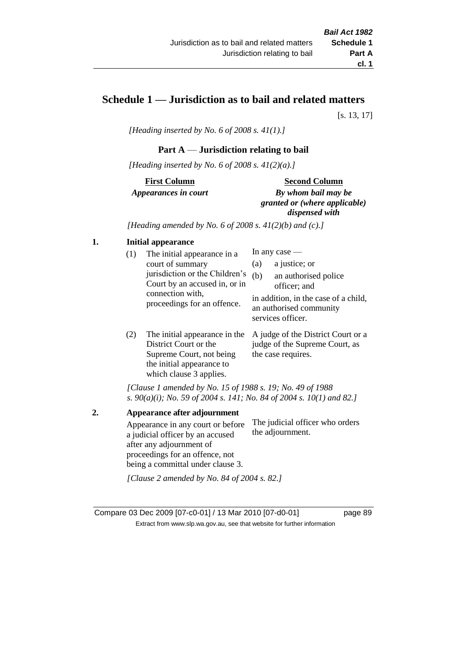## **Schedule 1 — Jurisdiction as to bail and related matters**

[s. 13, 17]

*[Heading inserted by No. 6 of 2008 s. 41(1).]*

#### **Part A** — **Jurisdiction relating to bail**

*[Heading inserted by No. 6 of 2008 s. 41(2)(a).]*

**First Column** *Appearances in court* 

#### **Second Column**

*By whom bail may be granted or (where applicable) dispensed with*

*[Heading amended by No. 6 of 2008 s. 41(2)(b) and (c).]*

#### **1. Initial appearance**

| (1) | The initial appearance in a<br>court of summary<br>jurisdiction or the Children's<br>Court by an accused in, or in<br>connection with,<br>proceedings for an offence. | In any case $-$<br>a justice; or<br>(a)<br>(b)<br>an authorised police<br>officer; and<br>in addition, in the case of a child,<br>an authorised community<br>services officer. |  |
|-----|-----------------------------------------------------------------------------------------------------------------------------------------------------------------------|--------------------------------------------------------------------------------------------------------------------------------------------------------------------------------|--|
|     |                                                                                                                                                                       | The initial enneargnes in the $\Lambda$ indee of the District Court or a                                                                                                       |  |

(2) The initial appearance in the A judge of the District Court or a District Court or the Supreme Court, not being the initial appearance to which clause 3 applies. judge of the Supreme Court, as the case requires.

*[Clause 1 amended by No. 15 of 1988 s. 19; No. 49 of 1988 s. 90(a)(i); No. 59 of 2004 s. 141; No. 84 of 2004 s. 10(1) and 82.]*

**2. Appearance after adjournment** Appearance in any court or before a judicial officer by an accused after any adjournment of proceedings for an offence, not being a committal under clause 3. The judicial officer who orders the adjournment. *[Clause 2 amended by No. 84 of 2004 s. 82.]*

Compare 03 Dec 2009 [07-c0-01] / 13 Mar 2010 [07-d0-01] page 89 Extract from www.slp.wa.gov.au, see that website for further information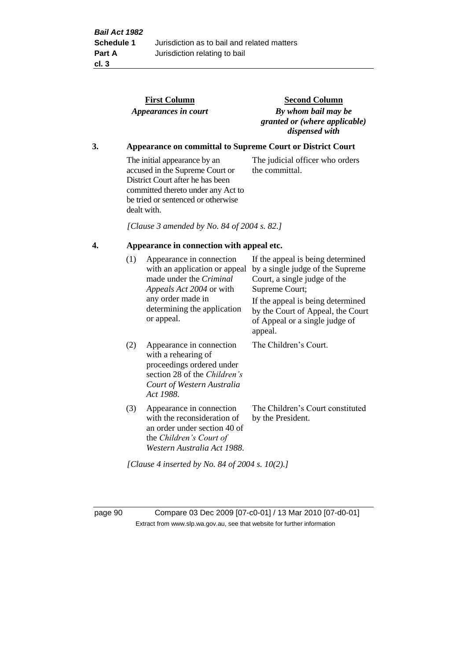|    |                                                            | <b>First Column</b><br>Appearances in court                                                                                                                                                    | <b>Second Column</b><br>By whom bail may be<br>granted or (where applicable)<br>dispensed with                                                                                                    |  |  |  |
|----|------------------------------------------------------------|------------------------------------------------------------------------------------------------------------------------------------------------------------------------------------------------|---------------------------------------------------------------------------------------------------------------------------------------------------------------------------------------------------|--|--|--|
| 3. | Appearance on committal to Supreme Court or District Court |                                                                                                                                                                                                |                                                                                                                                                                                                   |  |  |  |
|    |                                                            | The initial appearance by an<br>accused in the Supreme Court or<br>District Court after he has been<br>committed thereto under any Act to<br>be tried or sentenced or otherwise<br>dealt with. | The judicial officer who orders<br>the committal.                                                                                                                                                 |  |  |  |
|    |                                                            | [Clause 3 amended by No. 84 of 2004 s. 82.]                                                                                                                                                    |                                                                                                                                                                                                   |  |  |  |
| 4. |                                                            | Appearance in connection with appeal etc.                                                                                                                                                      |                                                                                                                                                                                                   |  |  |  |
|    | (1)                                                        | Appearance in connection<br>with an application or appeal<br>made under the Criminal<br>Appeals Act 2004 or with<br>any order made in<br>determining the application                           | If the appeal is being determined<br>by a single judge of the Supreme<br>Court, a single judge of the<br>Supreme Court;<br>If the appeal is being determined<br>by the Court of Appeal, the Court |  |  |  |
|    |                                                            | or appeal.                                                                                                                                                                                     | of Appeal or a single judge of<br>appeal.                                                                                                                                                         |  |  |  |
|    | (2)                                                        | Appearance in connection<br>with a rehearing of<br>proceedings ordered under<br>section 28 of the Children's<br>Court of Western Australia<br>Act 1988.                                        | The Children's Court.                                                                                                                                                                             |  |  |  |
|    | (3)                                                        | Appearance in connection<br>with the reconsideration of<br>an order under section 40 of<br>the Children's Court of<br>Western Australia Act 1988.                                              | The Children's Court constituted<br>by the President.                                                                                                                                             |  |  |  |

*[Clause 4 inserted by No. 84 of 2004 s. 10(2).]*

page 90 Compare 03 Dec 2009 [07-c0-01] / 13 Mar 2010 [07-d0-01] Extract from www.slp.wa.gov.au, see that website for further information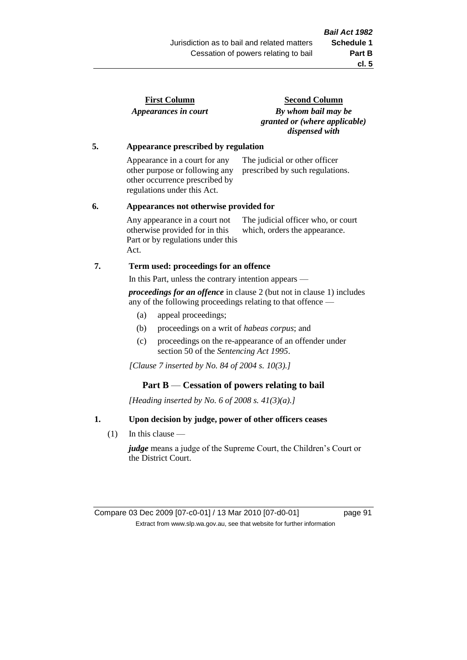| <b>First Column</b>  |  |
|----------------------|--|
| Appearances in court |  |

**Second Column** *By whom bail may be granted or (where applicable) dispensed with*

#### **5. Appearance prescribed by regulation**

Appearance in a court for any other purpose or following any other occurrence prescribed by regulations under this Act. The judicial or other officer prescribed by such regulations.

#### **6. Appearances not otherwise provided for**

Any appearance in a court not otherwise provided for in this Part or by regulations under this Act. The judicial officer who, or court which, orders the appearance.

## **7. Term used: proceedings for an offence**

In this Part, unless the contrary intention appears —

*proceedings for an offence* in clause 2 (but not in clause 1) includes any of the following proceedings relating to that offence —

- (a) appeal proceedings;
- (b) proceedings on a writ of *habeas corpus*; and
- (c) proceedings on the re-appearance of an offender under section 50 of the *Sentencing Act 1995*.

*[Clause 7 inserted by No. 84 of 2004 s. 10(3).]*

## **Part B** — **Cessation of powers relating to bail**

*[Heading inserted by No. 6 of 2008 s. 41(3)(a).]*

## **1. Upon decision by judge, power of other officers ceases**

(1) In this clause —

*judge* means a judge of the Supreme Court, the Children's Court or the District Court.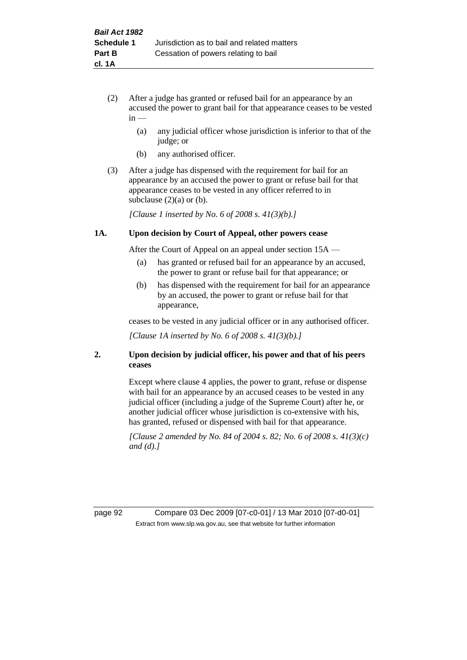- (2) After a judge has granted or refused bail for an appearance by an accused the power to grant bail for that appearance ceases to be vested  $in -$ 
	- (a) any judicial officer whose jurisdiction is inferior to that of the judge; or
	- (b) any authorised officer.
- (3) After a judge has dispensed with the requirement for bail for an appearance by an accused the power to grant or refuse bail for that appearance ceases to be vested in any officer referred to in subclause  $(2)(a)$  or  $(b)$ .

*[Clause 1 inserted by No. 6 of 2008 s. 41(3)(b).]*

#### **1A. Upon decision by Court of Appeal, other powers cease**

After the Court of Appeal on an appeal under section 15A —

- (a) has granted or refused bail for an appearance by an accused, the power to grant or refuse bail for that appearance; or
- (b) has dispensed with the requirement for bail for an appearance by an accused, the power to grant or refuse bail for that appearance,

ceases to be vested in any judicial officer or in any authorised officer.

*[Clause 1A inserted by No. 6 of 2008 s. 41(3)(b).]*

#### **2. Upon decision by judicial officer, his power and that of his peers ceases**

Except where clause 4 applies, the power to grant, refuse or dispense with bail for an appearance by an accused ceases to be vested in any judicial officer (including a judge of the Supreme Court) after he, or another judicial officer whose jurisdiction is co-extensive with his, has granted, refused or dispensed with bail for that appearance.

*[Clause 2 amended by No. 84 of 2004 s. 82; No. 6 of 2008 s. 41(3)(c) and (d).]*

page 92 Compare 03 Dec 2009 [07-c0-01] / 13 Mar 2010 [07-d0-01] Extract from www.slp.wa.gov.au, see that website for further information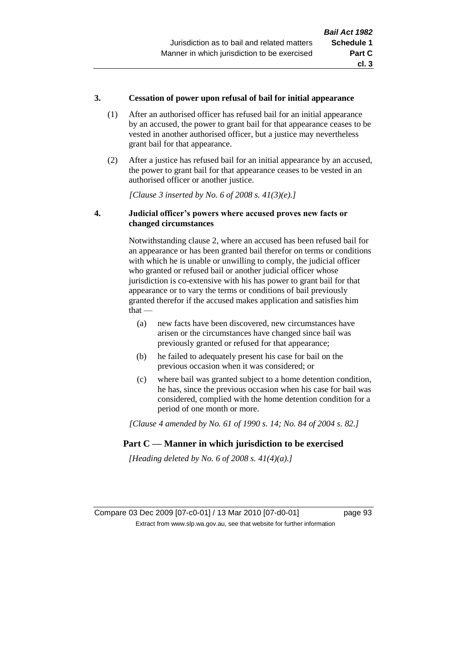#### **3. Cessation of power upon refusal of bail for initial appearance**

- (1) After an authorised officer has refused bail for an initial appearance by an accused, the power to grant bail for that appearance ceases to be vested in another authorised officer, but a justice may nevertheless grant bail for that appearance.
- (2) After a justice has refused bail for an initial appearance by an accused, the power to grant bail for that appearance ceases to be vested in an authorised officer or another justice.

*[Clause 3 inserted by No. 6 of 2008 s. 41(3)(e).]*

#### **4. Judicial officer's powers where accused proves new facts or changed circumstances**

Notwithstanding clause 2, where an accused has been refused bail for an appearance or has been granted bail therefor on terms or conditions with which he is unable or unwilling to comply, the judicial officer who granted or refused bail or another judicial officer whose jurisdiction is co-extensive with his has power to grant bail for that appearance or to vary the terms or conditions of bail previously granted therefor if the accused makes application and satisfies him  $that -$ 

- (a) new facts have been discovered, new circumstances have arisen or the circumstances have changed since bail was previously granted or refused for that appearance;
- (b) he failed to adequately present his case for bail on the previous occasion when it was considered; or
- (c) where bail was granted subject to a home detention condition, he has, since the previous occasion when his case for bail was considered, complied with the home detention condition for a period of one month or more.

*[Clause 4 amended by No. 61 of 1990 s. 14; No. 84 of 2004 s. 82.]*

## **Part C — Manner in which jurisdiction to be exercised**

*[Heading deleted by No. 6 of 2008 s. 41(4)(a).]*

Compare 03 Dec 2009 [07-c0-01] / 13 Mar 2010 [07-d0-01] page 93 Extract from www.slp.wa.gov.au, see that website for further information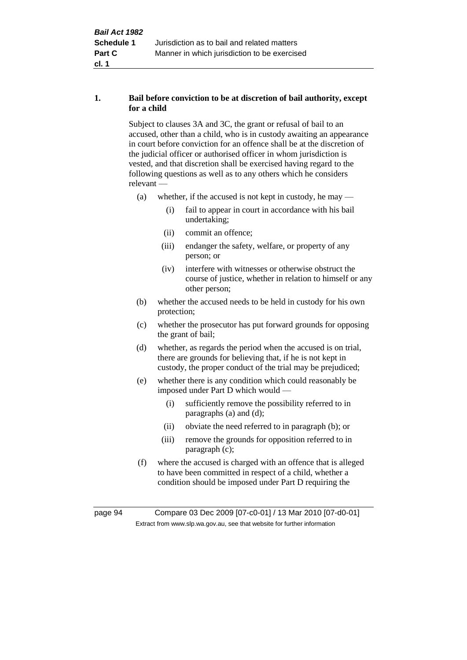#### **1. Bail before conviction to be at discretion of bail authority, except for a child**

Subject to clauses 3A and 3C, the grant or refusal of bail to an accused, other than a child, who is in custody awaiting an appearance in court before conviction for an offence shall be at the discretion of the judicial officer or authorised officer in whom jurisdiction is vested, and that discretion shall be exercised having regard to the following questions as well as to any others which he considers relevant —

- (a) whether, if the accused is not kept in custody, he may
	- (i) fail to appear in court in accordance with his bail undertaking;
	- (ii) commit an offence;
	- (iii) endanger the safety, welfare, or property of any person; or
	- (iv) interfere with witnesses or otherwise obstruct the course of justice, whether in relation to himself or any other person;
- (b) whether the accused needs to be held in custody for his own protection;
- (c) whether the prosecutor has put forward grounds for opposing the grant of bail;
- (d) whether, as regards the period when the accused is on trial, there are grounds for believing that, if he is not kept in custody, the proper conduct of the trial may be prejudiced;
- (e) whether there is any condition which could reasonably be imposed under Part D which would —
	- (i) sufficiently remove the possibility referred to in paragraphs (a) and (d);
	- (ii) obviate the need referred to in paragraph (b); or
	- (iii) remove the grounds for opposition referred to in paragraph (c);
- (f) where the accused is charged with an offence that is alleged to have been committed in respect of a child, whether a condition should be imposed under Part D requiring the

page 94 Compare 03 Dec 2009 [07-c0-01] / 13 Mar 2010 [07-d0-01] Extract from www.slp.wa.gov.au, see that website for further information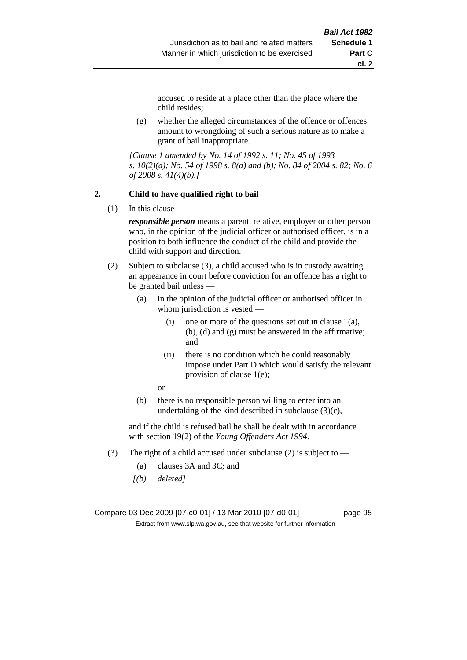accused to reside at a place other than the place where the child resides;

(g) whether the alleged circumstances of the offence or offences amount to wrongdoing of such a serious nature as to make a grant of bail inappropriate.

*[Clause 1 amended by No. 14 of 1992 s. 11; No. 45 of 1993 s. 10(2)(a); No. 54 of 1998 s. 8(a) and (b); No. 84 of 2004 s. 82; No. 6 of 2008 s. 41(4)(b).]*

#### **2. Child to have qualified right to bail**

 $(1)$  In this clause —

*responsible person* means a parent, relative, employer or other person who, in the opinion of the judicial officer or authorised officer, is in a position to both influence the conduct of the child and provide the child with support and direction.

- (2) Subject to subclause (3), a child accused who is in custody awaiting an appearance in court before conviction for an offence has a right to be granted bail unless —
	- (a) in the opinion of the judicial officer or authorised officer in whom jurisdiction is vested —
		- (i) one or more of the questions set out in clause  $1(a)$ , (b), (d) and (g) must be answered in the affirmative; and
		- (ii) there is no condition which he could reasonably impose under Part D which would satisfy the relevant provision of clause 1(e);
		- or
	- (b) there is no responsible person willing to enter into an undertaking of the kind described in subclause  $(3)(c)$ ,

and if the child is refused bail he shall be dealt with in accordance with section 19(2) of the *Young Offenders Act 1994*.

- (3) The right of a child accused under subclause (2) is subject to
	- (a) clauses 3A and 3C; and
	- *[(b) deleted]*

Compare 03 Dec 2009 [07-c0-01] / 13 Mar 2010 [07-d0-01] page 95 Extract from www.slp.wa.gov.au, see that website for further information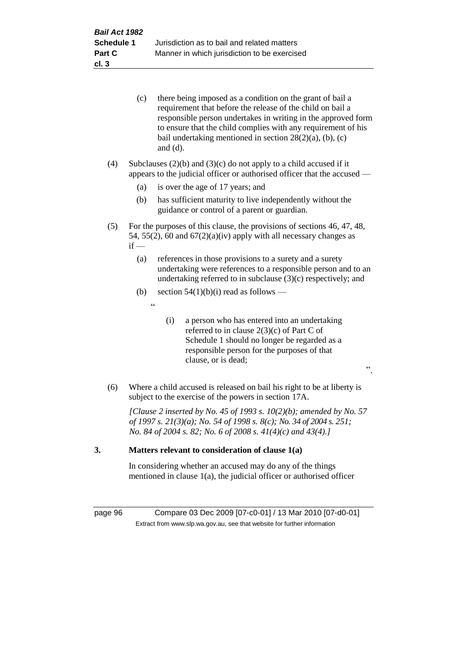|    |     | (c)                                       | there being imposed as a condition on the grant of bail a<br>requirement that before the release of the child on bail a<br>responsible person undertakes in writing in the approved form<br>to ensure that the child complies with any requirement of his<br>bail undertaking mentioned in section $28(2)(a)$ , (b), (c) |
|----|-----|-------------------------------------------|--------------------------------------------------------------------------------------------------------------------------------------------------------------------------------------------------------------------------------------------------------------------------------------------------------------------------|
|    | (4) |                                           | and $(d)$ .<br>Subclauses $(2)(b)$ and $(3)(c)$ do not apply to a child accused if it<br>appears to the judicial officer or authorised officer that the accused —                                                                                                                                                        |
|    |     | (a)                                       | is over the age of 17 years; and                                                                                                                                                                                                                                                                                         |
|    |     | (b)                                       | has sufficient maturity to live independently without the<br>guidance or control of a parent or guardian.                                                                                                                                                                                                                |
|    | (5) | $if -$                                    | For the purposes of this clause, the provisions of sections 46, 47, 48,<br>54, 55(2), 60 and $67(2)(a)(iv)$ apply with all necessary changes as                                                                                                                                                                          |
|    |     | (a)                                       | references in those provisions to a surety and a surety<br>undertaking were references to a responsible person and to an<br>undertaking referred to in subclause $(3)(c)$ respectively; and                                                                                                                              |
|    |     | (b)                                       | section $54(1)(b)(i)$ read as follows —                                                                                                                                                                                                                                                                                  |
|    |     | $\boldsymbol{\zeta}$ $\boldsymbol{\zeta}$ |                                                                                                                                                                                                                                                                                                                          |
|    |     |                                           | (i)<br>a person who has entered into an undertaking<br>referred to in clause $2(3)(c)$ of Part C of<br>Schedule 1 should no longer be regarded as a<br>responsible person for the purposes of that<br>clause, or is dead;<br>,,                                                                                          |
|    | (6) |                                           | Where a child accused is released on bail his right to be at liberty is<br>subject to the exercise of the powers in section 17A.                                                                                                                                                                                         |
|    |     |                                           | [Clause 2 inserted by No. 45 of 1993 s. $10(2)(b)$ ; amended by No. 57<br>of 1997 s. 21(3)(a); No. 54 of 1998 s. 8(c); No. 34 of 2004 s. 251;<br>No. 84 of 2004 s. 82; No. 6 of 2008 s. $41(4)(c)$ and $43(4).$                                                                                                          |
| 3. |     |                                           | Matters relevant to consideration of clause 1(a)                                                                                                                                                                                                                                                                         |

In considering whether an accused may do any of the things mentioned in clause 1(a), the judicial officer or authorised officer

page 96 Compare 03 Dec 2009 [07-c0-01] / 13 Mar 2010 [07-d0-01] Extract from www.slp.wa.gov.au, see that website for further information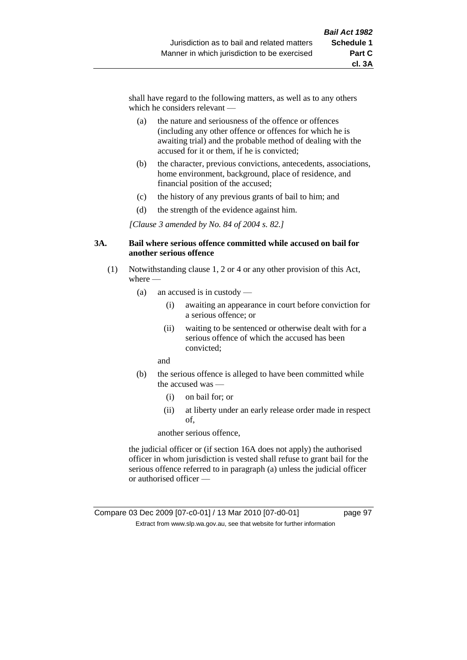shall have regard to the following matters, as well as to any others which he considers relevant —

- (a) the nature and seriousness of the offence or offences (including any other offence or offences for which he is awaiting trial) and the probable method of dealing with the accused for it or them, if he is convicted;
- (b) the character, previous convictions, antecedents, associations, home environment, background, place of residence, and financial position of the accused;
- (c) the history of any previous grants of bail to him; and
- (d) the strength of the evidence against him.

*[Clause 3 amended by No. 84 of 2004 s. 82.]*

#### **3A. Bail where serious offence committed while accused on bail for another serious offence**

- (1) Notwithstanding clause 1, 2 or 4 or any other provision of this Act, where —
	- (a) an accused is in custody
		- (i) awaiting an appearance in court before conviction for a serious offence; or
		- (ii) waiting to be sentenced or otherwise dealt with for a serious offence of which the accused has been convicted;

and

- (b) the serious offence is alleged to have been committed while the accused was —
	- (i) on bail for; or
	- (ii) at liberty under an early release order made in respect of,

another serious offence,

the judicial officer or (if section 16A does not apply) the authorised officer in whom jurisdiction is vested shall refuse to grant bail for the serious offence referred to in paragraph (a) unless the judicial officer or authorised officer —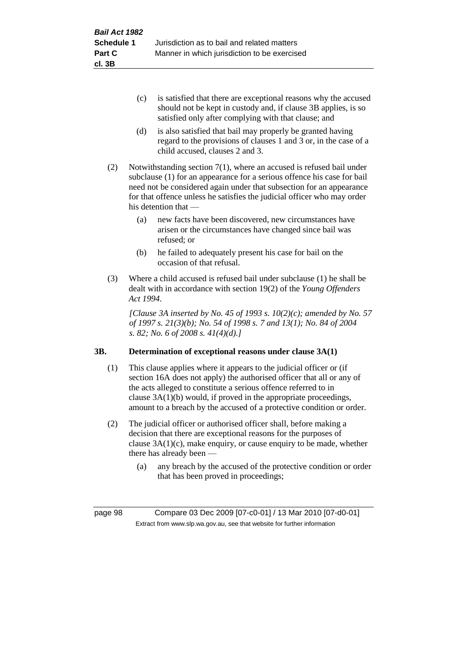- (c) is satisfied that there are exceptional reasons why the accused should not be kept in custody and, if clause 3B applies, is so satisfied only after complying with that clause; and
- (d) is also satisfied that bail may properly be granted having regard to the provisions of clauses 1 and 3 or, in the case of a child accused, clauses 2 and 3.
- (2) Notwithstanding section 7(1), where an accused is refused bail under subclause (1) for an appearance for a serious offence his case for bail need not be considered again under that subsection for an appearance for that offence unless he satisfies the judicial officer who may order his detention that —
	- (a) new facts have been discovered, new circumstances have arisen or the circumstances have changed since bail was refused; or
	- (b) he failed to adequately present his case for bail on the occasion of that refusal.
- (3) Where a child accused is refused bail under subclause (1) he shall be dealt with in accordance with section 19(2) of the *Young Offenders Act 1994*.

*[Clause 3A inserted by No. 45 of 1993 s. 10(2)(c); amended by No. 57 of 1997 s. 21(3)(b); No. 54 of 1998 s. 7 and 13(1); No. 84 of 2004 s. 82; No. 6 of 2008 s. 41(4)(d).]*

## **3B. Determination of exceptional reasons under clause 3A(1)**

- (1) This clause applies where it appears to the judicial officer or (if section 16A does not apply) the authorised officer that all or any of the acts alleged to constitute a serious offence referred to in clause 3A(1)(b) would, if proved in the appropriate proceedings, amount to a breach by the accused of a protective condition or order.
- (2) The judicial officer or authorised officer shall, before making a decision that there are exceptional reasons for the purposes of clause  $3A(1)(c)$ , make enquiry, or cause enquiry to be made, whether there has already been —
	- (a) any breach by the accused of the protective condition or order that has been proved in proceedings;

page 98 Compare 03 Dec 2009 [07-c0-01] / 13 Mar 2010 [07-d0-01] Extract from www.slp.wa.gov.au, see that website for further information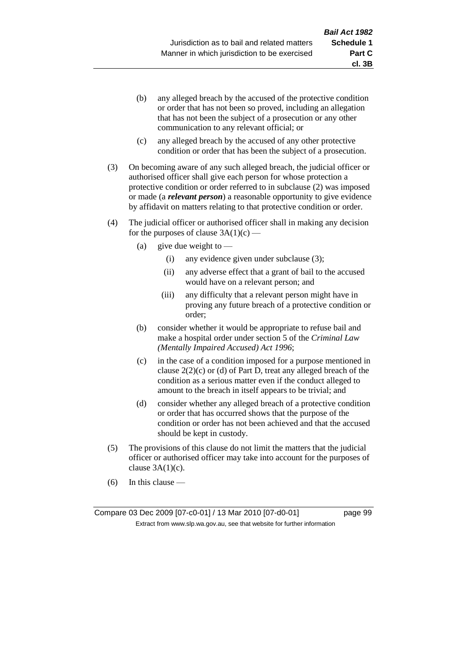- (b) any alleged breach by the accused of the protective condition or order that has not been so proved, including an allegation that has not been the subject of a prosecution or any other communication to any relevant official; or
- (c) any alleged breach by the accused of any other protective condition or order that has been the subject of a prosecution.
- (3) On becoming aware of any such alleged breach, the judicial officer or authorised officer shall give each person for whose protection a protective condition or order referred to in subclause (2) was imposed or made (a *relevant person*) a reasonable opportunity to give evidence by affidavit on matters relating to that protective condition or order.
- (4) The judicial officer or authorised officer shall in making any decision for the purposes of clause  $3A(1)(c)$  —
	- (a) give due weight to  $-$ 
		- (i) any evidence given under subclause (3);
		- (ii) any adverse effect that a grant of bail to the accused would have on a relevant person; and
		- (iii) any difficulty that a relevant person might have in proving any future breach of a protective condition or order;
	- (b) consider whether it would be appropriate to refuse bail and make a hospital order under section 5 of the *Criminal Law (Mentally Impaired Accused) Act 1996*;
	- (c) in the case of a condition imposed for a purpose mentioned in clause  $2(2)(c)$  or (d) of Part D, treat any alleged breach of the condition as a serious matter even if the conduct alleged to amount to the breach in itself appears to be trivial; and
	- (d) consider whether any alleged breach of a protective condition or order that has occurred shows that the purpose of the condition or order has not been achieved and that the accused should be kept in custody.
- (5) The provisions of this clause do not limit the matters that the judicial officer or authorised officer may take into account for the purposes of clause  $3A(1)(c)$ .
- (6) In this clause —

Compare 03 Dec 2009 [07-c0-01] / 13 Mar 2010 [07-d0-01] page 99 Extract from www.slp.wa.gov.au, see that website for further information

**cl. 3B**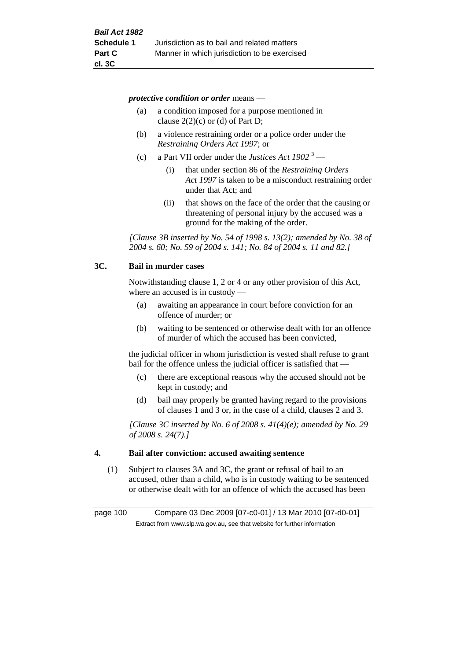*protective condition or order* means —

- (a) a condition imposed for a purpose mentioned in clause  $2(2)(c)$  or (d) of Part D;
- (b) a violence restraining order or a police order under the *Restraining Orders Act 1997*; or
- (c) a Part VII order under the *Justices Act 1902* <sup>3</sup>
	- (i) that under section 86 of the *Restraining Orders Act 1997* is taken to be a misconduct restraining order under that Act; and
	- (ii) that shows on the face of the order that the causing or threatening of personal injury by the accused was a ground for the making of the order.

*[Clause 3B inserted by No. 54 of 1998 s. 13(2); amended by No. 38 of 2004 s. 60; No. 59 of 2004 s. 141; No. 84 of 2004 s. 11 and 82.]*

#### **3C. Bail in murder cases**

Notwithstanding clause 1, 2 or 4 or any other provision of this Act, where an accused is in custody —

- (a) awaiting an appearance in court before conviction for an offence of murder; or
- (b) waiting to be sentenced or otherwise dealt with for an offence of murder of which the accused has been convicted,

the judicial officer in whom jurisdiction is vested shall refuse to grant bail for the offence unless the judicial officer is satisfied that —

- (c) there are exceptional reasons why the accused should not be kept in custody; and
- (d) bail may properly be granted having regard to the provisions of clauses 1 and 3 or, in the case of a child, clauses 2 and 3.

*[Clause 3C inserted by No. 6 of 2008 s. 41(4)(e); amended by No. 29 of 2008 s. 24(7).]*

#### **4. Bail after conviction: accused awaiting sentence**

(1) Subject to clauses 3A and 3C, the grant or refusal of bail to an accused, other than a child, who is in custody waiting to be sentenced or otherwise dealt with for an offence of which the accused has been

page 100 Compare 03 Dec 2009 [07-c0-01] / 13 Mar 2010 [07-d0-01] Extract from www.slp.wa.gov.au, see that website for further information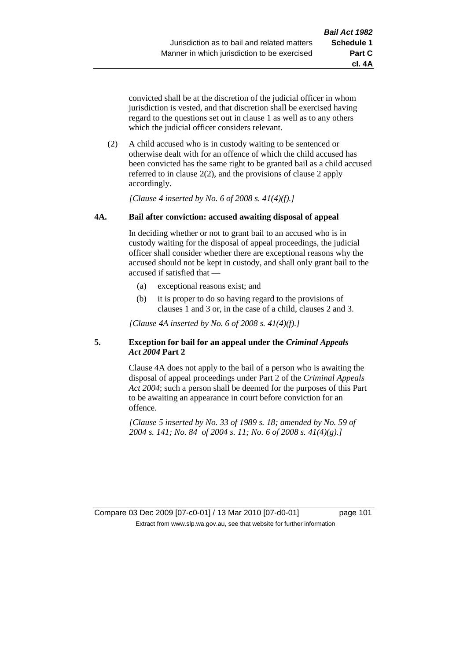**cl. 4A**

convicted shall be at the discretion of the judicial officer in whom jurisdiction is vested, and that discretion shall be exercised having regard to the questions set out in clause 1 as well as to any others which the judicial officer considers relevant.

(2) A child accused who is in custody waiting to be sentenced or otherwise dealt with for an offence of which the child accused has been convicted has the same right to be granted bail as a child accused referred to in clause 2(2), and the provisions of clause 2 apply accordingly.

*[Clause 4 inserted by No. 6 of 2008 s. 41(4)(f).]*

#### **4A. Bail after conviction: accused awaiting disposal of appeal**

In deciding whether or not to grant bail to an accused who is in custody waiting for the disposal of appeal proceedings, the judicial officer shall consider whether there are exceptional reasons why the accused should not be kept in custody, and shall only grant bail to the accused if satisfied that —

- (a) exceptional reasons exist; and
- (b) it is proper to do so having regard to the provisions of clauses 1 and 3 or, in the case of a child, clauses 2 and 3.

*[Clause 4A inserted by No. 6 of 2008 s. 41(4)(f).]*

#### **5. Exception for bail for an appeal under the** *Criminal Appeals Act 2004* **Part 2**

Clause 4A does not apply to the bail of a person who is awaiting the disposal of appeal proceedings under Part 2 of the *Criminal Appeals Act 2004*; such a person shall be deemed for the purposes of this Part to be awaiting an appearance in court before conviction for an offence.

*[Clause 5 inserted by No. 33 of 1989 s. 18; amended by No. 59 of 2004 s. 141; No. 84 of 2004 s. 11; No. 6 of 2008 s. 41(4)(g).]*

Compare 03 Dec 2009 [07-c0-01] / 13 Mar 2010 [07-d0-01] page 101 Extract from www.slp.wa.gov.au, see that website for further information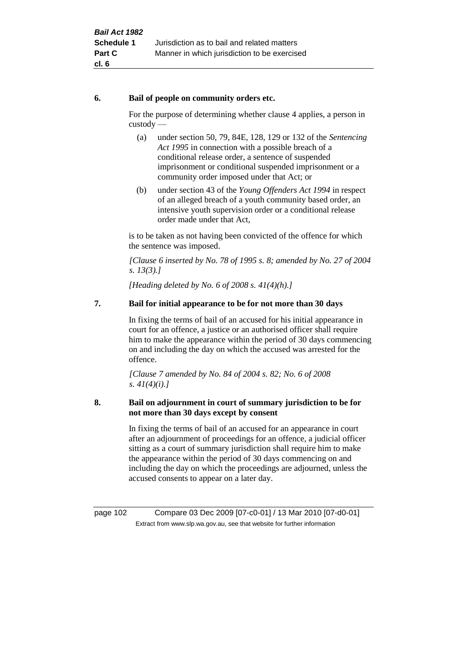#### **6. Bail of people on community orders etc.**

For the purpose of determining whether clause 4 applies, a person in custody —

- (a) under section 50, 79, 84E, 128, 129 or 132 of the *Sentencing Act 1995* in connection with a possible breach of a conditional release order, a sentence of suspended imprisonment or conditional suspended imprisonment or a community order imposed under that Act; or
- (b) under section 43 of the *Young Offenders Act 1994* in respect of an alleged breach of a youth community based order, an intensive youth supervision order or a conditional release order made under that Act,

is to be taken as not having been convicted of the offence for which the sentence was imposed.

*[Clause 6 inserted by No. 78 of 1995 s. 8; amended by No. 27 of 2004 s. 13(3).]*

*[Heading deleted by No. 6 of 2008 s. 41(4)(h).]*

## **7. Bail for initial appearance to be for not more than 30 days**

In fixing the terms of bail of an accused for his initial appearance in court for an offence, a justice or an authorised officer shall require him to make the appearance within the period of 30 days commencing on and including the day on which the accused was arrested for the offence.

*[Clause 7 amended by No. 84 of 2004 s. 82; No. 6 of 2008 s. 41(4)(i).]*

#### **8. Bail on adjournment in court of summary jurisdiction to be for not more than 30 days except by consent**

In fixing the terms of bail of an accused for an appearance in court after an adjournment of proceedings for an offence, a judicial officer sitting as a court of summary jurisdiction shall require him to make the appearance within the period of 30 days commencing on and including the day on which the proceedings are adjourned, unless the accused consents to appear on a later day.

page 102 Compare 03 Dec 2009 [07-c0-01] / 13 Mar 2010 [07-d0-01] Extract from www.slp.wa.gov.au, see that website for further information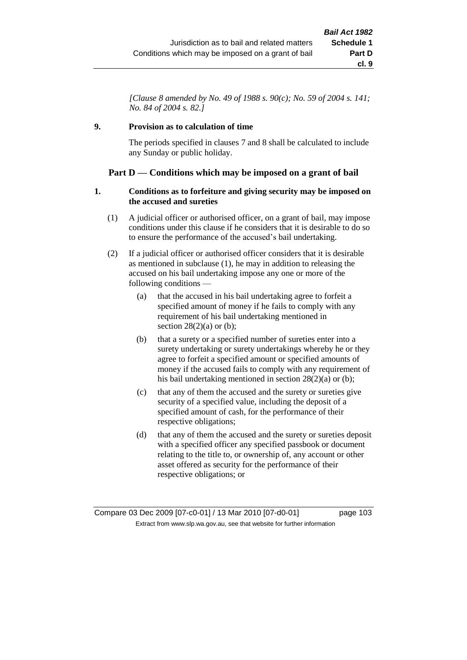*[Clause 8 amended by No. 49 of 1988 s. 90(c); No. 59 of 2004 s. 141; No. 84 of 2004 s. 82.]*

## **9. Provision as to calculation of time**

The periods specified in clauses 7 and 8 shall be calculated to include any Sunday or public holiday.

## **Part D — Conditions which may be imposed on a grant of bail**

#### **1. Conditions as to forfeiture and giving security may be imposed on the accused and sureties**

- (1) A judicial officer or authorised officer, on a grant of bail, may impose conditions under this clause if he considers that it is desirable to do so to ensure the performance of the accused's bail undertaking.
- (2) If a judicial officer or authorised officer considers that it is desirable as mentioned in subclause (1), he may in addition to releasing the accused on his bail undertaking impose any one or more of the following conditions —
	- (a) that the accused in his bail undertaking agree to forfeit a specified amount of money if he fails to comply with any requirement of his bail undertaking mentioned in section  $28(2)(a)$  or (b);
	- (b) that a surety or a specified number of sureties enter into a surety undertaking or surety undertakings whereby he or they agree to forfeit a specified amount or specified amounts of money if the accused fails to comply with any requirement of his bail undertaking mentioned in section 28(2)(a) or (b);
	- (c) that any of them the accused and the surety or sureties give security of a specified value, including the deposit of a specified amount of cash, for the performance of their respective obligations;
	- (d) that any of them the accused and the surety or sureties deposit with a specified officer any specified passbook or document relating to the title to, or ownership of, any account or other asset offered as security for the performance of their respective obligations; or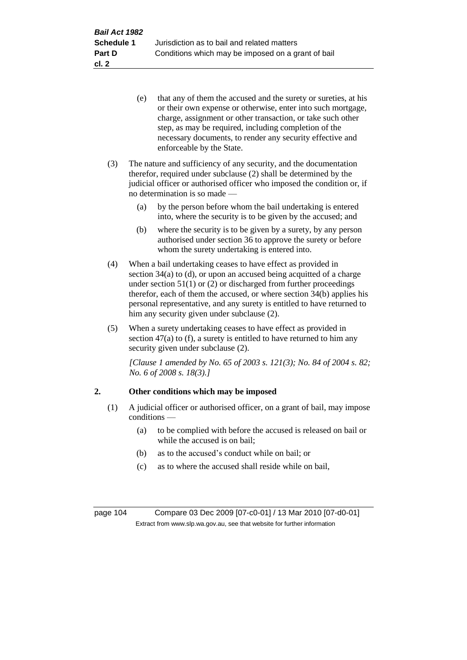- (e) that any of them the accused and the surety or sureties, at his or their own expense or otherwise, enter into such mortgage, charge, assignment or other transaction, or take such other step, as may be required, including completion of the necessary documents, to render any security effective and enforceable by the State.
- (3) The nature and sufficiency of any security, and the documentation therefor, required under subclause (2) shall be determined by the judicial officer or authorised officer who imposed the condition or, if no determination is so made —
	- (a) by the person before whom the bail undertaking is entered into, where the security is to be given by the accused; and
	- (b) where the security is to be given by a surety, by any person authorised under section 36 to approve the surety or before whom the surety undertaking is entered into.
- (4) When a bail undertaking ceases to have effect as provided in section 34(a) to (d), or upon an accused being acquitted of a charge under section  $51(1)$  or (2) or discharged from further proceedings therefor, each of them the accused, or where section 34(b) applies his personal representative, and any surety is entitled to have returned to him any security given under subclause (2).
- (5) When a surety undertaking ceases to have effect as provided in section  $47(a)$  to (f), a surety is entitled to have returned to him any security given under subclause (2).

*[Clause 1 amended by No. 65 of 2003 s. 121(3); No. 84 of 2004 s. 82; No. 6 of 2008 s. 18(3).]*

## **2. Other conditions which may be imposed**

- (1) A judicial officer or authorised officer, on a grant of bail, may impose conditions —
	- (a) to be complied with before the accused is released on bail or while the accused is on bail;
	- (b) as to the accused's conduct while on bail; or
	- (c) as to where the accused shall reside while on bail,

page 104 Compare 03 Dec 2009 [07-c0-01] / 13 Mar 2010 [07-d0-01] Extract from www.slp.wa.gov.au, see that website for further information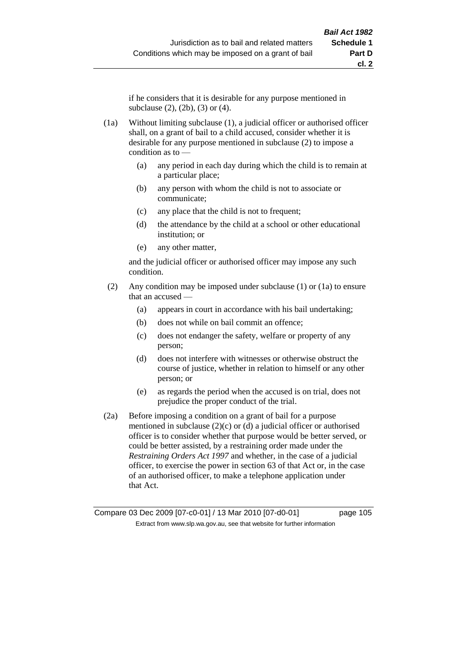if he considers that it is desirable for any purpose mentioned in subclause (2), (2b), (3) or (4).

- (1a) Without limiting subclause (1), a judicial officer or authorised officer shall, on a grant of bail to a child accused, consider whether it is desirable for any purpose mentioned in subclause (2) to impose a condition as to —
	- (a) any period in each day during which the child is to remain at a particular place;
	- (b) any person with whom the child is not to associate or communicate;
	- (c) any place that the child is not to frequent;
	- (d) the attendance by the child at a school or other educational institution; or
	- (e) any other matter,

and the judicial officer or authorised officer may impose any such condition.

- (2) Any condition may be imposed under subclause (1) or (1a) to ensure that an accused —
	- (a) appears in court in accordance with his bail undertaking;
	- (b) does not while on bail commit an offence;
	- (c) does not endanger the safety, welfare or property of any person;
	- (d) does not interfere with witnesses or otherwise obstruct the course of justice, whether in relation to himself or any other person; or
	- (e) as regards the period when the accused is on trial, does not prejudice the proper conduct of the trial.
- (2a) Before imposing a condition on a grant of bail for a purpose mentioned in subclause  $(2)(c)$  or  $(d)$  a judicial officer or authorised officer is to consider whether that purpose would be better served, or could be better assisted, by a restraining order made under the *Restraining Orders Act 1997* and whether, in the case of a judicial officer, to exercise the power in section 63 of that Act or, in the case of an authorised officer, to make a telephone application under that Act.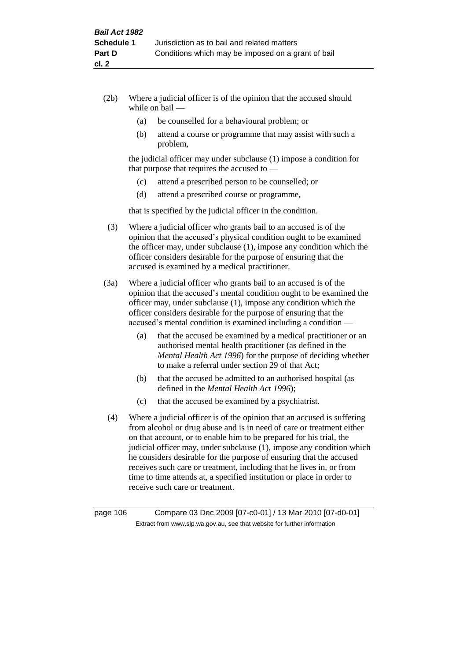- (2b) Where a judicial officer is of the opinion that the accused should while on bail —
	- (a) be counselled for a behavioural problem; or
	- (b) attend a course or programme that may assist with such a problem,

the judicial officer may under subclause (1) impose a condition for that purpose that requires the accused to —

- (c) attend a prescribed person to be counselled; or
- (d) attend a prescribed course or programme,

that is specified by the judicial officer in the condition.

- (3) Where a judicial officer who grants bail to an accused is of the opinion that the accused's physical condition ought to be examined the officer may, under subclause (1), impose any condition which the officer considers desirable for the purpose of ensuring that the accused is examined by a medical practitioner.
- (3a) Where a judicial officer who grants bail to an accused is of the opinion that the accused's mental condition ought to be examined the officer may, under subclause (1), impose any condition which the officer considers desirable for the purpose of ensuring that the accused's mental condition is examined including a condition —
	- (a) that the accused be examined by a medical practitioner or an authorised mental health practitioner (as defined in the *Mental Health Act 1996*) for the purpose of deciding whether to make a referral under section 29 of that Act;
	- (b) that the accused be admitted to an authorised hospital (as defined in the *Mental Health Act 1996*);
	- (c) that the accused be examined by a psychiatrist.
- (4) Where a judicial officer is of the opinion that an accused is suffering from alcohol or drug abuse and is in need of care or treatment either on that account, or to enable him to be prepared for his trial, the judicial officer may, under subclause (1), impose any condition which he considers desirable for the purpose of ensuring that the accused receives such care or treatment, including that he lives in, or from time to time attends at, a specified institution or place in order to receive such care or treatment.

page 106 Compare 03 Dec 2009 [07-c0-01] / 13 Mar 2010 [07-d0-01] Extract from www.slp.wa.gov.au, see that website for further information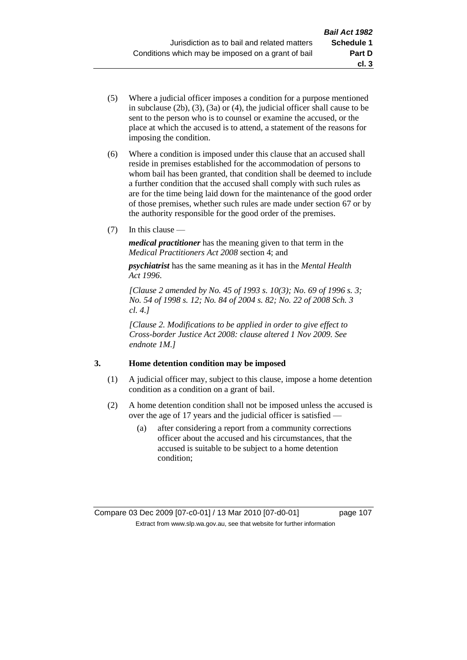- (5) Where a judicial officer imposes a condition for a purpose mentioned in subclause (2b), (3), (3a) or (4), the judicial officer shall cause to be sent to the person who is to counsel or examine the accused, or the place at which the accused is to attend, a statement of the reasons for imposing the condition.
- (6) Where a condition is imposed under this clause that an accused shall reside in premises established for the accommodation of persons to whom bail has been granted, that condition shall be deemed to include a further condition that the accused shall comply with such rules as are for the time being laid down for the maintenance of the good order of those premises, whether such rules are made under section 67 or by the authority responsible for the good order of the premises.
- (7) In this clause —

*medical practitioner* has the meaning given to that term in the *Medical Practitioners Act 2008* section 4; and

*psychiatrist* has the same meaning as it has in the *Mental Health Act 1996*.

*[Clause 2 amended by No. 45 of 1993 s. 10(3); No. 69 of 1996 s. 3; No. 54 of 1998 s. 12; No. 84 of 2004 s. 82; No. 22 of 2008 Sch. 3 cl. 4.]*

*[Clause 2. Modifications to be applied in order to give effect to Cross-border Justice Act 2008: clause altered 1 Nov 2009. See endnote 1M.]*

## **3. Home detention condition may be imposed**

- (1) A judicial officer may, subject to this clause, impose a home detention condition as a condition on a grant of bail.
- (2) A home detention condition shall not be imposed unless the accused is over the age of 17 years and the judicial officer is satisfied —
	- (a) after considering a report from a community corrections officer about the accused and his circumstances, that the accused is suitable to be subject to a home detention condition;

**cl. 3**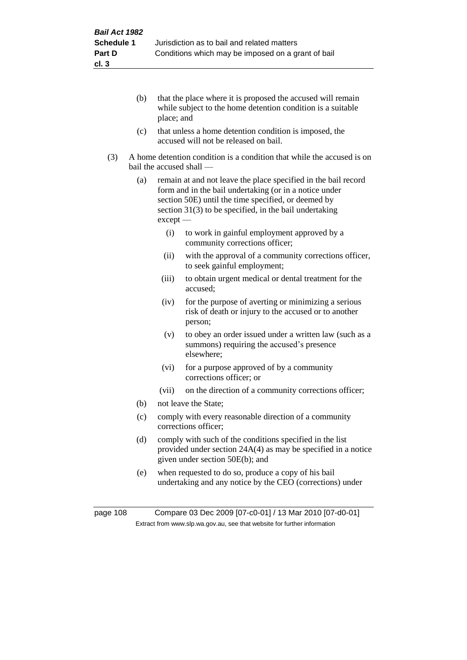- (b) that the place where it is proposed the accused will remain while subject to the home detention condition is a suitable place; and
- (c) that unless a home detention condition is imposed, the accused will not be released on bail.
- (3) A home detention condition is a condition that while the accused is on bail the accused shall —
	- (a) remain at and not leave the place specified in the bail record form and in the bail undertaking (or in a notice under section 50E) until the time specified, or deemed by section 31(3) to be specified, in the bail undertaking except —
		- (i) to work in gainful employment approved by a community corrections officer;
		- (ii) with the approval of a community corrections officer, to seek gainful employment;
		- (iii) to obtain urgent medical or dental treatment for the accused;
		- (iv) for the purpose of averting or minimizing a serious risk of death or injury to the accused or to another person;
		- (v) to obey an order issued under a written law (such as a summons) requiring the accused's presence elsewhere;
		- (vi) for a purpose approved of by a community corrections officer; or
		- (vii) on the direction of a community corrections officer;
	- (b) not leave the State;
	- (c) comply with every reasonable direction of a community corrections officer;
	- (d) comply with such of the conditions specified in the list provided under section 24A(4) as may be specified in a notice given under section 50E(b); and
	- (e) when requested to do so, produce a copy of his bail undertaking and any notice by the CEO (corrections) under

page 108 Compare 03 Dec 2009 [07-c0-01] / 13 Mar 2010 [07-d0-01] Extract from www.slp.wa.gov.au, see that website for further information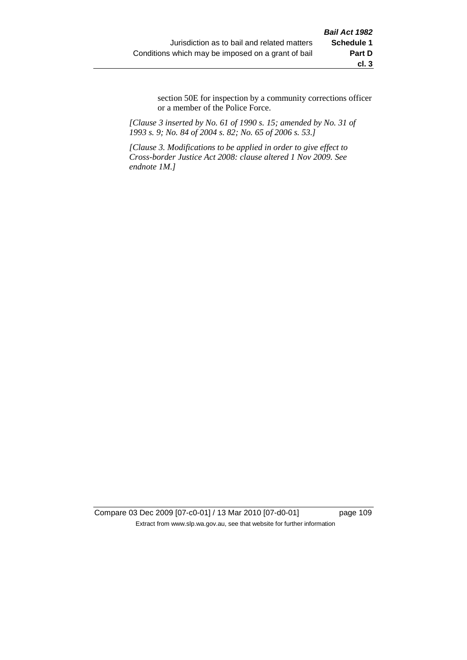section 50E for inspection by a community corrections officer or a member of the Police Force.

*[Clause 3 inserted by No. 61 of 1990 s. 15; amended by No. 31 of 1993 s. 9; No. 84 of 2004 s. 82; No. 65 of 2006 s. 53.]*

*[Clause 3. Modifications to be applied in order to give effect to Cross-border Justice Act 2008: clause altered 1 Nov 2009. See endnote 1M.]*

Compare 03 Dec 2009 [07-c0-01] / 13 Mar 2010 [07-d0-01] page 109 Extract from www.slp.wa.gov.au, see that website for further information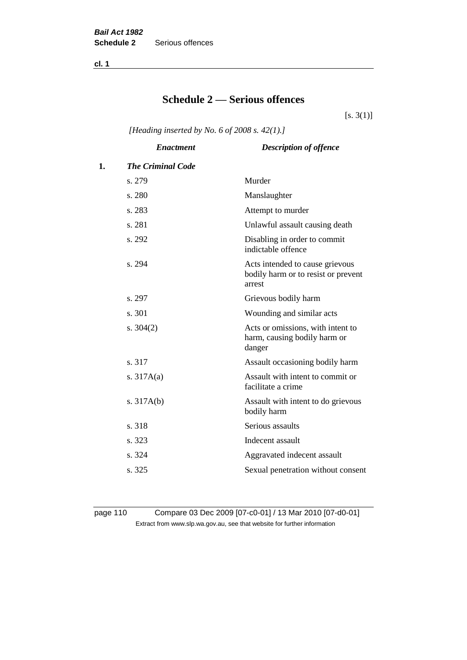**cl. 1**

# **Schedule 2 — Serious offences**

 $[s. 3(1)]$ 

*[Heading inserted by No. 6 of 2008 s. 42(1).]*

|    | <b>Enactment</b>         | <b>Description of offence</b>                                                    |
|----|--------------------------|----------------------------------------------------------------------------------|
| 1. | <b>The Criminal Code</b> |                                                                                  |
|    | s. 279                   | Murder                                                                           |
|    | s. 280                   | Manslaughter                                                                     |
|    | s. 283                   | Attempt to murder                                                                |
|    | s. 281                   | Unlawful assault causing death                                                   |
|    | s. 292                   | Disabling in order to commit<br>indictable offence                               |
|    | s. 294                   | Acts intended to cause grievous<br>bodily harm or to resist or prevent<br>arrest |
|    | s. 297                   | Grievous bodily harm                                                             |
|    | s. 301                   | Wounding and similar acts                                                        |
|    | s. $304(2)$              | Acts or omissions, with intent to<br>harm, causing bodily harm or<br>danger      |
|    | s. 317                   | Assault occasioning bodily harm                                                  |
|    | s. $317A(a)$             | Assault with intent to commit or<br>facilitate a crime                           |
|    | s. $317A(b)$             | Assault with intent to do grievous<br>bodily harm                                |
|    | s. 318                   | Serious assaults                                                                 |
|    | s. 323                   | Indecent assault                                                                 |
|    | s. 324                   | Aggravated indecent assault                                                      |
|    | s. 325                   | Sexual penetration without consent                                               |
|    |                          |                                                                                  |

page 110 Compare 03 Dec 2009 [07-c0-01] / 13 Mar 2010 [07-d0-01] Extract from www.slp.wa.gov.au, see that website for further information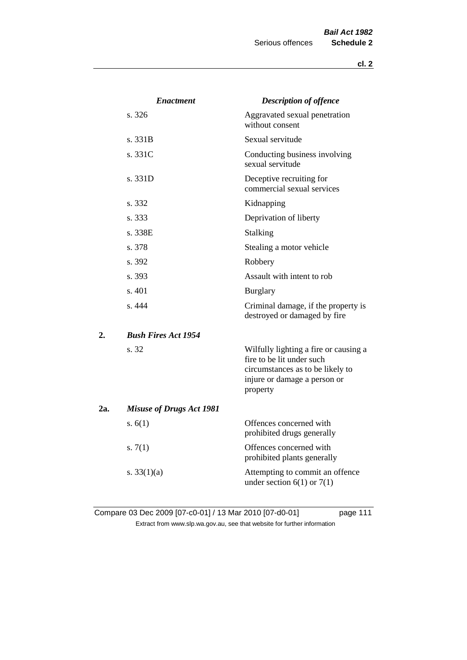|     | <b>Enactment</b>                | <b>Description of offence</b>                                                                                                                      |
|-----|---------------------------------|----------------------------------------------------------------------------------------------------------------------------------------------------|
|     | s. 326                          | Aggravated sexual penetration<br>without consent                                                                                                   |
|     | s. 331B                         | Sexual servitude                                                                                                                                   |
|     | s. 331C                         | Conducting business involving<br>sexual servitude                                                                                                  |
|     | s. 331D                         | Deceptive recruiting for<br>commercial sexual services                                                                                             |
|     | s. 332                          | Kidnapping                                                                                                                                         |
|     | s. 333                          | Deprivation of liberty                                                                                                                             |
|     | s. 338E                         | <b>Stalking</b>                                                                                                                                    |
|     | s. 378                          | Stealing a motor vehicle                                                                                                                           |
|     | s. 392                          | Robbery                                                                                                                                            |
|     | s. 393                          | Assault with intent to rob                                                                                                                         |
|     | s.401                           | <b>Burglary</b>                                                                                                                                    |
|     | s. 444                          | Criminal damage, if the property is<br>destroyed or damaged by fire                                                                                |
| 2.  | <b>Bush Fires Act 1954</b>      |                                                                                                                                                    |
|     | s. 32                           | Wilfully lighting a fire or causing a<br>fire to be lit under such<br>circumstances as to be likely to<br>injure or damage a person or<br>property |
| 2a. | <b>Misuse of Drugs Act 1981</b> |                                                                                                                                                    |
|     | s. $6(1)$                       | Offences concerned with<br>prohibited drugs generally                                                                                              |
|     | s. $7(1)$                       | Offences concerned with<br>prohibited plants generally                                                                                             |
|     | s. $33(1)(a)$                   | Attempting to commit an offence<br>under section $6(1)$ or $7(1)$                                                                                  |

Compare 03 Dec 2009 [07-c0-01] / 13 Mar 2010 [07-d0-01] page 111 Extract from www.slp.wa.gov.au, see that website for further information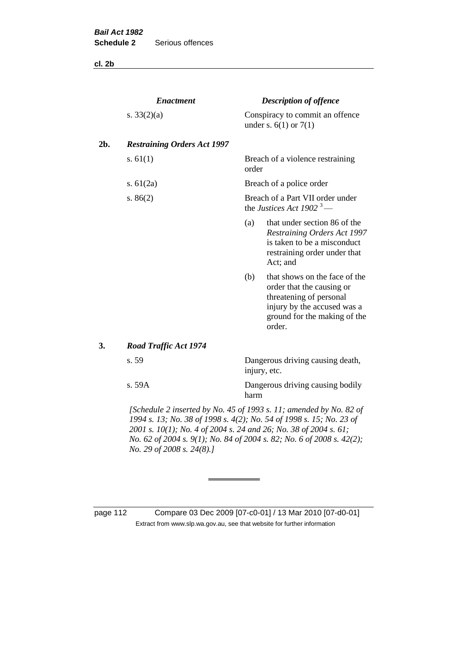**cl. 2b**

|     | <b>Enactment</b>                                                                                                                          | <b>Description of offence</b>                                            |                                                                                                                                                                |  |  |
|-----|-------------------------------------------------------------------------------------------------------------------------------------------|--------------------------------------------------------------------------|----------------------------------------------------------------------------------------------------------------------------------------------------------------|--|--|
|     | s. $33(2)(a)$                                                                                                                             |                                                                          | Conspiracy to commit an offence<br>under s. $6(1)$ or $7(1)$                                                                                                   |  |  |
| 2b. | <b>Restraining Orders Act 1997</b>                                                                                                        |                                                                          |                                                                                                                                                                |  |  |
|     | s. $61(1)$                                                                                                                                | order                                                                    | Breach of a violence restraining                                                                                                                               |  |  |
|     | s. $61(2a)$                                                                                                                               |                                                                          | Breach of a police order                                                                                                                                       |  |  |
|     | s. $86(2)$                                                                                                                                | Breach of a Part VII order under<br>the Justices Act 1902 <sup>3</sup> — |                                                                                                                                                                |  |  |
|     |                                                                                                                                           | (a)                                                                      | that under section 86 of the<br><b>Restraining Orders Act 1997</b><br>is taken to be a misconduct<br>restraining order under that<br>Act; and                  |  |  |
|     |                                                                                                                                           | (b)                                                                      | that shows on the face of the<br>order that the causing or<br>threatening of personal<br>injury by the accused was a<br>ground for the making of the<br>order. |  |  |
| 3.  | <b>Road Traffic Act 1974</b>                                                                                                              |                                                                          |                                                                                                                                                                |  |  |
|     | s. 59                                                                                                                                     |                                                                          | Dangerous driving causing death,<br>injury, etc.                                                                                                               |  |  |
|     | s. 59A                                                                                                                                    |                                                                          | Dangerous driving causing bodily<br>harm                                                                                                                       |  |  |
|     | [Schedule 2 inserted by No. 45 of 1993 s. 11; amended by No. 82 of<br>1994 s. 13; No. 38 of 1998 s. 4(2); No. 54 of 1998 s. 15; No. 23 of |                                                                          |                                                                                                                                                                |  |  |

*2001 s. 10(1); No. 4 of 2004 s. 24 and 26; No. 38 of 2004 s. 61; No. 62 of 2004 s. 9(1); No. 84 of 2004 s. 82; No. 6 of 2008 s. 42(2); No. 29 of 2008 s. 24(8).]* 

page 112 Compare 03 Dec 2009 [07-c0-01] / 13 Mar 2010 [07-d0-01] Extract from www.slp.wa.gov.au, see that website for further information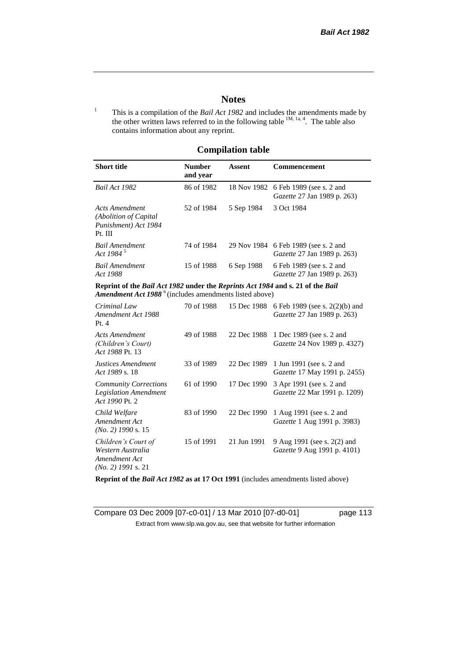## **Notes**

<sup>1</sup> This is a compilation of the *Bail Act 1982* and includes the amendments made by the other written laws referred to in the following table  $^{1M, 1a, 4}$ . The table also contains information about any reprint.

## **Compilation table**

| <b>Short title</b>                                                                                                                                          | <b>Number</b><br>and year | <b>Assent</b> | Commencement                                                                                              |
|-------------------------------------------------------------------------------------------------------------------------------------------------------------|---------------------------|---------------|-----------------------------------------------------------------------------------------------------------|
| Bail Act 1982                                                                                                                                               | 86 of 1982                |               | 18 Nov 1982 6 Feb 1989 (see s. 2 and<br><i>Gazette</i> 27 Jan 1989 p. 263)                                |
| <b>Acts Amendment</b><br>(Abolition of Capital)<br>Punishment) Act 1984<br>Pt. III                                                                          | 52 of 1984                | 5 Sep 1984    | 3 Oct 1984                                                                                                |
| <b>Bail Amendment</b><br>Act 1984 <sup>5</sup>                                                                                                              | 74 of 1984                |               | 29 Nov 1984 6 Feb 1989 (see s. 2 and<br><i>Gazette</i> 27 Jan 1989 p. 263)                                |
| <b>Bail Amendment</b><br>Act 1988                                                                                                                           | 15 of 1988                | 6 Sep 1988    | 6 Feb 1989 (see s. 2 and<br><i>Gazette</i> 27 Jan 1989 p. 263)                                            |
| Reprint of the Bail Act 1982 under the Reprints Act 1984 and s. 21 of the Bail<br><b>Amendment Act 1988</b> <sup>6</sup> (includes amendments listed above) |                           |               |                                                                                                           |
| Criminal Law<br>Amendment Act 1988<br>Pt. 4                                                                                                                 | 70 of 1988                |               | 15 Dec 1988 6 Feb 1989 (see s. 2(2)(b) and<br><i>Gazette</i> 27 Jan 1989 p. 263)                          |
| <b>Acts Amendment</b><br>$\sqrt{21} \cdot 11$ $\sqrt{21} \cdot \sqrt{21}$                                                                                   | 49 of 1988                |               | 22 Dec 1988 1 Dec 1989 (see s. 2 and<br>$C_{\rm{1}}$ $\sim$ $24 \, \rm{M}$ $\sim$ $1000 \, \rm{m}$ $1227$ |

| (Children's Court)<br>Act 1988 Pt. 13                                             |            |             | <i>Gazette</i> 24 Nov 1989 p. 4327)                                         |
|-----------------------------------------------------------------------------------|------------|-------------|-----------------------------------------------------------------------------|
| <b>Justices Amendment</b><br>Act 1989 s. 18                                       | 33 of 1989 |             | 22 Dec 1989 1 Jun 1991 (see s. 2 and<br><i>Gazette</i> 17 May 1991 p. 2455) |
| <b>Community Corrections</b><br><b>Legislation Amendment</b><br>Act 1990 Pt. 2    | 61 of 1990 | 17 Dec 1990 | 3 Apr 1991 (see s. 2 and<br>Gazette 22 Mar 1991 p. 1209)                    |
| Child Welfare<br>Amendment Act<br>$(No. 2)$ 1990 s. 15                            | 83 of 1990 | 22 Dec 1990 | 1 Aug 1991 (see s. 2 and<br>Gazette 1 Aug 1991 p. 3983)                     |
| Children's Court of<br>Western Australia<br>Amendment Act<br>$(No. 2)$ 1991 s. 21 | 15 of 1991 | 21 Jun 1991 | 9 Aug 1991 (see s. 2(2) and<br>Gazette 9 Aug 1991 p. 4101)                  |

**Reprint of the** *Bail Act 1982* **as at 17 Oct 1991** (includes amendments listed above)

Compare 03 Dec 2009 [07-c0-01] / 13 Mar 2010 [07-d0-01] page 113 Extract from www.slp.wa.gov.au, see that website for further information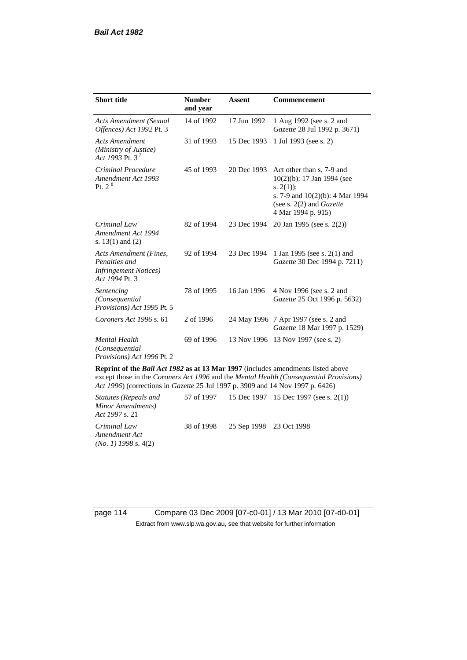| <b>Short title</b>                                                                         | <b>Number</b><br>and year | <b>Assent</b> | <b>Commencement</b>                                                                                                                                                        |
|--------------------------------------------------------------------------------------------|---------------------------|---------------|----------------------------------------------------------------------------------------------------------------------------------------------------------------------------|
| <b>Acts Amendment (Sexual</b><br>Offences) Act 1992 Pt. 3                                  | 14 of 1992                | 17 Jun 1992   | 1 Aug 1992 (see s. 2 and<br>Gazette 28 Jul 1992 p. 3671)                                                                                                                   |
| <b>Acts Amendment</b><br>(Ministry of Justice)<br>Act 1993 Pt. 3 <sup>7</sup>              | 31 of 1993                | 15 Dec 1993   | 1 Jul 1993 (see s. 2)                                                                                                                                                      |
| Criminal Procedure<br>Amendment Act 1993<br>P <sub>t. 2</sub> $8$                          | 45 of 1993                | 20 Dec 1993   | Act other than s. 7-9 and<br>$10(2)(b)$ : 17 Jan 1994 (see<br>s. $2(1)$ ;<br>s. 7-9 and $10(2)(b)$ : 4 Mar 1994<br>(see s. $2(2)$ and <i>Gazette</i><br>4 Mar 1994 p. 915) |
| Criminal Law<br>Amendment Act 1994<br>s. $13(1)$ and $(2)$                                 | 82 of 1994                | 23 Dec 1994   | 20 Jan 1995 (see s. 2(2))                                                                                                                                                  |
| Acts Amendment (Fines,<br>Penalties and<br><b>Infringement Notices</b> )<br>Act 1994 Pt. 3 | 92 of 1994                | 23 Dec 1994   | 1 Jan 1995 (see s. 2(1) and<br>Gazette 30 Dec 1994 p. 7211)                                                                                                                |
| Sentencing<br>(Consequential<br>Provisions) Act 1995 Pt. 5                                 | 78 of 1995                | 16 Jan 1996   | 4 Nov 1996 (see s. 2 and<br>Gazette 25 Oct 1996 p. 5632)                                                                                                                   |
| Coroners Act 1996 s. 61                                                                    | 2 of 1996                 |               | 24 May 1996 7 Apr 1997 (see s. 2 and<br>Gazette 18 Mar 1997 p. 1529)                                                                                                       |
| <b>Mental Health</b><br>(Consequential)<br>Provisions) Act 1996 Pt. 2                      | 69 of 1996                | 13 Nov 1996   | 13 Nov 1997 (see s. 2)                                                                                                                                                     |

**Reprint of the** *Bail Act 1982* **as at 13 Mar 1997** (includes amendments listed above except those in the *Coroners Act 1996* and the *Mental Health (Consequential Provisions) Act 1996*) (corrections in *Gazette* 25 Jul 1997 p. 3909 and 14 Nov 1997 p. 6426)

*Statutes (Repeals and Minor Amendments) Act 1997* s. 21 57 of 1997 15 Dec 1997 15 Dec 1997 (see s. 2(1)) *Criminal Law Amendment Act (No. 1) 1998* s. 4(2) 38 of 1998 25 Sep 1998 23 Oct 1998

page 114 Compare 03 Dec 2009 [07-c0-01] / 13 Mar 2010 [07-d0-01] Extract from www.slp.wa.gov.au, see that website for further information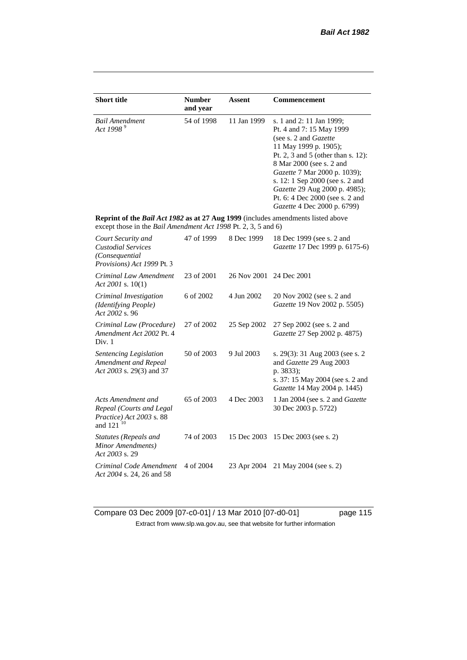| <b>Short title</b>                                                                                                                                 | <b>Number</b><br>and year | Assent      | <b>Commencement</b>                                                                                                                                                                                                                                                                                                                                     |
|----------------------------------------------------------------------------------------------------------------------------------------------------|---------------------------|-------------|---------------------------------------------------------------------------------------------------------------------------------------------------------------------------------------------------------------------------------------------------------------------------------------------------------------------------------------------------------|
| <b>Bail Amendment</b><br>Act 1998 $9^9$                                                                                                            | 54 of 1998                | 11 Jan 1999 | s. 1 and 2: 11 Jan 1999;<br>Pt. 4 and 7: 15 May 1999<br>(see s. 2 and <i>Gazette</i> )<br>11 May 1999 p. 1905);<br>Pt. 2, 3 and 5 (other than s. 12):<br>8 Mar 2000 (see s. 2 and<br>Gazette 7 Mar 2000 p. 1039);<br>s. 12: 1 Sep 2000 (see s. 2 and<br>Gazette 29 Aug 2000 p. 4985);<br>Pt. 6: 4 Dec 2000 (see s. 2 and<br>Gazette 4 Dec 2000 p. 6799) |
| Reprint of the Bail Act 1982 as at 27 Aug 1999 (includes amendments listed above<br>except those in the Bail Amendment Act 1998 Pt. 2, 3, 5 and 6) |                           |             |                                                                                                                                                                                                                                                                                                                                                         |
| Court Security and<br><b>Custodial Services</b><br>(Consequential<br>Provisions) Act 1999 Pt. 3                                                    | 47 of 1999                | 8 Dec 1999  | 18 Dec 1999 (see s. 2 and<br>Gazette 17 Dec 1999 p. 6175-6)                                                                                                                                                                                                                                                                                             |
| Criminal Law Amendment<br>Act 2001 s. $10(1)$                                                                                                      | 23 of 2001                | 26 Nov 2001 | 24 Dec 2001                                                                                                                                                                                                                                                                                                                                             |
| Criminal Investigation<br>(Identifying People)<br>Act 2002 s. 96                                                                                   | 6 of 2002                 | 4 Jun 2002  | 20 Nov 2002 (see s. 2 and<br>Gazette 19 Nov 2002 p. 5505)                                                                                                                                                                                                                                                                                               |
| Criminal Law (Procedure)<br>Amendment Act 2002 Pt. 4<br>Div. 1                                                                                     | 27 of 2002                | 25 Sep 2002 | 27 Sep 2002 (see s. 2 and<br>Gazette 27 Sep 2002 p. 4875)                                                                                                                                                                                                                                                                                               |
| Sentencing Legislation<br>Amendment and Repeal<br>Act 2003 s. 29(3) and 37                                                                         | 50 of 2003                | 9 Jul 2003  | s. 29(3): 31 Aug 2003 (see s. 2)<br>and Gazette 29 Aug 2003<br>p. 3833);<br>s. 37: 15 May 2004 (see s. 2 and<br>Gazette 14 May 2004 p. 1445)                                                                                                                                                                                                            |
| Acts Amendment and<br>Repeal (Courts and Legal<br>Practice) Act 2003 s. 88<br>and 121 <sup>10</sup>                                                | 65 of 2003                | 4 Dec 2003  | 1 Jan 2004 (see s. 2 and Gazette<br>30 Dec 2003 p. 5722)                                                                                                                                                                                                                                                                                                |
| Statutes (Repeals and<br>Minor Amendments)<br>Act 2003 s. 29                                                                                       | 74 of 2003                | 15 Dec 2003 | 15 Dec 2003 (see s. 2)                                                                                                                                                                                                                                                                                                                                  |
| Criminal Code Amendment<br>Act 2004 s. 24, 26 and 58                                                                                               | 4 of 2004                 | 23 Apr 2004 | 21 May 2004 (see s. 2)                                                                                                                                                                                                                                                                                                                                  |

Compare 03 Dec 2009 [07-c0-01] / 13 Mar 2010 [07-d0-01] page 115 Extract from www.slp.wa.gov.au, see that website for further information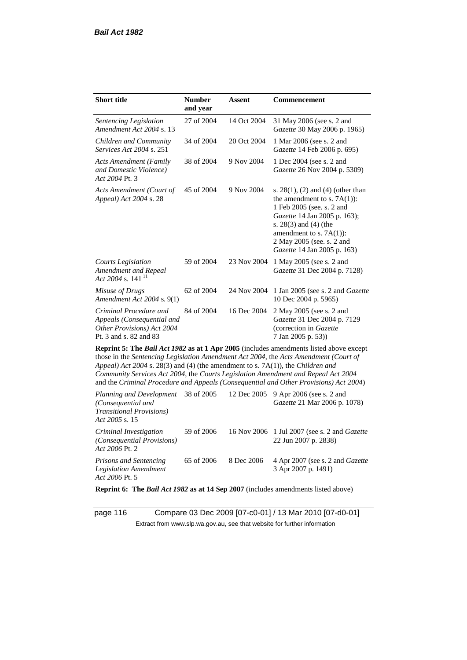| <b>Short title</b>                                                                                                                                                                                                                                                                                                                                                                                                                                     | <b>Number</b><br>and year | Assent      | <b>Commencement</b>                                                                                                                                                                                                                                      |  |
|--------------------------------------------------------------------------------------------------------------------------------------------------------------------------------------------------------------------------------------------------------------------------------------------------------------------------------------------------------------------------------------------------------------------------------------------------------|---------------------------|-------------|----------------------------------------------------------------------------------------------------------------------------------------------------------------------------------------------------------------------------------------------------------|--|
| Sentencing Legislation<br>Amendment Act 2004 s. 13                                                                                                                                                                                                                                                                                                                                                                                                     | 27 of 2004                | 14 Oct 2004 | 31 May 2006 (see s. 2 and<br>Gazette 30 May 2006 p. 1965)                                                                                                                                                                                                |  |
| Children and Community<br>Services Act 2004 s. 251                                                                                                                                                                                                                                                                                                                                                                                                     | 34 of 2004                | 20 Oct 2004 | 1 Mar 2006 (see s. 2 and<br>Gazette 14 Feb 2006 p. 695)                                                                                                                                                                                                  |  |
| <b>Acts Amendment (Family</b><br>and Domestic Violence)<br>Act 2004 Pt. 3                                                                                                                                                                                                                                                                                                                                                                              | 38 of 2004                | 9 Nov 2004  | 1 Dec 2004 (see s. 2 and<br>Gazette 26 Nov 2004 p. 5309)                                                                                                                                                                                                 |  |
| Acts Amendment (Court of<br>Appeal) Act 2004 s. 28                                                                                                                                                                                                                                                                                                                                                                                                     | 45 of 2004                | 9 Nov 2004  | s. $28(1)$ , (2) and (4) (other than<br>the amendment to s. $7A(1)$ :<br>1 Feb 2005 (see. s. 2 and<br>Gazette 14 Jan 2005 p. 163);<br>s. $28(3)$ and $(4)$ (the<br>amendment to s. $7A(1)$ :<br>2 May 2005 (see. s. 2 and<br>Gazette 14 Jan 2005 p. 163) |  |
| <b>Courts Legislation</b><br>Amendment and Repeal<br>Act 2004 s. 141 <sup>11</sup>                                                                                                                                                                                                                                                                                                                                                                     | 59 of 2004                | 23 Nov 2004 | 1 May 2005 (see s. 2 and<br>Gazette 31 Dec 2004 p. 7128)                                                                                                                                                                                                 |  |
| Misuse of Drugs<br>Amendment Act 2004 s. 9(1)                                                                                                                                                                                                                                                                                                                                                                                                          | 62 of 2004                | 24 Nov 2004 | 1 Jan 2005 (see s. 2 and <i>Gazette</i><br>10 Dec 2004 p. 5965)                                                                                                                                                                                          |  |
| Criminal Procedure and<br>Appeals (Consequential and<br>Other Provisions) Act 2004<br>Pt. 3 and s. 82 and 83                                                                                                                                                                                                                                                                                                                                           | 84 of 2004                | 16 Dec 2004 | 2 May 2005 (see s. 2 and<br>Gazette 31 Dec 2004 p. 7129<br>(correction in Gazette<br>7 Jan 2005 p. 53))                                                                                                                                                  |  |
| <b>Reprint 5: The Bail Act 1982 as at 1 Apr 2005</b> (includes amendments listed above except<br>those in the Sentencing Legislation Amendment Act 2004, the Acts Amendment (Court of<br>Appeal) Act 2004 s. 28(3) and (4) (the amendment to s. 7A(1)), the Children and<br>Community Services Act 2004, the Courts Legislation Amendment and Repeal Act 2004<br>and the Criminal Procedure and Appeals (Consequential and Other Provisions) Act 2004) |                           |             |                                                                                                                                                                                                                                                          |  |
| Planning and Development<br>(Consequential and<br><b>Transitional Provisions)</b><br>Act 2005 s. 15                                                                                                                                                                                                                                                                                                                                                    | 38 of 2005                | 12 Dec 2005 | 9 Apr 2006 (see s. 2 and<br>Gazette 21 Mar 2006 p. 1078)                                                                                                                                                                                                 |  |

*Criminal Investigation (Consequential Provisions) Act 2006* Pt. 2 59 of 2006 16 Nov 2006 1 Jul 2007 (see s. 2 and *Gazette* 22 Jun 2007 p. 2838) *Prisons and Sentencing Legislation Amendment Act 2006* Pt. 5 65 of 2006 8 Dec 2006 4 Apr 2007 (see s. 2 and *Gazette* 3 Apr 2007 p. 1491)

**Reprint 6: The** *Bail Act 1982* **as at 14 Sep 2007** (includes amendments listed above)

page 116 Compare 03 Dec 2009 [07-c0-01] / 13 Mar 2010 [07-d0-01] Extract from www.slp.wa.gov.au, see that website for further information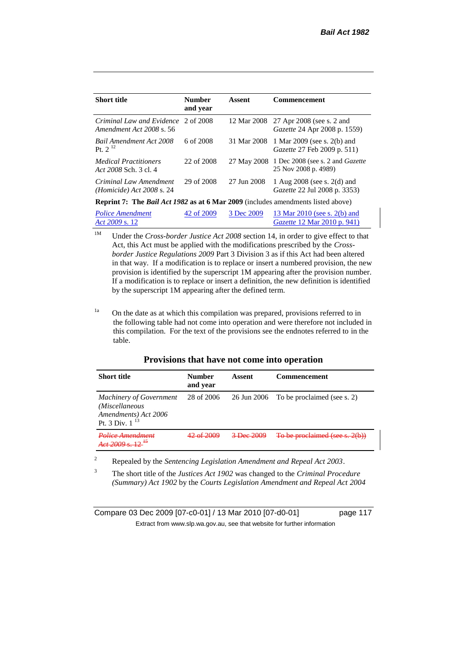| <b>Short title</b>                                                                             | <b>Number</b><br>and year | Assent      | <b>Commencement</b>                                                    |
|------------------------------------------------------------------------------------------------|---------------------------|-------------|------------------------------------------------------------------------|
| Criminal Law and Evidence 2 of 2008<br>Amendment Act 2008 s. 56                                |                           | 12 Mar 2008 | 27 Apr 2008 (see s. 2 and<br><i>Gazette</i> 24 Apr 2008 p. 1559)       |
| <b>Bail Amendment Act 2008</b><br>Pt. $2^{12}$                                                 | 6 of 2008                 | 31 Mar 2008 | 1 Mar 2009 (see s. 2(b) and<br><i>Gazette</i> 27 Feb 2009 p. 511)      |
| <i>Medical Practitioners</i><br>Act 2008 Sch. 3 cl. 4                                          | 22 of 2008                | 27 May 2008 | 1 Dec 2008 (see s. 2 and <i>Gazette</i><br>25 Nov 2008 p. 4989)        |
| Criminal Law Amendment<br><i>(Homicide)</i> Act 2008 s. 24                                     | 29 of 2008                | 27 Jun 2008 | 1 Aug $2008$ (see s. $2(d)$ and<br><i>Gazette</i> 22 Jul 2008 p. 3353) |
| <b>Reprint 7:</b> The <i>Bail Act 1982</i> as at 6 Mar 2009 (includes amendments listed above) |                           |             |                                                                        |
| <b>Police Amendment</b><br>Act 2009 s. 12                                                      | 42 of 2009                | 3 Dec 2009  | 13 Mar 2010 (see s. 2(b) and<br><i>Gazette</i> 12 Mar 2010 p. 941)     |

<sup>1M</sup> Under the *Cross-border Justice Act 2008* section 14, in order to give effect to that Act, this Act must be applied with the modifications prescribed by the *Crossborder Justice Regulations 2009* Part 3 Division 3 as if this Act had been altered in that way. If a modification is to replace or insert a numbered provision, the new provision is identified by the superscript 1M appearing after the provision number. If a modification is to replace or insert a definition, the new definition is identified by the superscript 1M appearing after the defined term.

<sup>1a</sup> On the date as at which this compilation was prepared, provisions referred to in the following table had not come into operation and were therefore not included in this compilation. For the text of the provisions see the endnotes referred to in the table.

| <b>Short title</b>                                                                                                    | <b>Number</b><br>and year | Assent                 | <b>Commencement</b>                     |
|-----------------------------------------------------------------------------------------------------------------------|---------------------------|------------------------|-----------------------------------------|
| <b>Machinery of Government</b><br>(Miscellaneous<br><i>Amendments</i> ) <i>Act</i> 2006<br>Pt. 3 Div. 1 <sup>13</sup> | 28 of 2006                |                        | 26 Jun 2006 To be proclaimed (see s. 2) |
| Police Amendment<br>$A_{ct}$ 2000 $\approx 12^{15}$                                                                   | 12.652000                 | $3 - \text{Dec } 2009$ | To be proclaimed (see s. 2(b))          |

### **Provisions that have not come into operation**

<sup>2</sup> Repealed by the *Sentencing Legislation Amendment and Repeal Act 2003*.

<sup>3</sup> The short title of the *Justices Act 1902* was changed to the *Criminal Procedure (Summary) Act 1902* by the *Courts Legislation Amendment and Repeal Act 2004* 

Compare 03 Dec 2009 [07-c0-01] / 13 Mar 2010 [07-d0-01] page 117 Extract from www.slp.wa.gov.au, see that website for further information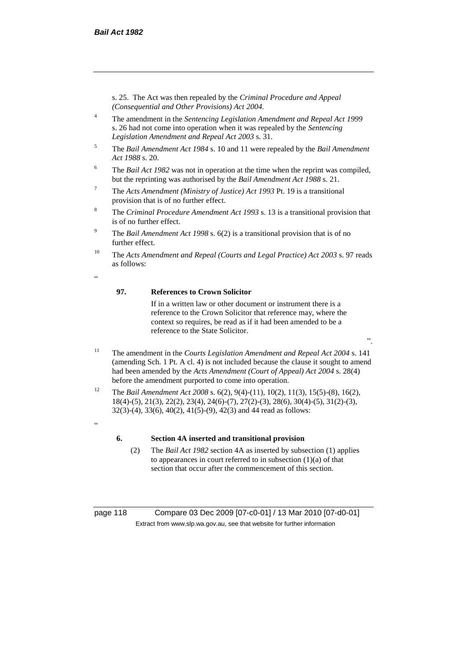s. 25. The Act was then repealed by the *Criminal Procedure and Appeal (Consequential and Other Provisions) Act 2004.*

- <sup>4</sup> The amendment in the *Sentencing Legislation Amendment and Repeal Act 1999* s. 26 had not come into operation when it was repealed by the *Sentencing Legislation Amendment and Repeal Act 2003* s. 31.
- <sup>5</sup> The *Bail Amendment Act 1984* s. 10 and 11 were repealed by the *Bail Amendment Act 1988* s. 20.
- <sup>6</sup> The *Bail Act 1982* was not in operation at the time when the reprint was compiled, but the reprinting was authorised by the *Bail Amendment Act 1988* s. 21.
- <sup>7</sup> The *Acts Amendment (Ministry of Justice) Act 1993* Pt. 19 is a transitional provision that is of no further effect.
- <sup>8</sup> The *Criminal Procedure Amendment Act 1993* s. 13 is a transitional provision that is of no further effect.
- <sup>9</sup> The *Bail Amendment Act 1998* s. 6(2) is a transitional provision that is of no further effect.
- <sup>10</sup> The *Acts Amendment and Repeal (Courts and Legal Practice) Act 2003* s. 97 reads as follows:
- <u>،</u>

#### **97. References to Crown Solicitor**

If in a written law or other document or instrument there is a reference to the Crown Solicitor that reference may, where the context so requires, be read as if it had been amended to be a reference to the State Solicitor.

".

- <sup>11</sup> The amendment in the *Courts Legislation Amendment and Repeal Act 2004* s. 141 (amending Sch. 1 Pt. A cl. 4) is not included because the clause it sought to amend had been amended by the *Acts Amendment (Court of Appeal) Act 2004* s. 28(4) before the amendment purported to come into operation.
- <sup>12</sup> The *Bail Amendment Act 2008* s. 6(2), 9(4)-(11), 10(2), 11(3), 15(5)-(8), 16(2), 18(4)-(5), 21(3), 22(2), 23(4), 24(6)-(7), 27(2)-(3), 28(6), 30(4)-(5), 31(2)-(3), 32(3)-(4), 33(6), 40(2), 41(5)-(9), 42(3) and 44 read as follows:
- .<br>44

#### **6. Section 4A inserted and transitional provision**

(2) The *Bail Act 1982* section 4A as inserted by subsection (1) applies to appearances in court referred to in subsection  $(1)(a)$  of that section that occur after the commencement of this section.

page 118 Compare 03 Dec 2009 [07-c0-01] / 13 Mar 2010 [07-d0-01] Extract from www.slp.wa.gov.au, see that website for further information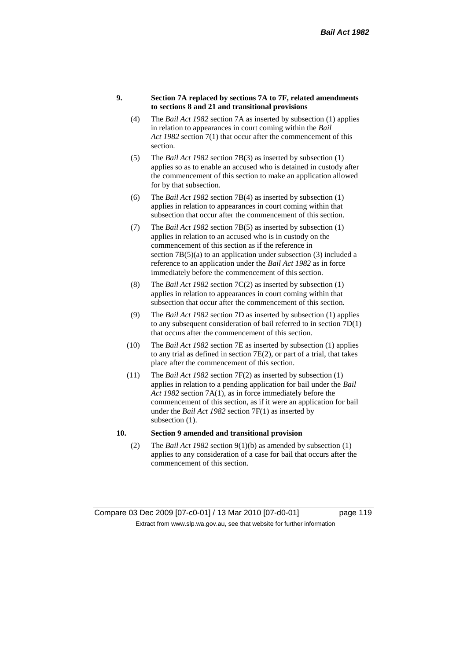#### **9. Section 7A replaced by sections 7A to 7F, related amendments to sections 8 and 21 and transitional provisions**

- (4) The *Bail Act 1982* section 7A as inserted by subsection (1) applies in relation to appearances in court coming within the *Bail Act 1982* section 7(1) that occur after the commencement of this section.
- (5) The *Bail Act 1982* section 7B(3) as inserted by subsection (1) applies so as to enable an accused who is detained in custody after the commencement of this section to make an application allowed for by that subsection.
- (6) The *Bail Act 1982* section 7B(4) as inserted by subsection (1) applies in relation to appearances in court coming within that subsection that occur after the commencement of this section.
- (7) The *Bail Act 1982* section 7B(5) as inserted by subsection (1) applies in relation to an accused who is in custody on the commencement of this section as if the reference in section  $7B(5)(a)$  to an application under subsection (3) included a reference to an application under the *Bail Act 1982* as in force immediately before the commencement of this section.
- (8) The *Bail Act 1982* section 7C(2) as inserted by subsection (1) applies in relation to appearances in court coming within that subsection that occur after the commencement of this section.
- (9) The *Bail Act 1982* section 7D as inserted by subsection (1) applies to any subsequent consideration of bail referred to in section 7D(1) that occurs after the commencement of this section.
- (10) The *Bail Act 1982* section 7E as inserted by subsection (1) applies to any trial as defined in section 7E(2), or part of a trial, that takes place after the commencement of this section.
- (11) The *Bail Act 1982* section 7F(2) as inserted by subsection (1) applies in relation to a pending application for bail under the *Bail Act 1982* section 7A(1), as in force immediately before the commencement of this section, as if it were an application for bail under the *Bail Act 1982* section 7F(1) as inserted by subsection  $(1)$ .

## **10. Section 9 amended and transitional provision**

(2) The *Bail Act 1982* section 9(1)(b) as amended by subsection (1) applies to any consideration of a case for bail that occurs after the commencement of this section.

Compare 03 Dec 2009 [07-c0-01] / 13 Mar 2010 [07-d0-01] page 119 Extract from www.slp.wa.gov.au, see that website for further information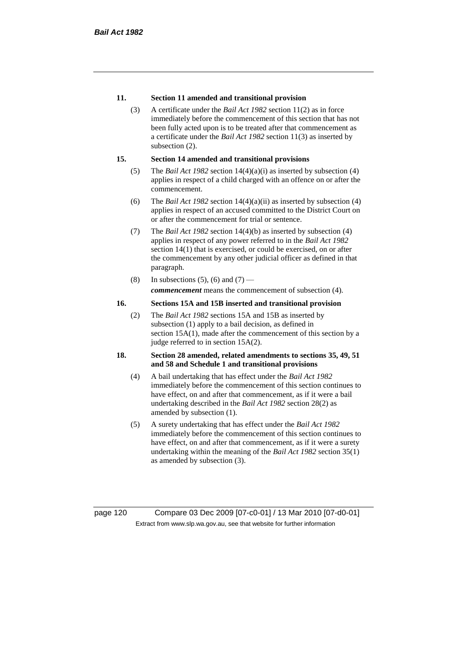### **11. Section 11 amended and transitional provision**

(3) A certificate under the *Bail Act 1982* section 11(2) as in force immediately before the commencement of this section that has not been fully acted upon is to be treated after that commencement as a certificate under the *Bail Act 1982* section 11(3) as inserted by subsection  $(2)$ .

#### **15. Section 14 amended and transitional provisions**

- (5) The *Bail Act 1982* section 14(4)(a)(i) as inserted by subsection (4) applies in respect of a child charged with an offence on or after the commencement.
- (6) The *Bail Act 1982* section 14(4)(a)(ii) as inserted by subsection (4) applies in respect of an accused committed to the District Court on or after the commencement for trial or sentence.
- (7) The *Bail Act 1982* section 14(4)(b) as inserted by subsection (4) applies in respect of any power referred to in the *Bail Act 1982* section 14(1) that is exercised, or could be exercised, on or after the commencement by any other judicial officer as defined in that paragraph.
- (8) In subsections (5), (6) and (7) *commencement* means the commencement of subsection (4).

#### **16. Sections 15A and 15B inserted and transitional provision**

(2) The *Bail Act 1982* sections 15A and 15B as inserted by subsection (1) apply to a bail decision, as defined in section 15A(1), made after the commencement of this section by a judge referred to in section 15A(2).

#### **18. Section 28 amended, related amendments to sections 35, 49, 51 and 58 and Schedule 1 and transitional provisions**

- (4) A bail undertaking that has effect under the *Bail Act 1982* immediately before the commencement of this section continues to have effect, on and after that commencement, as if it were a bail undertaking described in the *Bail Act 1982* section 28(2) as amended by subsection (1).
- (5) A surety undertaking that has effect under the *Bail Act 1982* immediately before the commencement of this section continues to have effect, on and after that commencement, as if it were a surety undertaking within the meaning of the *Bail Act 1982* section 35(1) as amended by subsection (3).

page 120 Compare 03 Dec 2009 [07-c0-01] / 13 Mar 2010 [07-d0-01] Extract from www.slp.wa.gov.au, see that website for further information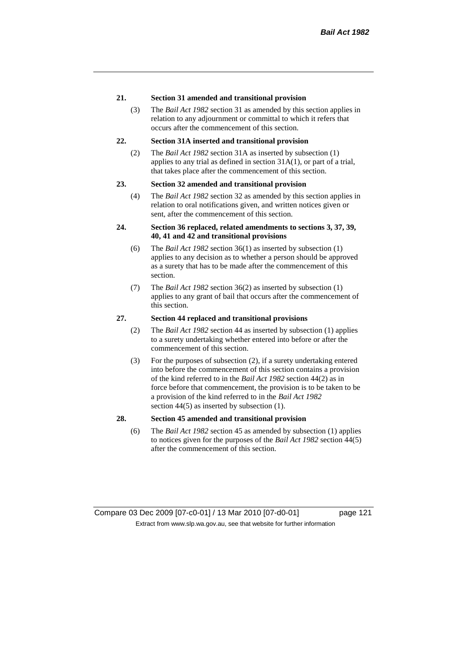#### **21. Section 31 amended and transitional provision**

(3) The *Bail Act 1982* section 31 as amended by this section applies in relation to any adjournment or committal to which it refers that occurs after the commencement of this section.

### **22. Section 31A inserted and transitional provision**

(2) The *Bail Act 1982* section 31A as inserted by subsection (1) applies to any trial as defined in section 31A(1), or part of a trial, that takes place after the commencement of this section.

#### **23. Section 32 amended and transitional provision**

(4) The *Bail Act 1982* section 32 as amended by this section applies in relation to oral notifications given, and written notices given or sent, after the commencement of this section.

### **24. Section 36 replaced, related amendments to sections 3, 37, 39, 40, 41 and 42 and transitional provisions**

- (6) The *Bail Act 1982* section 36(1) as inserted by subsection (1) applies to any decision as to whether a person should be approved as a surety that has to be made after the commencement of this section.
- (7) The *Bail Act 1982* section 36(2) as inserted by subsection (1) applies to any grant of bail that occurs after the commencement of this section.

#### **27. Section 44 replaced and transitional provisions**

- (2) The *Bail Act 1982* section 44 as inserted by subsection (1) applies to a surety undertaking whether entered into before or after the commencement of this section.
- (3) For the purposes of subsection (2), if a surety undertaking entered into before the commencement of this section contains a provision of the kind referred to in the *Bail Act 1982* section 44(2) as in force before that commencement, the provision is to be taken to be a provision of the kind referred to in the *Bail Act 1982*  section 44(5) as inserted by subsection (1).

### **28. Section 45 amended and transitional provision**

(6) The *Bail Act 1982* section 45 as amended by subsection (1) applies to notices given for the purposes of the *Bail Act 1982* section 44(5) after the commencement of this section.

Compare 03 Dec 2009 [07-c0-01] / 13 Mar 2010 [07-d0-01] page 121 Extract from www.slp.wa.gov.au, see that website for further information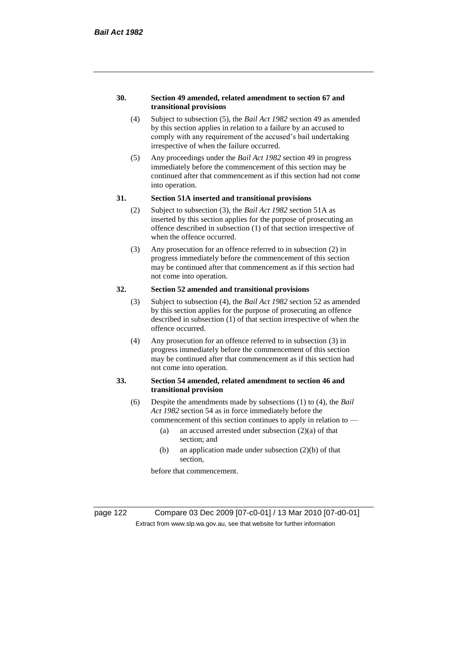#### **30. Section 49 amended, related amendment to section 67 and transitional provisions**

- (4) Subject to subsection (5), the *Bail Act 1982* section 49 as amended by this section applies in relation to a failure by an accused to comply with any requirement of the accused's bail undertaking irrespective of when the failure occurred.
- (5) Any proceedings under the *Bail Act 1982* section 49 in progress immediately before the commencement of this section may be continued after that commencement as if this section had not come into operation.

#### **31. Section 51A inserted and transitional provisions**

- (2) Subject to subsection (3), the *Bail Act 1982* section 51A as inserted by this section applies for the purpose of prosecuting an offence described in subsection (1) of that section irrespective of when the offence occurred.
- (3) Any prosecution for an offence referred to in subsection (2) in progress immediately before the commencement of this section may be continued after that commencement as if this section had not come into operation.

## **32. Section 52 amended and transitional provisions**

- (3) Subject to subsection (4), the *Bail Act 1982* section 52 as amended by this section applies for the purpose of prosecuting an offence described in subsection (1) of that section irrespective of when the offence occurred.
- (4) Any prosecution for an offence referred to in subsection (3) in progress immediately before the commencement of this section may be continued after that commencement as if this section had not come into operation.

### **33. Section 54 amended, related amendment to section 46 and transitional provision**

- (6) Despite the amendments made by subsections (1) to (4), the *Bail Act 1982* section 54 as in force immediately before the
	- commencement of this section continues to apply in relation to
		- (a) an accused arrested under subsection  $(2)(a)$  of that section; and
		- (b) an application made under subsection (2)(b) of that section,

before that commencement.

page 122 Compare 03 Dec 2009 [07-c0-01] / 13 Mar 2010 [07-d0-01] Extract from www.slp.wa.gov.au, see that website for further information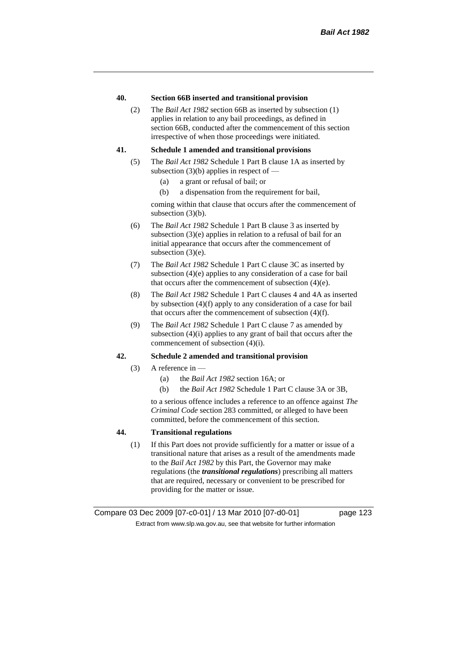#### **40. Section 66B inserted and transitional provision**

(2) The *Bail Act 1982* section 66B as inserted by subsection (1) applies in relation to any bail proceedings, as defined in section 66B, conducted after the commencement of this section irrespective of when those proceedings were initiated.

#### **41. Schedule 1 amended and transitional provisions**

- (5) The *Bail Act 1982* Schedule 1 Part B clause 1A as inserted by subsection  $(3)(b)$  applies in respect of —
	- (a) a grant or refusal of bail; or
	- (b) a dispensation from the requirement for bail,

coming within that clause that occurs after the commencement of subsection (3)(b).

- (6) The *Bail Act 1982* Schedule 1 Part B clause 3 as inserted by subsection (3)(e) applies in relation to a refusal of bail for an initial appearance that occurs after the commencement of subsection (3)(e).
- (7) The *Bail Act 1982* Schedule 1 Part C clause 3C as inserted by subsection (4)(e) applies to any consideration of a case for bail that occurs after the commencement of subsection (4)(e).
- (8) The *Bail Act 1982* Schedule 1 Part C clauses 4 and 4A as inserted by subsection (4)(f) apply to any consideration of a case for bail that occurs after the commencement of subsection (4)(f).
- (9) The *Bail Act 1982* Schedule 1 Part C clause 7 as amended by subsection (4)(i) applies to any grant of bail that occurs after the commencement of subsection (4)(i).

#### **42. Schedule 2 amended and transitional provision**

- (3) A reference in  $-$ 
	- (a) the *Bail Act 1982* section 16A; or
	- (b) the *Bail Act 1982* Schedule 1 Part C clause 3A or 3B,

to a serious offence includes a reference to an offence against *The Criminal Code* section 283 committed, or alleged to have been committed, before the commencement of this section.

### **44. Transitional regulations**

(1) If this Part does not provide sufficiently for a matter or issue of a transitional nature that arises as a result of the amendments made to the *Bail Act 1982* by this Part, the Governor may make regulations (the *transitional regulations*) prescribing all matters that are required, necessary or convenient to be prescribed for providing for the matter or issue.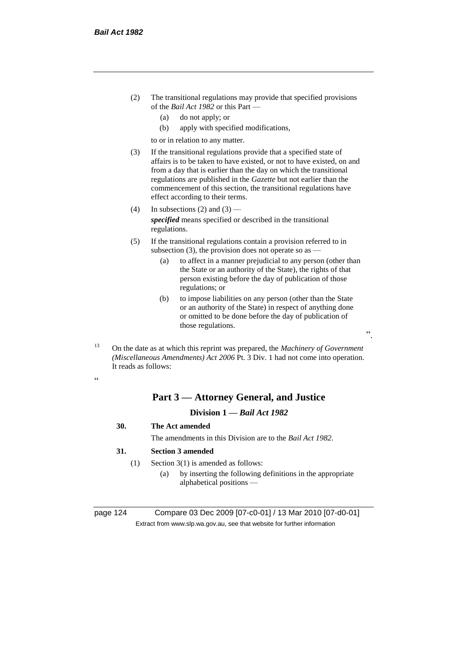- (2) The transitional regulations may provide that specified provisions of the *Bail Act 1982* or this Part —
	- (a) do not apply; or
	- (b) apply with specified modifications,

to or in relation to any matter.

- (3) If the transitional regulations provide that a specified state of affairs is to be taken to have existed, or not to have existed, on and from a day that is earlier than the day on which the transitional regulations are published in the *Gazette* but not earlier than the commencement of this section, the transitional regulations have effect according to their terms.
- (4) In subsections (2) and  $(3)$  *specified* means specified or described in the transitional regulations.
- (5) If the transitional regulations contain a provision referred to in subsection (3), the provision does not operate so as  $-$ 
	- (a) to affect in a manner prejudicial to any person (other than the State or an authority of the State), the rights of that person existing before the day of publication of those regulations; or
	- (b) to impose liabilities on any person (other than the State or an authority of the State) in respect of anything done or omitted to be done before the day of publication of those regulations.

".

<sup>13</sup> On the date as at which this reprint was prepared, the *Machinery of Government (Miscellaneous Amendments) Act 2006* Pt. 3 Div. 1 had not come into operation. It reads as follows:

.<br>.

## **Part 3 — Attorney General, and Justice**

## **Division 1 —** *Bail Act 1982*

- **30. The Act amended**
	- The amendments in this Division are to the *Bail Act 1982*.

## **31. Section 3 amended**

- (1) Section 3(1) is amended as follows:
	- (a) by inserting the following definitions in the appropriate alphabetical positions —

page 124 Compare 03 Dec 2009 [07-c0-01] / 13 Mar 2010 [07-d0-01] Extract from www.slp.wa.gov.au, see that website for further information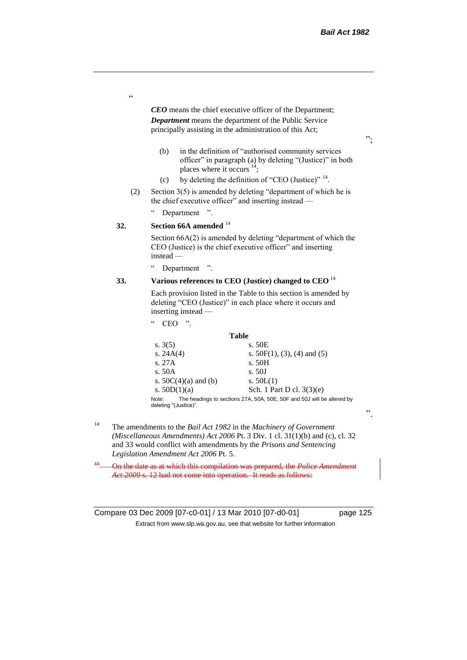$, ,$ 

*CEO* means the chief executive officer of the Department; *Department* means the department of the Public Service principally assisting in the administration of this Act;

- (b) in the definition of "authorised community services officer" in paragraph (a) by deleting "(Justice)" in both places where it occurs <sup>14</sup>;
- (c) by deleting the definition of "CEO (Justice)"  $14$ .
- (2) Section 3(5) is amended by deleting "department of which he is the chief executive officer" and inserting instead -

" Department ".

## **32. Section 66A amended** <sup>14</sup>

"

Section 66A(2) is amended by deleting "department of which the CEO (Justice) is the chief executive officer" and inserting instead —

" Department ".

## **33. Various references to CEO (Justice) changed to CEO** <sup>14</sup>

Each provision listed in the Table to this section is amended by deleting "CEO (Justice)" in each place where it occurs and inserting instead —

 $CEO$  ".

#### **Table**

| s. $3(5)$                      | s. 50E                                                                 |
|--------------------------------|------------------------------------------------------------------------|
| s. $24A(4)$                    | s. $50F(1)$ , (3), (4) and (5)                                         |
| s. 27A                         | s. 50H                                                                 |
| s. $50A$                       | s. 50J                                                                 |
| s. $50C(4)(a)$ and (b)         | s. $50L(1)$                                                            |
| s. $50D(1)(a)$                 | Sch. 1 Part D cl. $3(3)(e)$                                            |
| Note:<br>deleting "(Justice)". | The headings to sections 27A, 50A, 50E, 50F and 50J will be altered by |

<sup>14</sup> The amendments to the *Bail Act 1982* in the *Machinery of Government (Miscellaneous Amendments) Act 2006* Pt. 3 Div. 1 cl. 31(1)(b) and (c), cl. 32 and 33 would conflict with amendments by the *Prisons and Sentencing Legislation Amendment Act 2006* Pt. 5.

<sup>15</sup> On the date as at which this compilation was prepared, the *Police Amendment Act 2009* s. 12 had not come into operation. It reads as follows:

Compare 03 Dec 2009 [07-c0-01] / 13 Mar 2010 [07-d0-01] page 125 Extract from www.slp.wa.gov.au, see that website for further information

".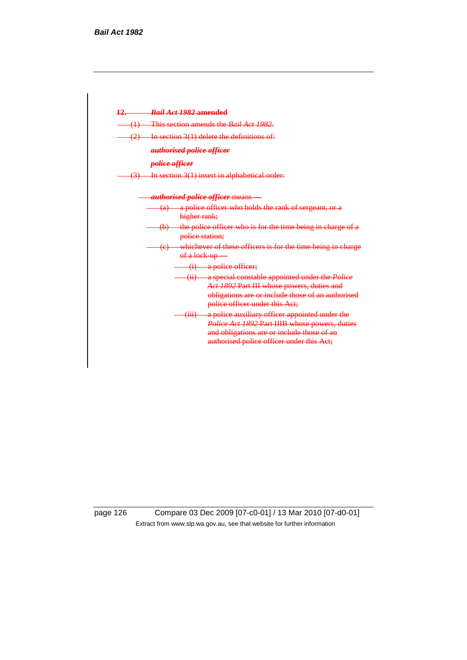

page 126 Compare 03 Dec 2009 [07-c0-01] / 13 Mar 2010 [07-d0-01] Extract from www.slp.wa.gov.au, see that website for further information